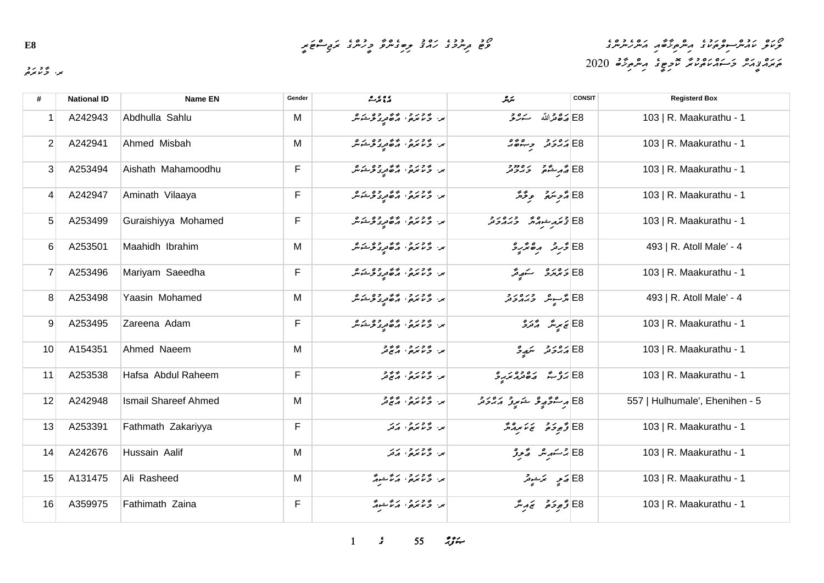*sCw7q7s5w7m< o<n9nOoAw7o< sCq;mAwBoEw7q<m; wBm;vB* م من المرة المرة المرة المرجع المرجع في المركبة 2020<br>مجم*د المريض المربوط المربع المرجع في المراجع المركبة* 

| #               | <b>National ID</b> | Name EN                     | Gender      | بروبره                                                                                                         | ىترىگر                                            | <b>CONSIT</b> | <b>Registerd Box</b>           |
|-----------------|--------------------|-----------------------------|-------------|----------------------------------------------------------------------------------------------------------------|---------------------------------------------------|---------------|--------------------------------|
| 1               | A242943            | Abdhulla Sahlu              | M           | ر در در در در دول در                                                                                           | E8 مَەشراللە سەرىجە                               |               | 103   R. Maakurathu - 1        |
| $\overline{2}$  | A242941            | Ahmed Misbah                | M           | بر ورد و وو ده ده کره ک                                                                                        | E8 ג׳ د د مشتر و ب                                |               | 103   R. Maakurathu - 1        |
| 3               | A253494            | Aishath Mahamoodhu          | $\mathsf F$ | ر درد ده دو وه ده کرد و شک                                                                                     | E8 كەرشۇم كەردىر                                  |               | 103   R. Maakurathu - 1        |
| 4               | A242947            | Aminath Vilaaya             | F           | بر به در در پره ده در و                                                                                        | E8 مُّحِسَمُ وِخَمَّ                              |               | 103   R. Maakurathu - 1        |
| $5\phantom{.0}$ | A253499            | Guraishiyya Mohamed         | $\mathsf F$ | بر اور دارد وه ده وراه و                                                                                       | E8 تومكرم شوره محر محرك و در د                    |               | 103   R. Maakurathu - 1        |
| 6               | A253501            | Maahidh Ibrahim             | M           | أين المردوح المتحصر وه والمره                                                                                  | E8 دَّرِيْر مِنْ مِرْرِدْ                         |               | 493   R. Atoll Male' - 4       |
| $\overline{7}$  | A253496            | Mariyam Saeedha             | $\mathsf F$ | بر درد ده ده ده ده ده.<br>بر د لابره اره تړه وعشک                                                              | E8] <i>وَجُهْدَوْ</i> سَمَ <i>مٍةٌ</i>            |               | 103   R. Maakurathu - 1        |
| 8               | A253498            | Yaasin Mohamed              | M           | بر وردو وودوه وه بر                                                                                            | E8 تر سویٹر ن <i>ی 25 د</i> و                     |               | 493   R. Atoll Male' - 4       |
| 9               | A253495            | Zareena Adam                | $\mathsf F$ | بر به در در به در ده بره بر                                                                                    | E8 ىج م <sub>ي</sub> ستر گر تركتر تر              |               | 103   R. Maakurathu - 1        |
| 10              | A154351            | Ahmed Naeem                 | M           | بر و در د و و د                                                                                                | E8   كەندى كىلى ئىكدىنى ئىكدىكى ئىكدىك            |               | 103   R. Maakurathu - 1        |
| 11              | A253538            | Hafsa Abdul Raheem          | $\mathsf F$ | بر کا در در در در در در در در در این در این در این در این در این در این در این در در این در در داران در در این | E8 ئۇيگە مەھىم <i>مىرى مەردى</i>                  |               | 103   R. Maakurathu - 1        |
| 12              | A242948            | <b>Ismail Shareef Ahmed</b> | M           | بر و در د و و د                                                                                                | E8 <sub>م</sub> رگۇم <sub>ۇ</sub> تۇ شەيرۇ كەردىر |               | 557   Hulhumale', Ehenihen - 5 |
| 13              | A253391            | Fathmath Zakariyya          | $\mathsf F$ | بر و درو، زر                                                                                                   | E8 زُجِرْدَة بِمَنْ مِهْدَدَّ                     |               | 103   R. Maakurathu - 1        |
| 14              | A242676            | Hussain Aalif               | M           | بر کا تر دی کرتر                                                                                               | E8 پرستمبر مگرورمح                                |               | 103   R. Maakurathu - 1        |
| 15              | A131475            | Ali Rasheed                 | M           | بر ورود مقصور                                                                                                  | E8  رَمِ - بَرَشِيرٌ                              |               | 103   R. Maakurathu - 1        |
| 16              | A359975            | Fathimath Zaina             | F           | بر ورده روسه                                                                                                   | E8 زَّەپ <i>ەدە</i> ت <sub>ەك</sub> رىتر          |               | 103   R. Maakurathu - 1        |

*<i>q, s e .*<br>بر . گرمایوم

*1 s* 55  $234$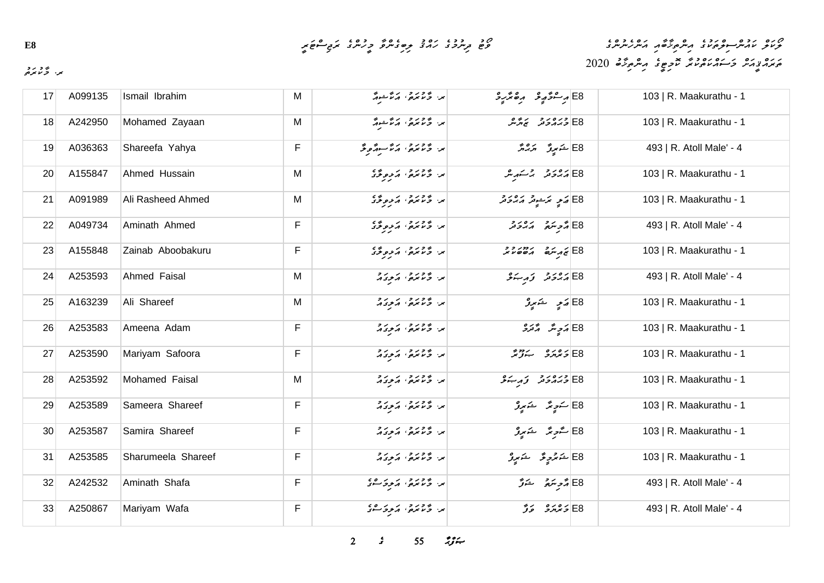*sCw7q7s5w7m< o<n9nOoAw7o< sCq;mAwBoEw7q<m; wBm;vB* م من المرة المرة المرة المرجع المرجع في المركبة 2020<br>مجم*د المريض المربوط المربع المرجع في المراجع المركبة* 

| 17              | A099135 | Ismail Ibrahim     | M            | ىن ئۇ ئويرى كەنگە شەرگە   | E8  ماستر <i>ۇمۇھەم ھەتگەپ</i> ۇ | 103   R. Maakurathu - 1  |
|-----------------|---------|--------------------|--------------|---------------------------|----------------------------------|--------------------------|
| 18              | A242950 | Mohamed Zayaan     | M            | بر وربره مرشور            | E8 3225 كرم بورس                 | 103   R. Maakurathu - 1  |
| 19              | A036363 | Shareefa Yahya     | $\mathsf{F}$ | ىن ئەمزىرى ئەنگە بەرگەنگە | E8 ڪيور <i>گا مربر</i> مگر       | 493   R. Atoll Male' - 4 |
| 20              | A155847 | Ahmed Hussain      | M            | بر کائمی موجود            | E8 كەبرى قىلى ئەسكىرىش           | 103   R. Maakurathu - 1  |
| 21              | A091989 | Ali Rasheed Ahmed  | M            | بر ورده کردون             | E8 كەي كەشپەتر كەبر <i>ە د</i> و | 103   R. Maakurathu - 1  |
| 22              | A049734 | Aminath Ahmed      | $\mathsf F$  | بر ورده، مروون            | E8 مُجْرِسَمُ مَدَوْمُر          | 493   R. Atoll Male' - 4 |
| 23              | A155848 | Zainab Aboobakuru  | F            | بر ورده، مروون            | $77777$ $2777$ $E8$              | 103   R. Maakurathu - 1  |
| 24              | A253593 | Ahmed Faisal       | M            | بر ومعمده معدم            | E8   كەندى كەرىكى ئى             | 493   R. Atoll Male' - 4 |
| 25              | A163239 | Ali Shareef        | M            | بر ورده کرده              | E8 <i>۾َ جِ</i> شَمِيوٌ          | 103   R. Maakurathu - 1  |
| 26              | A253583 | Ameena Adam        | $\mathsf{F}$ | بر ورده تروی              | E8 كەچ ئىگە مۇ <i>قى</i> رى      | 103   R. Maakurathu - 1  |
| 27              | A253590 | Mariyam Safoora    | $\mathsf F$  | بر ورده نرود              | E8 كەندى جەمئەتلەر               | 103   R. Maakurathu - 1  |
| 28              | A253592 | Mohamed Faisal     | M            | بر ومعتده معدم            | E8] 32,25 وَرِجَعْ               | 103   R. Maakurathu - 1  |
| 29              | A253589 | Sameera Shareef    | $\mathsf{F}$ | بر ورده کرده              | E8 کوچگر شکوپو <i>گ</i> ر        | 103   R. Maakurathu - 1  |
| 30 <sup>°</sup> | A253587 | Samira Shareef     | F            | بر ورده نرود              | E8 گوپڈ خو <i>پو</i> ڑ           | 103   R. Maakurathu - 1  |
| 31              | A253585 | Sharumeela Shareef | F            | بر وروده كرود             | E8 ڪنگرچ ٿو ڪمبرو                | 103   R. Maakurathu - 1  |
| 32              | A242532 | Aminath Shafa      | F            | بر ورده مورده             | E8 أَدَّمِ سَمَّرٌ شَمَرٌ        | 493   R. Atoll Male' - 4 |
| 33              | A250867 | Mariyam Wafa       | F            | بر په ۱۶۶۶ کمبرد ده       | E8 كەبىر <i>گەنى</i> ھۆ          | 493   R. Atoll Male' - 4 |

*2 sC 55 nNw?mS*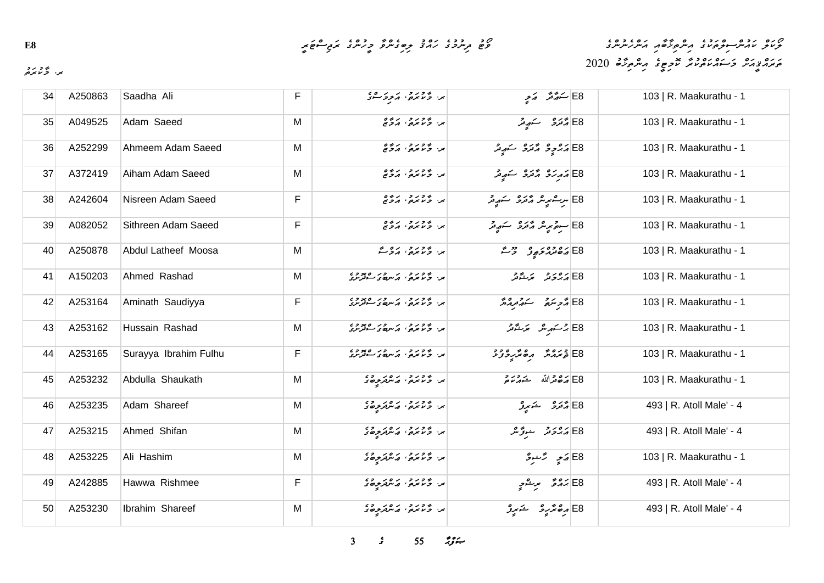*sCw7q7s5w7m< o<n9nOoAw7o< sCq;mAwBoEw7q<m; wBm;vB* م من المرة المرة المرة المرجع المرجع في المركبة 2020<br>مجم*د المريض المربوط المربع المرجع في المراجع المركبة* 

| 34 | A250863 | Saadha Ali            | F | بر و دو د مرد ده و                                                                                                                                                                                                                                                                                                           | E8 ڪوپڙھ ڪيو                                          | 103   R. Maakurathu - 1  |
|----|---------|-----------------------|---|------------------------------------------------------------------------------------------------------------------------------------------------------------------------------------------------------------------------------------------------------------------------------------------------------------------------------|-------------------------------------------------------|--------------------------|
| 35 | A049525 | Adam Saeed            | M | $\begin{array}{cc} 0 & 0 & 0 & 0 & 0 \\ 0 & 0 & 0 & 0 & 0 \\ 0 & 0 & 0 & 0 & 0 \\ 0 & 0 & 0 & 0 & 0 \\ 0 & 0 & 0 & 0 & 0 \\ 0 & 0 & 0 & 0 & 0 \\ 0 & 0 & 0 & 0 & 0 \\ 0 & 0 & 0 & 0 & 0 \\ 0 & 0 & 0 & 0 & 0 \\ 0 & 0 & 0 & 0 & 0 \\ 0 & 0 & 0 & 0 & 0 \\ 0 & 0 & 0 & 0 & 0 & 0 \\ 0 & 0 & 0 & 0 & 0 & 0 \\ 0 & 0 & 0 & 0 &$ | E8 مُرْتَدَدُ سَمَ <i>وِيْدُ</i>                      | 103   R. Maakurathu - 1  |
| 36 | A252299 | Ahmeem Adam Saeed     | M | $\begin{array}{ccc} 0 & 0 & 0 & 0 & 0 & 0 \\ 0 & 0 & 0 & 0 & 0 & 0 \\ 0 & 0 & 0 & 0 & 0 & 0 \\ 0 & 0 & 0 & 0 & 0 & 0 \\ 0 & 0 & 0 & 0 & 0 & 0 \\ 0 & 0 & 0 & 0 & 0 & 0 \\ 0 & 0 & 0 & 0 & 0 & 0 \\ 0 & 0 & 0 & 0 & 0 & 0 \\ 0 & 0 & 0 & 0 & 0 & 0 \\ 0 & 0 & 0 & 0 & 0 & 0 & 0 \\ 0 & 0 & 0 & 0 & 0 & 0 & 0 \\ 0 & 0 & 0 &$  | E8] גَ بُرُو وَ الْمُعَرَّدُ الْسَمْرِيْرُ            | 103   R. Maakurathu - 1  |
| 37 | A372419 | Aiham Adam Saeed      | M | $\begin{array}{cc} 0 & 0 & 0 & 0 & 0 \\ 0 & 0 & 0 & 0 & 0 \\ 0 & 0 & 0 & 0 & 0 \\ 0 & 0 & 0 & 0 & 0 \\ 0 & 0 & 0 & 0 & 0 \\ 0 & 0 & 0 & 0 & 0 \\ 0 & 0 & 0 & 0 & 0 \\ 0 & 0 & 0 & 0 & 0 \\ 0 & 0 & 0 & 0 & 0 \\ 0 & 0 & 0 & 0 & 0 \\ 0 & 0 & 0 & 0 & 0 \\ 0 & 0 & 0 & 0 & 0 & 0 \\ 0 & 0 & 0 & 0 & 0 & 0 \\ 0 & 0 & 0 & 0 &$ | E8] ה <i>َ</i> הְ <i>رَدْ הُمَرَّدْ ـَـٰ مِ</i> مِنْر | 103   R. Maakurathu - 1  |
| 38 | A242604 | Nisreen Adam Saeed    | F | 850, 5155                                                                                                                                                                                                                                                                                                                    | E8 سرے پریٹر م <i>رکزی سکھ</i> یٹر                    | 103   R. Maakurathu - 1  |
| 39 | A082052 | Sithreen Adam Saeed   | F | $\begin{array}{cc} 0 & 0 & 0 & 0 & 0 \\ 0 & 0 & 0 & 0 & 0 \\ 0 & 0 & 0 & 0 & 0 \\ 0 & 0 & 0 & 0 & 0 \\ 0 & 0 & 0 & 0 & 0 \\ 0 & 0 & 0 & 0 & 0 \\ 0 & 0 & 0 & 0 & 0 \\ 0 & 0 & 0 & 0 & 0 \\ 0 & 0 & 0 & 0 & 0 \\ 0 & 0 & 0 & 0 & 0 \\ 0 & 0 & 0 & 0 & 0 \\ 0 & 0 & 0 & 0 & 0 & 0 \\ 0 & 0 & 0 & 0 & 0 & 0 \\ 0 & 0 & 0 & 0 &$ | E8 سوم پر شرکتر محمد شرکته کرد.<br>ا                  | 103   R. Maakurathu - 1  |
| 40 | A250878 | Abdul Latheef Moosa   | M | بر کامرہ روٹ                                                                                                                                                                                                                                                                                                                 | E8 <sub>م</sub> َص <i>ْدِرْ جو</i> رُ مَنْ حَبَّ      | 103   R. Maakurathu - 1  |
| 41 | A150203 | Ahmed Rashad          | M |                                                                                                                                                                                                                                                                                                                              | E8 كەبروتى كەنتى تىر                                  | 103   R. Maakurathu - 1  |
| 42 | A253164 | Aminath Saudiyya      | F | بر در در در در در در در<br>بر در برها در موجد سوتر برد                                                                                                                                                                                                                                                                       | E8 أَمْرِ سَوَمِ سَوْمِ مِرْدَ مِنْ                   | 103   R. Maakurathu - 1  |
| 43 | A253162 | Hussain Rashad        | M | بر در در در در در در در<br>بر در برها در موجد سوتر برد                                                                                                                                                                                                                                                                       | E8 پُرڪوپر ڪرڪوٽر                                     | 103   R. Maakurathu - 1  |
| 44 | A253165 | Surayya Ibrahim Fulhu | F |                                                                                                                                                                                                                                                                                                                              | E8 <sub>فو</sub> ىرە بەر مەتر <i>بەد ۋ</i> ر          | 103   R. Maakurathu - 1  |
| 45 | A253232 | Abdulla Shaukath      | M | من كور دور در مركز در در در در در با                                                                                                                                                                                                                                                                                         | E8 مَەھْمَراللە خەمرىم                                | 103   R. Maakurathu - 1  |
| 46 | A253235 | Adam Shareef          | M | بر و درو ده در و .<br>بر و ما بره ا ما مرکز و ده د                                                                                                                                                                                                                                                                           | E8 مُرْتَرْدْ شَمَعِرْزْ                              | 493   R. Atoll Male' - 4 |
| 47 | A253215 | Ahmed Shifan          | M | بر و درو دره در و .<br>بر و <i>ما بره</i> که شرفر مور                                                                                                                                                                                                                                                                        | E8 <i>גېر دي شوگ</i> ر                                | 493   R. Atoll Male' - 4 |
| 48 | A253225 | Ali Hashim            | M | بر و درو د ورو و ،                                                                                                                                                                                                                                                                                                           | E8 <i>جَ</i> حٍ گَشِوڤ                                | 103   R. Maakurathu - 1  |
| 49 | A242885 | Hawwa Rishmee         | F | بر به ورو رور ده<br>بر گانمري ماس                                                                                                                                                                                                                                                                                            | E8] يَرْدُوَّ - <sub>مر</sub> ِشْورٍ                  | 493   R. Atoll Male' - 4 |
| 50 | A253230 | Ibrahim Shareef       | M | بر به ۱۶۶۶ میلیون دی.<br>بر گانگری میلیون                                                                                                                                                                                                                                                                                    | E8 رەمگرى <sup>5</sup> شىرى <sub>ر</sub> و            | 493   R. Atoll Male' - 4 |

**3** *s* **55** *z***<sub>***i***</sub>c</del></sup>**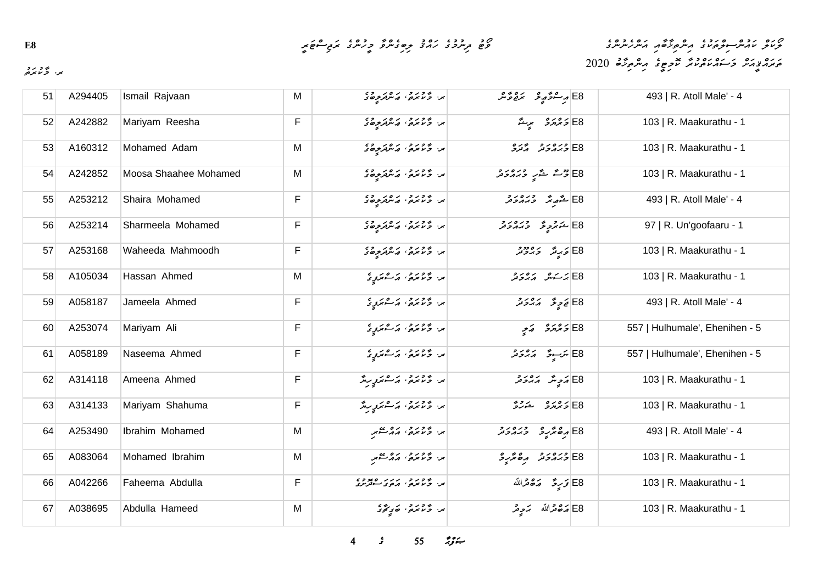*sCw7q7s5w7m< o<n9nOoAw7o< sCq;mAwBoEw7q<m; wBm;vB* م من المرة المرة المرة المرة المرة المرة العربية 2020<br>مجم*د المريض المريض المربع المربع المربع المراجع المراجع ال* 

| 51 | A294405 | Ismail Rajvaan        | M | بر به ورو رپور ده.<br>بر گانمره کاشوره                                                                                                                                                                                           | E8 <sub>م</sub> رےد <i>ۇ<sub>م</sub>ىۋە مەقىۋىت</i> ر | 493   R. Atoll Male' - 4       |
|----|---------|-----------------------|---|----------------------------------------------------------------------------------------------------------------------------------------------------------------------------------------------------------------------------------|-------------------------------------------------------|--------------------------------|
| 52 | A242882 | Mariyam Reesha        | F | بر به ورد در در در<br>بر گانمری کاشورخان                                                                                                                                                                                         | E8]وَتَحْدَّرُوْ - <sub>مَ</sub> يشَّ                 | 103   R. Maakurathu - 1        |
| 53 | A160312 | Mohamed Adam          | M | بر به ورو رور ده<br>بر گانمگی مستردهای                                                                                                                                                                                           | E8 3223 كروره                                         | 103   R. Maakurathu - 1        |
| 54 | A242852 | Moosa Shaahee Mohamed | M | بر و درو ده درود                                                                                                                                                                                                                 | E8] رُبُّ شَرِ وَبَرْدُونَر                           | 103   R. Maakurathu - 1        |
| 55 | A253212 | Shaira Mohamed        | F | بر ورده ده در ده                                                                                                                                                                                                                 | E8 ش <i>ۇم بىر ئەندە ئە</i> ر                         | 493   R. Atoll Male' - 4       |
| 56 | A253214 | Sharmeela Mohamed     | F | بر و درو ده درود                                                                                                                                                                                                                 | E8] ڪنگر <i>چونگ او جي مرو</i> فر                     | 97   R. Un'goofaaru - 1        |
| 57 | A253168 | Waheeda Mahmoodh      | F |                                                                                                                                                                                                                                  | E8 كۆپەتى كەنزى قىلىرىدىن E8                          | 103   R. Maakurathu - 1        |
| 58 | A105034 | Hassan Ahmed          | M | بر په درو کره در په                                                                                                                                                                                                              | E8   يَرْسَعْرُ مَدْوَمْرُ                            | 103   R. Maakurathu - 1        |
| 59 | A058187 | Jameela Ahmed         | F | بر ورده میشود و                                                                                                                                                                                                                  | E8 ت <sub>ح</sub> جو تركر تركي                        | 493   R. Atoll Male' - 4       |
| 60 | A253074 | Mariyam Ali           | F | بر په درو کره در په                                                                                                                                                                                                              | E8 5 يوپري <sub>مک</sub> و                            | 557   Hulhumale', Ehenihen - 5 |
| 61 | A058189 | Naseema Ahmed         | F | بر په درو کره در په                                                                                                                                                                                                              | E8] ىترىپو <i>گە كەندى تى</i> ر                       | 557   Hulhumale', Ehenihen - 5 |
| 62 | A314118 | Ameena Ahmed          | F | بر و وړي که شرور برگ                                                                                                                                                                                                             | E8 كەچ ئىش كەبدى قىلىر                                | 103   R. Maakurathu - 1        |
| 63 | A314133 | Mariyam Shahuma       | F | ىن ئۇرىق ئەسىمكى بەر                                                                                                                                                                                                             | E8 كَيْرْبُرْدْ شَرْرَدُّ                             | 103   R. Maakurathu - 1        |
| 64 | A253490 | Ibrahim Mohamed       | M | بر وردو روعي                                                                                                                                                                                                                     | E8] مەھەرىپە مەمەدە ئەرەرد                            | 493   R. Atoll Male' - 4       |
| 65 | A083064 | Mohamed Ibrahim       | M | بر وردو ره مه                                                                                                                                                                                                                    | E8] <i>وُبَهُ دَوَنَوْ بِهِ مُ</i> يُرِ وُ            | 103   R. Maakurathu - 1        |
| 66 | A042266 | Faheema Abdulla       | F | ו כי כי היה היה כי היה בין היה היה היה היה בין היה בין היה בין היה בין היה בין היה בין היה בין היה בין היה בין<br>היה בין היה בין היה בין היה בין בין בין היה בין בין היה בין בין היה בין היה בין היה בין היה בין היה בין היה בי | E8 تربي <b>ءً صَ</b> صْعَراللّه                       | 103   R. Maakurathu - 1        |
| 67 | A038695 | Abdulla Hameed        | M |                                                                                                                                                                                                                                  | E8 رَحْمَدْاللّه بَرْحِ مَرْ                          | 103   R. Maakurathu - 1        |

*4 5 55*  $294$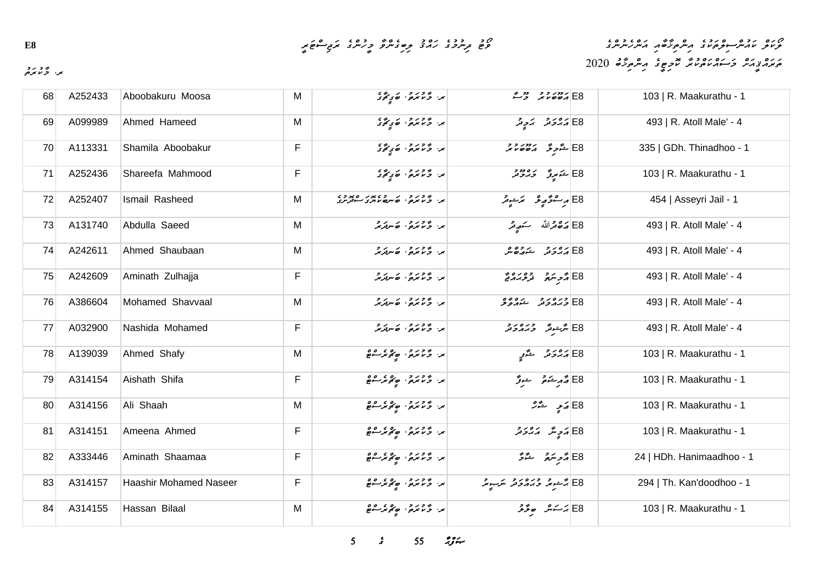*sCw7q7s5w7m< o<n9nOoAw7o< sCq;mAwBoEw7q<m; wBm;vB* م من المرة المرة المرة المرجع المرجع في المركبة 2020<br>مجم*د المريض المربوط المربع المرجع في المراجع المركبة* 

| 68 | A252433 | Aboobakuru Moosa              | M           | بر و مرده کوده                                                                                                                                                                                                                                                      | 232225                                               | 103   R. Maakurathu - 1   |
|----|---------|-------------------------------|-------------|---------------------------------------------------------------------------------------------------------------------------------------------------------------------------------------------------------------------------------------------------------------------|------------------------------------------------------|---------------------------|
| 69 | A099989 | Ahmed Hameed                  | M           |                                                                                                                                                                                                                                                                     | E8   كەشكە كىلى بەر ئىكتى ئىس                        | 493   R. Atoll Male' - 4  |
| 70 | A113331 | Shamila Aboobakur             | $\mathsf F$ | بر وردو، ځونو                                                                                                                                                                                                                                                       | $2222$ $252$                                         | 335   GDh. Thinadhoo - 1  |
| 71 | A252436 | Shareefa Mahmood              | F           | بر ورده کاروه                                                                                                                                                                                                                                                       | E8 شەمرۇ كەردىر                                      | 103   R. Maakurathu - 1   |
| 72 | A252407 | <b>Ismail Rasheed</b>         | M           | د د د د د د د د د د د د د د د<br>د د کام پره ا که سرها د د د سوتر برد                                                                                                                                                                                               | E8 <sub>م</sub> رےد <i>و <sub>م</sub>وٹی مرش</i> یٹر | 454   Asseyri Jail - 1    |
| 73 | A131740 | Abdulla Saeed                 | M           | بر کرد در در کامریز بر                                                                                                                                                                                                                                              | E8 كَەھقراللە كىھەتمە                                | 493   R. Atoll Male' - 4  |
| 74 | A242611 | Ahmed Shaubaan                | M           | بر کرد در در کامریز بر                                                                                                                                                                                                                                              | E8 كەبەد ئەرگە ئىككەنلىر                             | 493   R. Atoll Male' - 4  |
| 75 | A242609 | Aminath Zulhajja              | F           | بر کارور کامریکی                                                                                                                                                                                                                                                    | E8 أَدْحِ سَمَّةَ فَرَحْمَدَهُ فَيَ                  | 493   R. Atoll Male' - 4  |
| 76 | A386604 | Mohamed Shavvaal              | M           | المرا وكالمرض كالمريكر                                                                                                                                                                                                                                              | E8 دېږدونر خوړونو                                    | 493   R. Atoll Male' - 4  |
| 77 | A032900 | Nashida Mohamed               | F           | بر و درو، ځمینه                                                                                                                                                                                                                                                     | E8 بَرْجِيرَ وَيَرْدُونَرَ                           | 493   R. Atoll Male' - 4  |
| 78 | A139039 | Ahmed Shafy                   | M           | من ومعرض ومحمر مع                                                                                                                                                                                                                                                   | E8 كەشكەتقى ئىگەن <sub>چە</sub>                      | 103   R. Maakurathu - 1   |
| 79 | A314154 | Aishath Shifa                 | F           | من كور دو ده ده ده وه                                                                                                                                                                                                                                               | E8 م <i>ەم شەمۇ</i> ھو <i>ڙ</i>                      | 103   R. Maakurathu - 1   |
| 80 | A314156 | Ali Shaah                     | M           | $x^2 - 2x^2 - 2x^2 - 3x^2 - 3x^2 - 3x^2 - 3x^2 - 3x^2 - 3x^2 - 3x^2 - 3x^2 - 3x^2 - 3x^2 - 3x^2 - 3x^2 - 3x^2 - 3x^2 - 3x^2 - 3x^2 - 3x^2 - 3x^2 - 3x^2 - 3x^2 - 3x^2 - 3x^2 - 3x^2 - 3x^2 - 3x^2 - 3x^2 - 3x^2 - 3x^2 - 3x^2 - 3x^2 - 3x^2 - 3x^2 - 3x^2 - 3x^2 -$ | E8 کی پہ شد 2                                        | 103   R. Maakurathu - 1   |
| 81 | A314151 | Ameena Ahmed                  | $\mathsf F$ | x. 21x8, 65x-00                                                                                                                                                                                                                                                     | E8 كەچ ئىكە كەبدى قىل                                | 103   R. Maakurathu - 1   |
| 82 | A333446 | Aminath Shaamaa               | $\mathsf F$ | $x^2 - 2x^2 - 3x^2 - 9$                                                                                                                                                                                                                                             | E8 أَمُّ مِسَمَّدٍ مُشَوَّرٌ                         | 24   HDh. Hanimaadhoo - 1 |
| 83 | A314157 | <b>Haashir Mohamed Naseer</b> | F           | $\sim$ $\sim$ $\sim$ $\sim$ $\sim$ $\sim$ $\sim$ $\sim$                                                                                                                                                                                                             | E8] بُرْجِيمُ وَيُرَمُّ وَقُرْ سَرَجِيمُ             | 294   Th. Kan'doodhoo - 1 |
| 84 | A314155 | Hassan Bilaal                 | M           | من كور دو ده ده ده وه                                                                                                                                                                                                                                               | E8   يَرْسَرْ مِوَّوْ                                | 103   R. Maakurathu - 1   |

*5 sC 55 nNw?mS*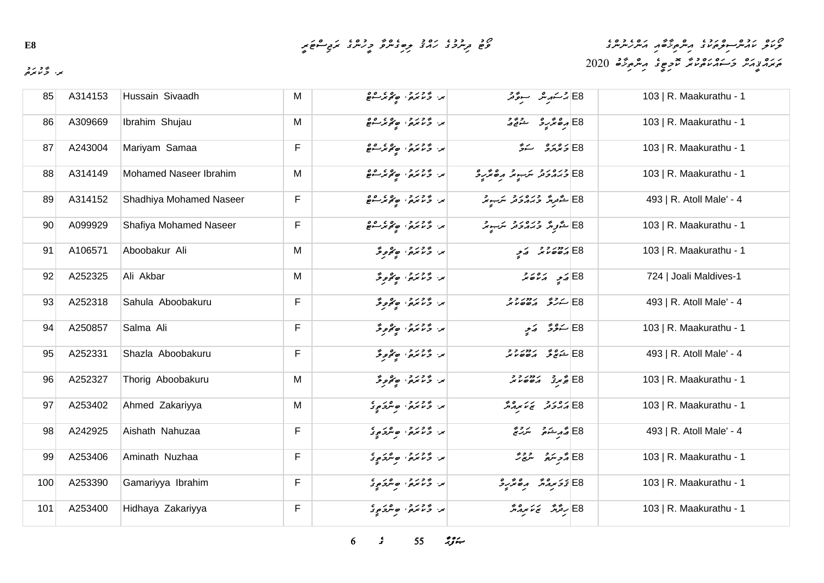*sCw7q7s5w7m< o<n9nOoAw7o< sCq;mAwBoEw7q<m; wBm;vB* م من المرة المرة المرة المرجع المرجع في المركبة 2020<br>مجم*د المريض المربوط المربع المرجع في المراجع المركبة* 

| 85  | A314153 | Hussain Sivaadh         | M            | بر د در د ه ه کار ش                                                                                 | E8 ئەسىر بىر سىر <i>ۇن</i> گە                                                                        | 103   R. Maakurathu - 1  |
|-----|---------|-------------------------|--------------|-----------------------------------------------------------------------------------------------------|------------------------------------------------------------------------------------------------------|--------------------------|
| 86  | A309669 | Ibrahim Shujau          | M            | x; 21x8; @8x - 00                                                                                   | E8] بر <i>ەنگەر ئىشقى</i> م                                                                          | 103   R. Maakurathu - 1  |
| 87  | A243004 | Mariyam Samaa           | $\mathsf{F}$ | من وموجود ورود وه                                                                                   | E8 كەنگەنز كەنگە                                                                                     | 103   R. Maakurathu - 1  |
| 88  | A314149 | Mohamed Naseer Ibrahim  | M            |                                                                                                     | E8 <i>وبرودو برجو وهغرد</i> و                                                                        | 103   R. Maakurathu - 1  |
| 89  | A314152 | Shadhiya Mohamed Naseer | $\mathsf{F}$ |                                                                                                     | E8 ڪُتيبر 3 <i>ڊيھون سڪيوبر</i>                                                                      | 493   R. Atoll Male' - 4 |
| 90  | A099929 | Shafiya Mohamed Naseer  | F            | $\sim$ $\sim$ $\sim$ $\sim$ $\sim$ $\sim$ $\sim$                                                    | E8] ڪُتموِ جُرُ جُرُ جُرُ جُمْعَ جَرَ جَرَ جَرَ جَرَ الله جَمَعَ جَمَعَ اللّهِ جَمَعَ اللّهِ         | 103   R. Maakurathu - 1  |
| 91  | A106571 | Aboobakur Ali           | M            | ر وريدو، ھاموش                                                                                      | E8 <i>مقصومت</i> ر م <i>رد</i>                                                                       | 103   R. Maakurathu - 1  |
| 92  | A252325 | Ali Akbar               | M            | بر كرىدى ھەرگ                                                                                       | E8 <i>مَرْحِهِ مَرْهُ مَدْ</i>                                                                       | 724   Joali Maldives-1   |
| 93  | A252318 | Sahula Aboobakuru       | $\mathsf F$  | ر وردو، ھاموش                                                                                       | $22222$ $225$ $E8$                                                                                   | 493   R. Atoll Male' - 4 |
| 94  | A250857 | Salma Ali               | F            | من والأمرة المحافرة                                                                                 | E8] سَوْوٌ <sub>م</sub> َر <sub>ِ</sub>                                                              | 103   R. Maakurathu - 1  |
| 95  | A252331 | Shazla Aboobakuru       | $\mathsf F$  | من والأمرة المحافرة                                                                                 | $77777$ $222$ $-8$                                                                                   | 493   R. Atoll Male' - 4 |
| 96  | A252327 | Thorig Aboobakuru       | M            | بر وريزه ھاءوش                                                                                      | $2222$ $27$ $27$ $28$                                                                                | 103   R. Maakurathu - 1  |
| 97  | A253402 | Ahmed Zakariyya         | M            | بر ورده مسروره                                                                                      | E8 בככב ג'ו אולי בי                                                                                  | 103   R. Maakurathu - 1  |
| 98  | A242925 | Aishath Nahuzaa         | F            | المن والمحمد المحمد والمحرم والمحمد والمحمد المحمد المحمد المحمد والمحمد المحمد والمحمد المحمد والم | E8 مەم ئىشقى ئىرگەمتى<br>18                                                                          | 493   R. Atoll Male' - 4 |
| 99  | A253406 | Aminath Nuzhaa          | $\mathsf F$  | بر وروده مشروره                                                                                     | E8 أُمُّ مِ سَمَّةٍ مِنْ سَمِّيٌّ مِنْ سَمْحَةٍ مِنْ سَمْحَةٍ مِنْ مِنْ سَمْحَةٍ مِنْ مِنْ مِنْ مِنْ | 103   R. Maakurathu - 1  |
| 100 | A253390 | Gamariyya Ibrahim       | F            | المن والمعرض المحرومي والمحرم والمحمد                                                               | E8 تَوَمَعِيهُمُّ مِنْ مُرْحَمَّةٍ وَ                                                                | 103   R. Maakurathu - 1  |
| 101 | A253400 | Hidhaya Zakariyya       | F            | المن والمحمد المحمد والمحرم والمحمد والمحمد المحمد المحمد المحمد والمحمد المحمد والمحمد المحمد والم | E8] رِقَدَّةً بِمَ مَدِيرَةً                                                                         | 103   R. Maakurathu - 1  |

*6 sC 55 nNw?mS*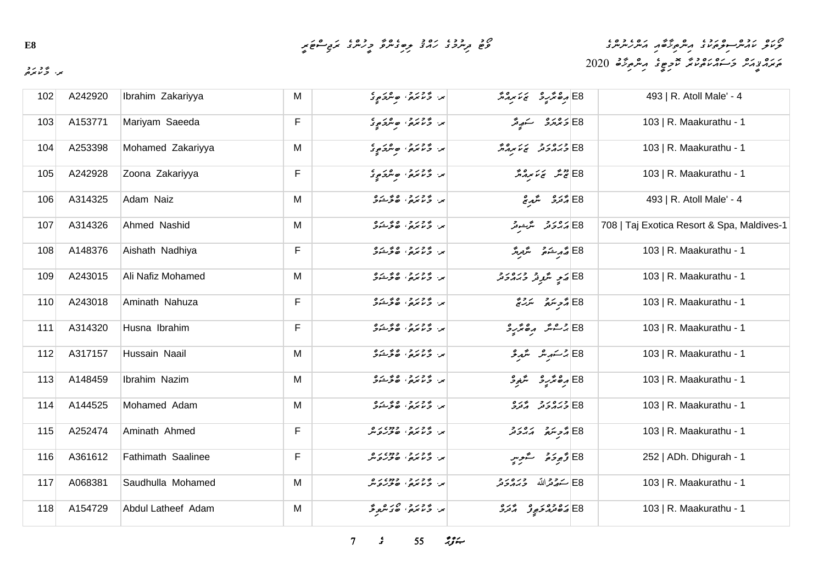*sCw7q7s5w7m< o<n9nOoAw7o< sCq;mAwBoEw7q<m; wBm;vB* م من المرة المرة المرة المرجع المرجع في المركبة 2020<br>مجم*د المريض المربوط المربع المرجع في المراجع المركبة* 

| 102 | A242920 | Ibrahim Zakariyya  | M           | بر گريز و مرکز و گر                         | E8 م <i>وڭ ئۇر</i> بۇ تە <i>نگىر مەدە</i> گە      | 493   R. Atoll Male' - 4                   |
|-----|---------|--------------------|-------------|---------------------------------------------|---------------------------------------------------|--------------------------------------------|
| 103 | A153771 | Mariyam Saeeda     | $\mathsf F$ | من والمردم والردمي                          | E8 كەنگەنگە سىكە يەنگە                            | 103   R. Maakurathu - 1                    |
| 104 | A253398 | Mohamed Zakariyya  | M           | بر و درد و مردم                             |                                                   | 103   R. Maakurathu - 1                    |
| 105 | A242928 | Zoona Zakariyya    | $\mathsf F$ | بر وردو، ھیروری                             | E8 تج تئر تج <i>مَا م</i> رم <sup>9</sup> ر       | 103   R. Maakurathu - 1                    |
| 106 | A314325 | Adam Naiz          | M           | ىن كەردىن ھۆك بەر                           | E8 أَمُرْتَرْدَ سُمْدِجْ                          | 493   R. Atoll Male' - 4                   |
| 107 | A314326 | Ahmed Nashid       | M           | ىن گەردە، ھۇشۇ                              | E8 كەبرى قرىشى قرىشى قىر                          | 708   Taj Exotica Resort & Spa, Maldives-1 |
| 108 | A148376 | Aishath Nadhiya    | F           | ىر. ئۇ يەر ئەمۇرىيە ئ                       | E8 م <i>ُّ مِرْ شَوَّةٍ مُتَّ</i> مِي <i>رَةٌ</i> | 103   R. Maakurathu - 1                    |
| 109 | A243015 | Ali Nafiz Mohamed  | M           | ىر كەردە ھۇشۈ                               | E8  كەي س <i>گونگە 25% كەن</i>                    | 103   R. Maakurathu - 1                    |
| 110 | A243018 | Aminath Nahuza     | $\mathsf F$ | ىر. ئەدىرە، ھۇشۇ                            | E8 أَمُّ حِسَنَةً مَسَرَحَةً                      | 103   R. Maakurathu - 1                    |
| 111 | A314320 | Husna Ibrahim      | $\mathsf F$ | ىن كەردىن ھۆك بەر                           | E8 برشش مەھمەر 2                                  | 103   R. Maakurathu - 1                    |
| 112 | A317157 | Hussain Naail      | M           | ىر. ئەدىرە، ھۇشۇ                            | E8 يُرْسَمْ مِنْ سُمْدِ وَ                        | 103   R. Maakurathu - 1                    |
| 113 | A148459 | Ibrahim Nazim      | M           | ىن كەردىن ھۆك بەر                           | E8 م <i>وھنگرد</i> و س <i>گھ</i> و                | 103   R. Maakurathu - 1                    |
| 114 | A144525 | Mohamed Adam       | M           | ىر. ئەدىرە، ھۇشۇ                            | E8 322.5 وره                                      | 103   R. Maakurathu - 1                    |
| 115 | A252474 | Aminath Ahmed      | F           | بر و و در و دوه د ه<br>بر گرم برمي گافرگروش | E8 أَمُّ حِسَمَةٌ مَمْكَمَّةٌ مَمْ                | 103   R. Maakurathu - 1                    |
| 116 | A361612 | Fathimath Saalinee | $\mathsf F$ | بر ورد دورد و<br>بر گ <i>رين ورو</i> س      | E8 رَّجِودَةُ صَّوِسٍ                             | 252   ADh. Dhigurah - 1                    |
| 117 | A068381 | Saudhulla Mohamed  | M           | ו כירי כרכז כירי<br>זה כיוון שיפועיות       | E8 كەر ئەراللە ئەرەر ئىر                          | 103   R. Maakurathu - 1                    |
| 118 | A154729 | Abdul Latheef Adam | M           | بر ورده مره و                               | E8 בֿבּינגליתֶ 10 בינב                            | 103   R. Maakurathu - 1                    |

*7 sC 55 nNw?mS*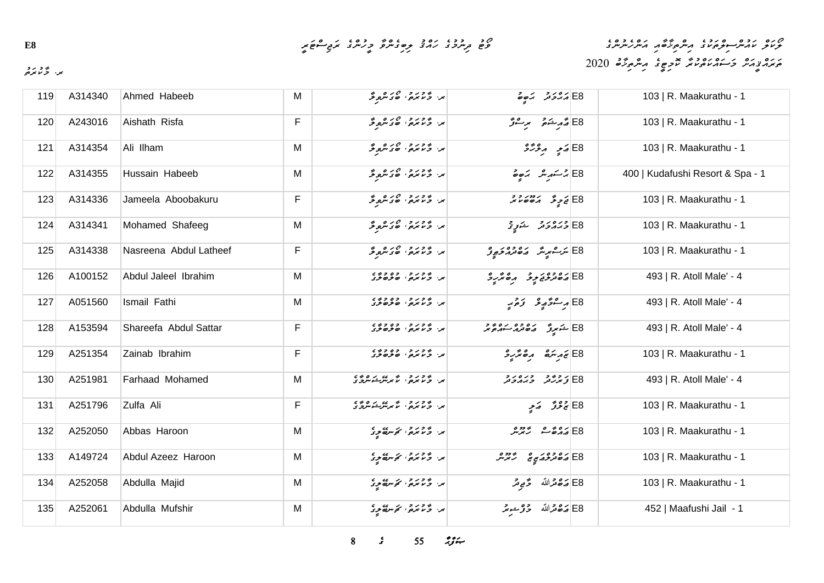*sCw7q7s5w7m< o<n9nOoAw7o< sCq;mAwBoEw7q<m; wBm;vB* م من المرة المرة المرة المرجع المرجع في المركبة 2020<br>مجم*د المريض المربوط المربع المرجع في المراجع المركبة* 

| 119 | A314340 | Ahmed Habeeb           | M | بر كەردە ئەر ئابر                                                   |                                                                                                                                                | 103   R. Maakurathu - 1          |
|-----|---------|------------------------|---|---------------------------------------------------------------------|------------------------------------------------------------------------------------------------------------------------------------------------|----------------------------------|
| 120 | A243016 | Aishath Risfa          | F | بر ورده مره و                                                       | E8 مۇم ھۇم موسى <i>مۇ</i>                                                                                                                      | 103   R. Maakurathu - 1          |
| 121 | A314354 | Ali Ilham              | M | بر به ورد ٢٥ مرمونځ                                                 | E8] ر <sub>َمحٍ</sub> م <i>ِ وَرُدَّ</i> دُ                                                                                                    | 103   R. Maakurathu - 1          |
| 122 | A314355 | Hussain Habeeb         | M | بر كورد ورد ورد                                                     | E8 يُرْسَمب <sup>9</sup> يُرَصِّ صَ                                                                                                            | 400   Kudafushi Resort & Spa - 1 |
| 123 | A314336 | Jameela Aboobakuru     | F | بر ورده مره و                                                       | $\begin{array}{cc} \mathcal{Z} & \mathcal{Z} & \mathcal{Z} & \mathcal{Z} \\ \mathcal{Z} & \mathcal{Z} & \mathcal{Z} & \mathcal{Z} \end{array}$ | 103   R. Maakurathu - 1          |
| 124 | A314341 | Mohamed Shafeeg        | M | ىر. ئەدىرو، ھ <sub>ە</sub> رھون                                     | E8 <i>ۇرۇۋۇ شۇي</i> ۇ                                                                                                                          | 103   R. Maakurathu - 1          |
| 125 | A314338 | Nasreena Abdul Latheef | F | بر کورو مره د چې شورگ                                               | E8] <i>مَرْڪمرِ مَنْ مَ</i> قْعَد <i>ُ مَرْوَجِ</i> وَ                                                                                         | 103   R. Maakurathu - 1          |
| 126 | A100152 | Abdul Jaleel Ibrahim   | M | پر په دره ده ده ده<br>پر تر لابره کامل کار                          | E8 בەمرى بوتى مەھەر بى                                                                                                                         | 493   R. Atoll Male' - 4         |
| 127 | A051560 | Ismail Fathi           | M | ז דינד בסבים<br>זי ציותם <sup>,</sup> ס <b>ב</b> סבב                | E8 م <i>ېرىشۇم بۇ تۇمۇب</i>                                                                                                                    | 493   R. Atoll Male' - 4         |
| 128 | A153594 | Shareefa Abdul Sattar  | F | پر په دره ده ده ده<br>پر تر لابره کامل کار                          | E8 شكور من من من من من من من من من من المسكومين بن المسكومين بن المسكومين المسكومين المسكومين المسكومين المسكو                                 | 493   R. Atoll Male' - 4         |
| 129 | A251354 | Zainab Ibrahim         | F |                                                                     | E8 يَدِينَ مِنْ مِنْ رَبِّ                                                                                                                     | 103   R. Maakurathu - 1          |
| 130 | A251981 | <b>Farhaad Mohamed</b> | M | ىر. ئەمەم ، شىرىكىشكەردى                                            | E8 كەيمەر قايدە دىر                                                                                                                            | 493   R. Atoll Male' - 4         |
| 131 | A251796 | Zulfa Ali              | F | بر کا در در کا بر شرکت مرد و داد.<br>بر او و برابر کا بر شرکت مروان | E8] بح تحرَّق – <sub>ا</sub> رَمٍ                                                                                                              | 103   R. Maakurathu - 1          |
| 132 | A252050 | Abbas Haroon           | M | بر و و د و بر سه و                                                  | E8 مَ <i>مْرَة مُسَرِّسْ</i>                                                                                                                   | 103   R. Maakurathu - 1          |
| 133 | A149724 | Abdul Azeez Haroon     | M | بر و و د و به سه سه                                                 | E8 <sub>م</sub> ُص <i>ور م</i> ي مُحمد مُحمد مُحمد م                                                                                           | 103   R. Maakurathu - 1          |
| 134 | A252058 | Abdulla Majid          | M | بر و و د و به سای و ا                                               | E8 رَصْحَرْاللّه     وَّمِ مَرْ                                                                                                                | 103   R. Maakurathu - 1          |
| 135 | A252061 | Abdulla Mufshir        | M | بر و د د د کرسه د د                                                 | E8 رَصْحَرْاللّه وَقَرْسُومَرْ                                                                                                                 | 452   Maafushi Jail - 1          |

**8** *s* **55** *z s*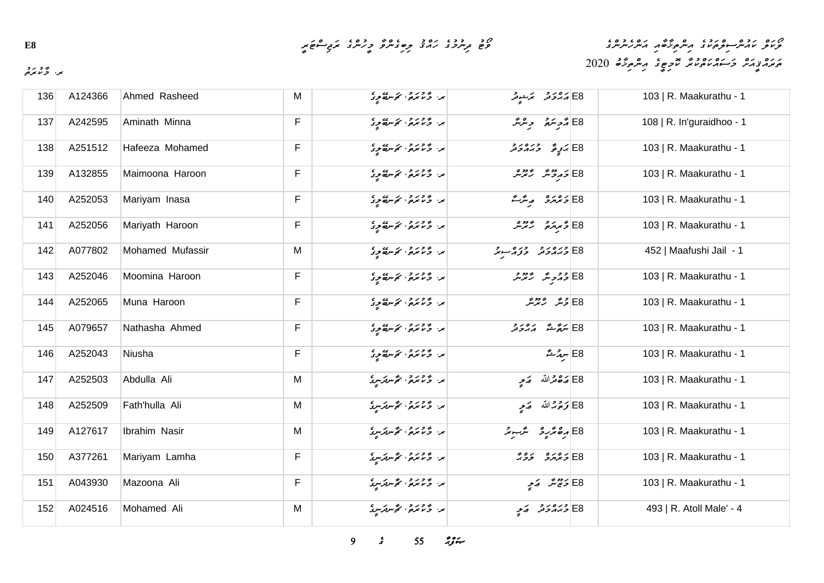*sCw7q7s5w7m< o<n9nOoAw7o< sCq;mAwBoEw7q<m; wBm;vB* م من المرة المرة المرة المرجع المرجع في المركبة 2020<br>مجم*د المريض المربوط المربع المرجع في المراجع المركبة* 

| 136 | A124366 | Ahmed Rasheed    | M           | ىن ئۇ ئەنزۇ، ئۇسقەم ئ                                                                                 | E8  كەنگە كىم كىزىسى كىلەر ئىس                                                                     | 103   R. Maakurathu - 1   |
|-----|---------|------------------|-------------|-------------------------------------------------------------------------------------------------------|----------------------------------------------------------------------------------------------------|---------------------------|
| 137 | A242595 | Aminath Minna    | $\mathsf F$ | من وحود و محمد المحمد المحمد                                                                          | E8 أَمُّ حِبْرَ مِنْ مَحْرِ مِنْ مِنْ الْمُنْ مِنْ مِنْ مِنْ مِنْ مِنْ الْمُنْ مِنْ مِنْ مِنْ مِنْ | 108   R. In'guraidhoo - 1 |
| 138 | A251512 | Hafeeza Mohamed  | $\mathsf F$ | بر د ورو نومبر                                                                                        | E8 <i>بَرْدٍ وَبَرُودُو</i> رَ                                                                     | 103   R. Maakurathu - 1   |
| 139 | A132855 | Maimoona Haroon  | $\mathsf F$ | بر و درو نومها                                                                                        | E8 <i>جَهُ جَهُمْ سُمْحَمْ</i> سُمَّةٍ                                                             | 103   R. Maakurathu - 1   |
| 140 | A252053 | Mariyam Inasa    | $\mathsf F$ | بر و درو نومها                                                                                        | E8 كەبىر بىر مەشرىسىسى بىر                                                                         | 103   R. Maakurathu - 1   |
| 141 | A252056 | Mariyath Haroon  | F           | من وموجود محمود من                                                                                    | E8 م <i>ُ بِهِ مَنْ مُحَمَّدٌ مُحَمَّدٌ ال</i>                                                     | 103   R. Maakurathu - 1   |
| 142 | A077802 | Mohamed Mufassir | M           | بر و درو نومبره و                                                                                     | E8 دېم دي د وره ب                                                                                  | 452   Maafushi Jail - 1   |
| 143 | A252046 | Moomina Haroon   | F           | بر وروبو بر سه و                                                                                      | E8 دُوْمِتْرَ گَنْدَتْر                                                                            | 103   R. Maakurathu - 1   |
| 144 | A252065 | Muna Haroon      | F           | بر ورده کم سهود                                                                                       | E8 ترتير گرميز مي                                                                                  | 103   R. Maakurathu - 1   |
| 145 | A079657 | Nathasha Ahmed   | F           | بر ورود وسره                                                                                          | E8 سَهَّتْ مَ <sup>رُ</sup> دَدَ                                                                   | 103   R. Maakurathu - 1   |
| 146 | A252043 | Niusha           | F           | من وموجود محمود من                                                                                    | E8 سرمْشَہ                                                                                         | 103   R. Maakurathu - 1   |
| 147 | A252503 | Abdulla Ali      | M           | من وحرور المحموم المحمد المحمد المحمد                                                                 | E8 كَ صُدَّاللَّهُ      كَمَحِي                                                                    | 103   R. Maakurathu - 1   |
| 148 | A252509 | Fath'hulla Ali   | M           | المن المحمد محمد المستقر المحمد المحمد المحمد المحمد المحمد المحمد المحمد المحمد المحمد المحمد المحمد | E8 ترڅ <sup>2</sup> الله ټرمي                                                                      | 103   R. Maakurathu - 1   |
| 149 | A127617 | Ibrahim Nasir    | M           | بر و و د و استمريكي                                                                                   | E8 مەھەرىرى سىر مىز                                                                                | 103   R. Maakurathu - 1   |
| 150 | A377261 | Mariyam Lamha    | F           | من وحروم المحموم المرس                                                                                | E8 كەبەر كەرەبىر                                                                                   | 103   R. Maakurathu - 1   |
| 151 | A043930 | Mazoona Ali      | F           | من ومعرض المسترس                                                                                      | E8 كۆيىمىگە كەبىيە                                                                                 | 103   R. Maakurathu - 1   |
| 152 | A024516 | Mohamed Ali      | M           | من وحمائله المحموم المرس                                                                              | E8 <i>وَبَهُ وَبَرْ دَبِي</i>                                                                      | 493   R. Atoll Male' - 4  |

*9 s* 55 *f*<sub>3</sub> *s*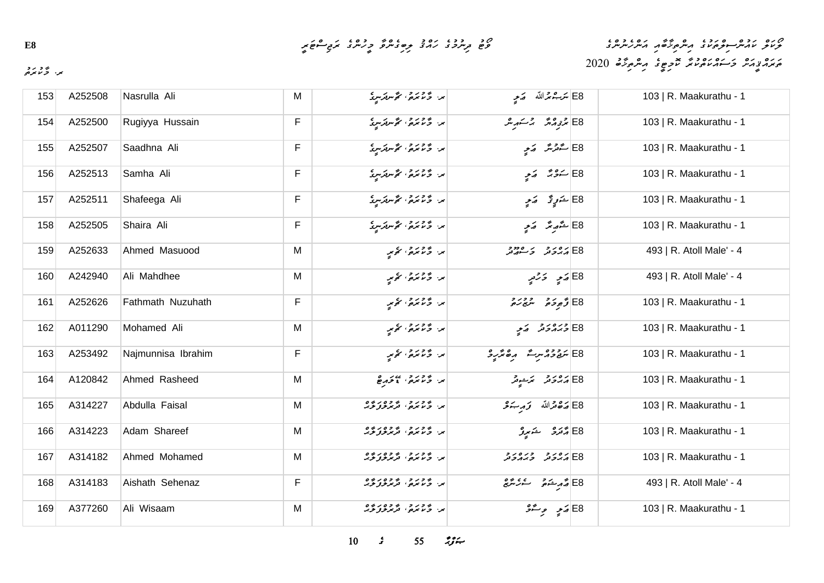*sCw7q7s5w7m< o<n9nOoAw7o< sCq;mAwBoEw7q<m; wBm;vB* م من المرة المرة المرة المرجع المرجع في المركبة 2020<br>مجم*د المريض المربوط المربع المرجع في المراجع المركبة* 

| 153 | A252508 | Nasrulla Ali       | M           | من كالأمرى كالمسترس                                                                                    | E8] تَرَبُّكُمْ لِلَّهُ - رَسِمْ لِ  | 103   R. Maakurathu - 1  |
|-----|---------|--------------------|-------------|--------------------------------------------------------------------------------------------------------|--------------------------------------|--------------------------|
| 154 | A252500 | Rugiyya Hussain    | $\mathsf F$ | من كورود المحموم المرس                                                                                 | E8 ترتو پر محمد چرک میں میں ایک ا    | 103   R. Maakurathu - 1  |
| 155 | A252507 | Saadhna Ali        | $\mathsf F$ | من وحرور المحموم المريح                                                                                | E8 گەنگە كەم                         | 103   R. Maakurathu - 1  |
| 156 | A252513 | Samha Ali          | $\mathsf F$ | من كورود المحموم المرس                                                                                 | E8 سمرقہ مجمو                        | 103   R. Maakurathu - 1  |
| 157 | A252511 | Shafeega Ali       | F           | من كالمحمد المحموم المحمد المحمد المحمد المحمد المحمد المحمد المحمد المحمد المحمد المحمد المحمد المحمد | E8] ڪَمَوٍ ٿُٽ - <i>مَ</i> حِي       | 103   R. Maakurathu - 1  |
| 158 | A252505 | Shaira Ali         | $\mathsf F$ | من ومعرض المسترس                                                                                       | E8 شەپەتتى كەمچ                      | 103   R. Maakurathu - 1  |
| 159 | A252633 | Ahmed Masuood      | M           | بر و و د ده کام                                                                                        | E8 ג׳ د د محمد محمد محمد محمد محمد ا | 493   R. Atoll Male' - 4 |
| 160 | A242940 | Ali Mahdhee        | M           | بر و در د ه                                                                                            | E8  كەمچە - كەرگەي <sub>چە</sub>     | 493   R. Atoll Male' - 4 |
| 161 | A252626 | Fathmath Nuzuhath  | $\mathsf F$ | بر و و د و ع                                                                                           | E8 ژ <sub>ېم</sub> وکړ شي <i>کې</i>  | 103   R. Maakurathu - 1  |
| 162 | A011290 | Mohamed Ali        | M           | بر کا ترمی کا تر                                                                                       | E8 <i>وَبَهُ وَبَوْ</i> مَعِ         | 103   R. Maakurathu - 1  |
| 163 | A253492 | Najmunnisa Ibrahim | F           | بر و و د و ع                                                                                           |                                      | 103   R. Maakurathu - 1  |
| 164 | A120842 | Ahmed Rasheed      | M           |                                                                                                        | E8] كەندى كىم كى كىلىن ئىشلاپتىكى P  | 103   R. Maakurathu - 1  |
| 165 | A314227 | Abdulla Faisal     | M           | بر به در در ۱۵۶۵ وروه<br>بر گانمري تربر وروش                                                           | E8 كەھەرللە <i>ق</i> ەببەق           | 103   R. Maakurathu - 1  |
| 166 | A314223 | Adam Shareef       | M           | بر او در در دوربره<br>براو ما بروا افزیر و دور                                                         | E8 , گەترى ھىيەتى                    | 103   R. Maakurathu - 1  |
| 167 | A314182 | Ahmed Mohamed      | M           | بر او در در دوربره<br>براو ما بروا افزیر و دور                                                         | E8 ג' ג' ביטיביה                     | 103   R. Maakurathu - 1  |
| 168 | A314183 | Aishath Sehenaz    | F           | بر دورو دوده دوه<br>بر ونابره تربر ووځه                                                                | E8 مەم ئىشقى ئىش ئىرىشى ئى           | 493   R. Atoll Male' - 4 |
| 169 | A377260 | Ali Wisaam         | M           | بر اور در دروه<br>بر گرم برو، تربر و ژبر                                                               | E8 رَمٍ م <i>ِ م</i> ِ مَرْدُ        | 103   R. Maakurathu - 1  |

 $10$  *s* 55  $23$   $-$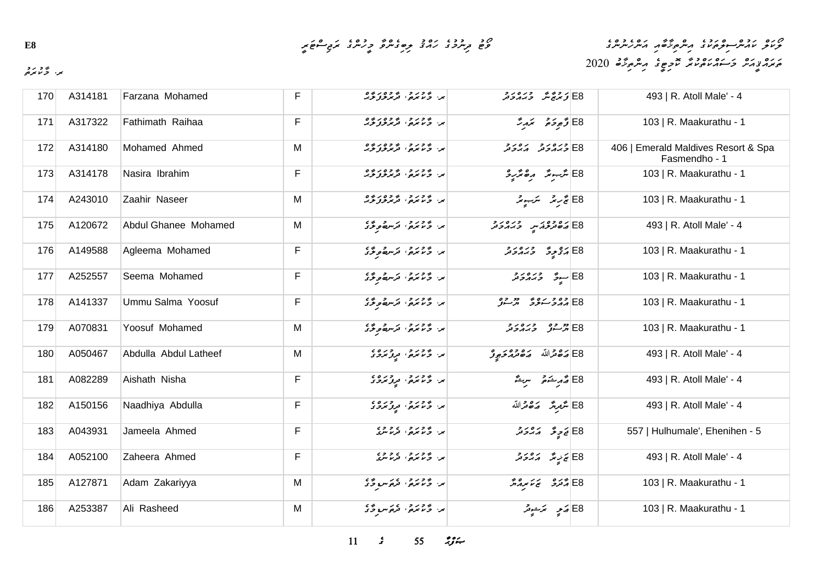*sCw7q7s5w7m< o<n9nOoAw7o< sCq;mAwBoEw7q<m; wBm;vB* م من المرة المرة المرة المرجع المرجع في المركبة 2020<br>مجم*د المريض المربوط المربع المرجع في المراجع المركبة* 

| 170 | A314181 | Farzana Mohamed       | F            | بر ورد بروه دوه<br>بر ونابره تربروژوند   | E8 ۇىرتم تىر مەردىر                 | 493   R. Atoll Male' - 4                             |
|-----|---------|-----------------------|--------------|------------------------------------------|-------------------------------------|------------------------------------------------------|
| 171 | A317322 | Fathimath Raihaa      | F            | بر ورد ودوه وه<br>بر ژناندها تربروژوند   | E8 رَّجِ دَمَ مَدَبِرٌ              | 103   R. Maakurathu - 1                              |
| 172 | A314180 | Mohamed Ahmed         | M            | بر اور در دوروه<br>بر ژنابرها تربروژونه  | E8 ديره ده بره دور                  | 406   Emerald Maldives Resort & Spa<br>Fasmendho - 1 |
| 173 | A314178 | Nasira Ibrahim        | $\mathsf{F}$ | بر اور در دروه<br>براونابرها تربر وولوبر | E8 سَّرْسِوسَّر مِرْھ مَّرْرِ 2     | 103   R. Maakurathu - 1                              |
| 174 | A243010 | Zaahir Naseer         | M            | بر اور در دروه<br>براونابرها تربر وولوبر | E8 تج سِعْر – سَرَسِوِعْرُ          | 103   R. Maakurathu - 1                              |
| 175 | A120672 | Abdul Ghanee Mohamed  | M            | بر و دورو ترسه و د د                     | E8 בֿבּבּנּגֿיתָ 25,000 ב           | 493   R. Atoll Male' - 4                             |
| 176 | A149588 | Agleema Mohamed       | F            | من كالأمرة المرسرة ومحمد                 | E8 , جۇ يۇ ئەم ئەرىخە ئى            | 103   R. Maakurathu - 1                              |
| 177 | A252557 | Seema Mohamed         | $\mathsf{F}$ | بر و د د و د د و                         | E8 سوءً - ويممونه                   | 103   R. Maakurathu - 1                              |
| 178 | A141337 | Ummu Salma Yoosuf     | F            | بر و د د و د د و                         | E8 - 2007 - 2007 E8                 | 103   R. Maakurathu - 1                              |
| 179 | A070831 | Yoosuf Mohamed        | M            | بر کور در در در در د                     | E8 ټر <i>پېړۍ تر</i>                | 103   R. Maakurathu - 1                              |
| 180 | A050467 | Abdulla Abdul Latheef | M            | بر گرم بره وره و                         | E8 مەھىراللە مەھىرم <i>خېرى</i>     | 493   R. Atoll Male' - 4                             |
| 181 | A082289 | Aishath Nisha         | F            | بر گرم بره .<br>بر گرم بره . فرق برو ت   | E8 مُرمِشَمُ سِٹَہ                  | 493   R. Atoll Male' - 4                             |
| 182 | A150156 | Naadhiya Abdulla      | $\mathsf F$  | بر به ورو<br>بر گانمرها فرق بروی         | E8 سَرْمِرْدَ سَ§مِّرْاللّه         | 493   R. Atoll Male' - 4                             |
| 183 | A043931 | Jameela Ahmed         | F            | بر به وروبان ورونا<br>بر گانگرمی ترناس   | E8 <sub>تح</sub> وِرَ <i>م</i> کرور | 557   Hulhumale', Ehenihen - 5                       |
| 184 | A052100 | Zaheera Ahmed         | F            | بر به وروبه دوره<br>بر گرم برم ترم ش     | E8 ىخ ئەيتى كەنجە ئەرىخە            | 493   R. Atoll Male' - 4                             |
| 185 | A127871 | Adam Zakariyya        | M            | ىن ئۇ ئۇيرۇ، ئۈيمىس ئۇ ئ                 | E8 أَرْتَرَدُّ بِمَ مَبْرَ الْمَرْ  | 103   R. Maakurathu - 1                              |
| 186 | A253387 | Ali Rasheed           | M            | بر کام بره اوره برای                     | E8  رَمِ کَرَشِیْرَ ا               | 103   R. Maakurathu - 1                              |

 $11$  *s* 55  $234$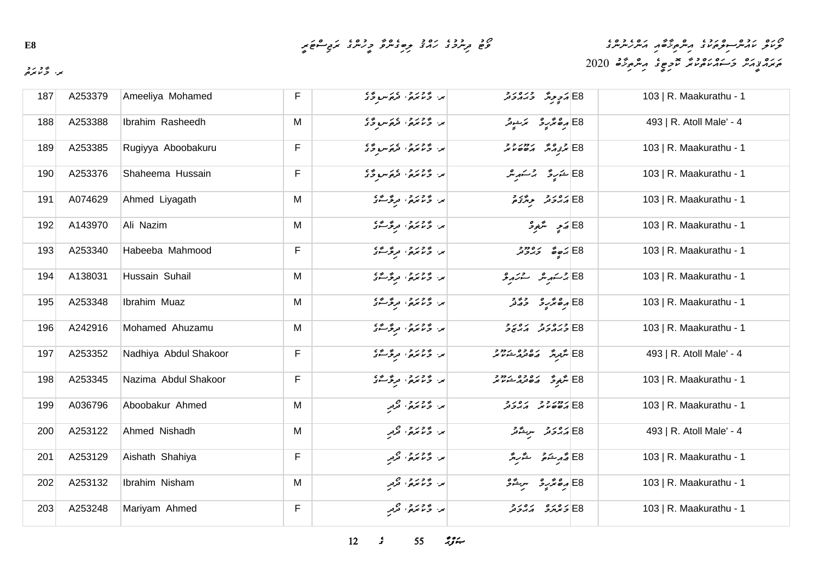*sCw7q7s5w7m< o<n9nOoAw7o< sCq;mAwBoEw7q<m; wBm;vB* م من المرة المرة المرة المرجع المرجع في المركبة 2020<br>مجم*د المريض المربوط المربع المرجع في المراجع المركبة* 

| 187 | A253379 | Ameeliya Mohamed      | F           | ىر. ئۇ ئايمرى ئۈركەس ئەك                                                                                      | E8] גَر <sub>ِّج</sub> ِ جَرَمَّ حَرَمَ جَمَعَةِ حَر                                                 | 103   R. Maakurathu - 1  |
|-----|---------|-----------------------|-------------|---------------------------------------------------------------------------------------------------------------|------------------------------------------------------------------------------------------------------|--------------------------|
| 188 | A253388 | Ibrahim Rasheedh      | M           | بر و دروه در دروه                                                                                             | E8 <i>برھ مُرْرِ \$ مَرْسِ</i> رِتْر                                                                 | 493   R. Atoll Male' - 4 |
| 189 | A253385 | Rugiyya Aboobakuru    | F           | بر گردده مرکز مورد کار                                                                                        | $77777$ $797$ $797$ $28$                                                                             | 103   R. Maakurathu - 1  |
| 190 | A253376 | Shaheema Hussain      | F           | من كالمرد و محمد و دارد و دارد و دارد و دارد و دارد و دارد و دارد و دارد و دارد و دارد و دارد و دارد و دارد و | E8 خىرى - جەسىر ش                                                                                    | 103   R. Maakurathu - 1  |
| 191 | A074629 | Ahmed Liyagath        | M           | بر کارورو، مرگز کار                                                                                           | E8 <i>ג 25 جو پر ق</i> و                                                                             | 103   R. Maakurathu - 1  |
| 192 | A143970 | Ali Nazim             | M           | ىن كەردە بوگەن                                                                                                | E8 <i>ڇَجِ سُمُوَدُ</i>                                                                              | 103   R. Maakurathu - 1  |
| 193 | A253340 | Habeeba Mahmood       | F           | ىن ئەدىرە، بېرىشى                                                                                             | E8 يَهِمُّ كَبَرْدَتْرَ                                                                              | 103   R. Maakurathu - 1  |
| 194 | A138031 | Hussain Suhail        | M           | بر ورده پروژن                                                                                                 | E8 يُرْسَمبِ مُنْ مُسْتَرَمِ فِي الْمُسْتَرَمَّةِ مِنْ الْمُسْتَرَمَّةِ مِنْ الْمُسْتَرَمَّةِ مِنْ ا | 103   R. Maakurathu - 1  |
| 195 | A253348 | Ibrahim Muaz          | M           | بر کارورو، تروگروی                                                                                            | E8 مەھەمگەر 2 جەمھ                                                                                   | 103   R. Maakurathu - 1  |
| 196 | A242916 | Mohamed Ahuzamu       | M           | ىن گەندىق بېرگۇشى                                                                                             | $5501$ $5502$ $E8$                                                                                   | 103   R. Maakurathu - 1  |
| 197 | A253352 | Nadhiya Abdul Shakoor | $\mathsf F$ | ىن گەم بەرە، بېرگۇشتى                                                                                         | E8 شرمرش مەھەرمەدە دە                                                                                | 493   R. Atoll Male' - 4 |
| 198 | A253345 | Nazima Abdul Shakoor  | F           | ىن گەندىق بېرگۇشى                                                                                             | E8 سُمْعِ دُ مَ صَمَّر مِسْمَدٍ دِ دِ                                                                | 103   R. Maakurathu - 1  |
| 199 | A036796 | Aboobakur Ahmed       | M           | بر کام ترویج کرمز                                                                                             | 5, 0, 2, 7, 7, 10                                                                                    | 103   R. Maakurathu - 1  |
| 200 | A253122 | Ahmed Nishadh         | M           | بر و درو هر                                                                                                   | E8 كەشكە كە سرىشە <i>ئى</i> ر                                                                        | 493   R. Atoll Male' - 4 |
| 201 | A253129 | Aishath Shahiya       | F           | أين المحمد بمردم المرمور                                                                                      | E8 مُرمِشَمُ شَرِيرٌ                                                                                 | 103   R. Maakurathu - 1  |
| 202 | A253132 | Ibrahim Nisham        | M           | بر به درو هم                                                                                                  | E8 م <i>ِ ھُنگرِ وَ</i> سَرِ سُرَّ دَ                                                                | 103   R. Maakurathu - 1  |
| 203 | A253248 | Mariyam Ahmed         | F           | بر و درو هر                                                                                                   | E8 كەممەر مەمەدىر                                                                                    | 103   R. Maakurathu - 1  |

 $12$  *s* 55  $23$   $\div$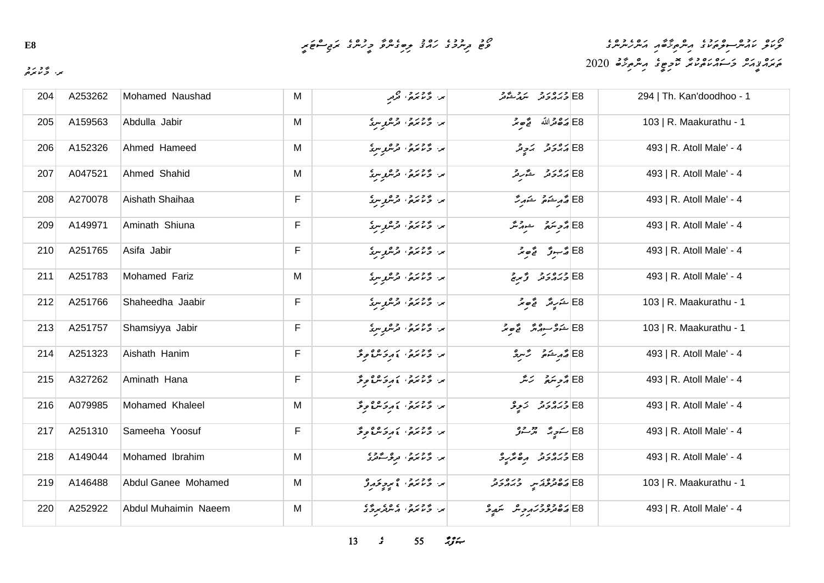*sCw7q7s5w7m< o<n9nOoAw7o< sCq;mAwBoEw7q<m; wBm;vB* م من المرة المرة المرة المرجع المرجع في المركبة 2020<br>مجم*د المريض المربوط المربع المرجع في المراجع المركبة* 

| 204 | A253262 | Mohamed Naushad      | M           | ىر. ئۇ ئۇيمۇ، ئۇير                                                         | E8 <i>وَبَهُ وَبَوْ</i> مَسَرٍ مِنْ مُشَعَّرٌ | 294   Th. Kan'doodhoo - 1 |
|-----|---------|----------------------|-------------|----------------------------------------------------------------------------|-----------------------------------------------|---------------------------|
| 205 | A159563 | Abdulla Jabir        | M           | ىن ئۇ دىرە، ئۇشرېتىد                                                       | E8 مَ <i>حْمَّدْ</i> اللَّهُ قَمَّ صِمَّر     | 103   R. Maakurathu - 1   |
| 206 | A152326 | Ahmed Hameed         | м           | ىن ئۇ دىرە، ئۇشرېتىد                                                       | E8   كەشكە قىر كەر بىر ئىس                    | 493   R. Atoll Male' - 4  |
| 207 | A047521 | Ahmed Shahid         | M           | بر كالأبرو، وراموسى                                                        | E8 كەبرى قىرىقە ئىقىدىقى                      | 493   R. Atoll Male' - 4  |
| 208 | A270078 | Aishath Shaihaa      | F           | بر و المعرفي المرس                                                         | E8 صُمِيسَة صُمَمَّة حُسَّمَة بِ              | 493   R. Atoll Male' - 4  |
| 209 | A149971 | Aminath Shiuna       | $\mathsf F$ | ىن ئۇ دىرە، ئۇشرېتىد                                                       | E8 مُ <i>جِسَعُو</i> ہے م <sup>م</sup> ق      | 493   R. Atoll Male' - 4  |
| 210 | A251765 | Asifa Jabir          | F           | بر و درو و و مرس                                                           | E8 مُسِبِرٌ مُحَصِّدٌ                         | 493   R. Atoll Male' - 4  |
| 211 | A251783 | Mohamed Fariz        | M           | ىن ئۇ دىرە، ئۇشرېتىد                                                       | E8 32022 رحم برم                              | 493   R. Atoll Male' - 4  |
| 212 | A251766 | Shaheedha Jaabir     | $\mathsf F$ | أين الحرم والمحمد المحمد المحمد المحمد المحمد المحمد المحمد المحمد المحمدة | E8 خَرِيمٌ قَ <sub>مُ</sub> صِمْرُ            | 103   R. Maakurathu - 1   |
| 213 | A251757 | Shamsiyya Jabir      | F           | بر و المرد و و المراسي                                                     | E8 شكى سورىم قى ھەتمە                         | 103   R. Maakurathu - 1   |
| 214 | A251323 | Aishath Hanim        | $\mathsf F$ | ىر. ئەممگى ئەرئەمدە بوڭ                                                    | E8 مُدِيسَة مُتَ سِرْدُ                       | 493   R. Atoll Male' - 4  |
| 215 | A327262 | Aminath Hana         | F           | ىر. ئەنمىرى ، ئەر ئەركى ئونۇ                                               | E8 م <i>ُّحِ سَعْہِ ک</i> َ سُرِ              | 493   R. Atoll Male' - 4  |
| 216 | A079985 | Mohamed Khaleel      | M           | برا والمروا لأمرض والمحافية                                                | E8] \$ <i>\$ \$ \$ \$ \$ \$ \$</i> \$ \$      | 493   R. Atoll Male' - 4  |
| 217 | A251310 | Sameeha Yoosuf       | F           | بر وردو برره و و و څ                                                       | E8 ڪرچ پر هرشو تو                             | 493   R. Atoll Male' - 4  |
| 218 | A149044 | Mohamed Ibrahim      | M           | بر و د د د و و د د د و و<br>بر و ما برو او و سوتری                         | E8 دُبَرْدُونَرَ بِرەڭرىرْد                   | 493   R. Atoll Male' - 4  |
| 219 | A146488 | Abdul Ganee Mohamed  | M           | بر ورود ومرد و مرد درو                                                     | E8 בֿיפּינּגֿריתַ 25,000 E                    | 103   R. Maakurathu - 1   |
| 220 | A252922 | Abdul Muhaimin Naeem | M           | بر کورو ده ده ده.<br>بر گرم برجي اړسربربرگر                                | E8 בەنزى <i>3 دەرەپ سەي</i>                   | 493   R. Atoll Male' - 4  |

*qAm8q;n> .8*

 $13$  *s* 55  $23$   $\div$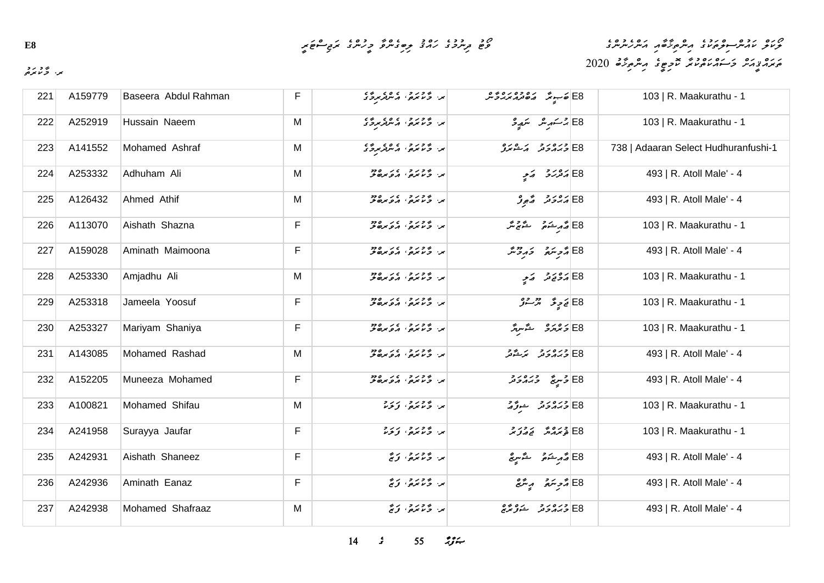*sCw7q7s5w7m< o<n9nOoAw7o< sCq;mAwBoEw7q<m; wBm;vB* م من المرة المرة المرة المرجع المرجع في المركبة 2020<br>مجم*د المريض المربوط المربع المرجع في المراجع المركبة* 

| 221 | A159779 | Baseera Abdul Rahman | F            | بر به ورد ده ورد و د              | E8 خېږم د موروبوره ده.<br>E8            | 103   R. Maakurathu - 1              |
|-----|---------|----------------------|--------------|-----------------------------------|-----------------------------------------|--------------------------------------|
| 222 | A252919 | Hussain Naeem        | M            | ىر بەردىن مەربەر دە               | E8 - جُسكور مثر محمدٍ حس                | 103   R. Maakurathu - 1              |
| 223 | A141552 | Mohamed Ashraf       | M            | بر به ورد ده ده ده د              | E8 دېرورو کې شوندنو                     | 738   Adaaran Select Hudhuranfushi-1 |
| 224 | A253332 | Adhuham Ali          | M            |                                   | E8 كەن <i>تەرىخە</i> كەبىي              | 493   R. Atoll Male' - 4             |
| 225 | A126432 | Ahmed Athif          | M            | זה בנית המשפח.<br>זה בעזקי הפזשיב | E8 كەشكەتى گەم <u>و</u> ر               | 493   R. Atoll Male' - 4             |
| 226 | A113070 | Aishath Shazna       | $\mathsf{F}$ | זה בנית הפיתוס בי                 | E8 مُدْمِرْ مُشْمَعٌ مُدَّمَّةٍ مُدَّرِ | 103   R. Maakurathu - 1              |
| 227 | A159028 | Aminath Maimoona     | F            | זה בנית הפיתוס בי                 | E8 مُتَّحِسَمُ مَنْ مَرْدَمَّدَ         | 493   R. Atoll Male' - 4             |
| 228 | A253330 | Amjadhu Ali          | M            | ז: דינדק, דינדק מי                | E8 كەۋىخە كەم ب                         | 103   R. Maakurathu - 1              |
| 229 | A253318 | Jameela Yoosuf       | F            | ז בניבי בי סמ                     | E8 <i>في جد محمد جو</i>                 | 103   R. Maakurathu - 1              |
| 230 | A253327 | Mariyam Shaniya      | F            | ז בניבי בי סמ                     | E8 كەنگەر ئەسىگە                        | 103   R. Maakurathu - 1              |
| 231 | A143085 | Mohamed Rashad       | M            | י כניבי בי המייחי מיי             | E8 دېرورو ترڅونر                        | 493   R. Atoll Male' - 4             |
| 232 | A152205 | Muneeza Mohamed      | F            | זה בנית הפיתוס בי                 | E8   جُسِيَّةُ   حَ <i>مْدُوْ</i> مُرَّ | 493   R. Atoll Male' - 4             |
| 233 | A100821 | Mohamed Shifau       | M            | بر کارورو، وکرد                   | $23.22$ $25.23$ $E8$                    | 103   R. Maakurathu - 1              |
| 234 | A241958 | Surayya Jaufar       | F            | بر کارورو، وکرد                   | E8 فوتىرە بىر يەرىپ                     | 103   R. Maakurathu - 1              |
| 235 | A242931 | Aishath Shaneez      | F            | ىن ئۇ 27 مۇي كۆلى                 | E8 مُرمِشَمُ شَمْسِيَّ                  | 493   R. Atoll Male' - 4             |
| 236 | A242936 | Aminath Eanaz        | F            | ىن ئۇ 27 مۇي كۆلى                 | E8 مُجِسَعَةٍ مِسَّنَّةٍ                | 493   R. Atoll Male' - 4             |
| 237 | A242938 | Mohamed Shafraaz     | M            | ىن ئۇردىق ئەنج                    | E8 دېرورو شورتندي                       | 493   R. Atoll Male' - 4             |

*14 s* 55 *z*<sub>3</sub> *s*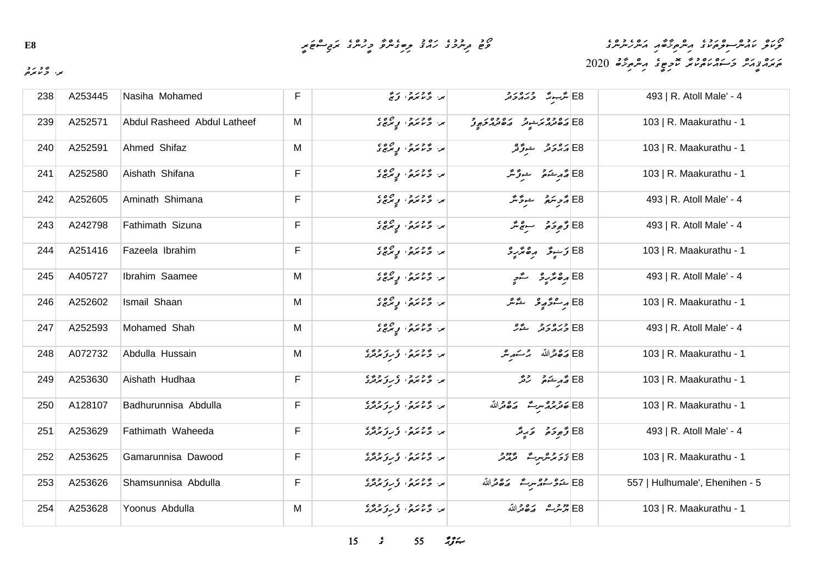*sCw7q7s5w7m< o<n9nOoAw7o< sCq;mAwBoEw7q<m; wBm;vB* م من المرة المرة المرة المرجع المرجع في المركبة 2020<br>مجم*د المريض المربوط المربع المرجع في المراجع المركبة* 

| 238 | A253445 | Nasiha Mohamed              | F            | ىر. ئۇ ئەترى ئۇنج                         | E8] مُرْسِدُ مُرْكَرْدُورْ            | 493   R. Atoll Male' - 4       |
|-----|---------|-----------------------------|--------------|-------------------------------------------|---------------------------------------|--------------------------------|
| 239 | A252571 | Abdul Rasheed Abdul Latheef | M            | بر ورد و ده وه                            | E8 رەمەر مر شوتر مەمەر مەنبى ق        | 103   R. Maakurathu - 1        |
| 240 | A252591 | Ahmed Shifaz                | M            | بر ورد وه.<br>بر ونابرها وبروی            | E8] <i>ړېر کو ته موگو</i> نر          | 103   R. Maakurathu - 1        |
| 241 | A252580 | Aishath Shifana             | F            | بر ورد و ده و د                           | E8 مَیْرِسْدَہ ہِ وَتَسَّرَ           | 103   R. Maakurathu - 1        |
| 242 | A252605 | Aminath Shimana             | F            | بر و در د ده ده ده<br>بر د کامرو او مرد د | E8 أَمَّ حِسَنَةٌ مُسْتَخَبَّرٌ       | 493   R. Atoll Male' - 4       |
| 243 | A242798 | Fathimath Sizuna            | $\mathsf{F}$ | بر ورد و ده ده<br>بر و لایره و مربع د     | E8 زَّەپرىدۇ سونى ئىر                 | 493   R. Atoll Male' - 4       |
| 244 | A251416 | Fazeela Ibrahim             | F            | بر و در ده و ۵۵۵                          | E8 كۆرىنى مەھمگەر ئى                  | 103   R. Maakurathu - 1        |
| 245 | A405727 | Ibrahim Saamee              | M            | بر ورو وه.                                | E8 م <i>ەھمەر بى</i> ئىستىم           | 493   R. Atoll Male' - 4       |
| 246 | A252602 | Ismail Shaan                | M            | بر ورد و ۵۵۵                              | E8 <sub>م</sub> رگۇم ئىچە ئىستىر      | 103   R. Maakurathu - 1        |
| 247 | A252593 | Mohamed Shah                | M            | بر و در د<br>بر گرم برمي و برمي           | E8 درورو گرو                          | 493   R. Atoll Male' - 4       |
| 248 | A072732 | Abdulla Hussain             | M            | بر و دروه و رووه و                        | E8 رَحْمَّةَ اللَّهُ بِرَكْبَهِ مِثْر | 103   R. Maakurathu - 1        |
| 249 | A253630 | Aishath Hudhaa              | F            | بر و دروه و رووه                          | E8 مُجرِسْتَمْ رَتَمَّ                | 103   R. Maakurathu - 1        |
| 250 | A128107 | Badhurunnisa Abdulla        | F            | بر و دروه و رووه                          | E8 <i>ھوندو موت</i> محمدالله          | 103   R. Maakurathu - 1        |
| 251 | A253629 | Fathimath Waheeda           | F            | بر و دود و دوه و                          | E8 <i>وَّجِوحَةْ وَب</i> ِقَّ         | 493   R. Atoll Male' - 4       |
| 252 | A253625 | Gamarunnisa Dawood          | F            | بر و دود و دوه و                          | E8 تۈكەتمەتلىرىگە قرىرقر              | 103   R. Maakurathu - 1        |
| 253 | A253626 | Shamsunnisa Abdulla         | F            | بر ورده وروبه                             | E8 خەر مەمرىكە كەھەراللە              | 557   Hulhumale', Ehenihen - 5 |
| 254 | A253628 | Yoonus Abdulla              | M            | بر په ۱۶۷۶ کې د ده د                      | E8 بَرْتَرْبُ بَرَصْوَرْاللّه         | 103   R. Maakurathu - 1        |

 $15$  *s* 55  $294$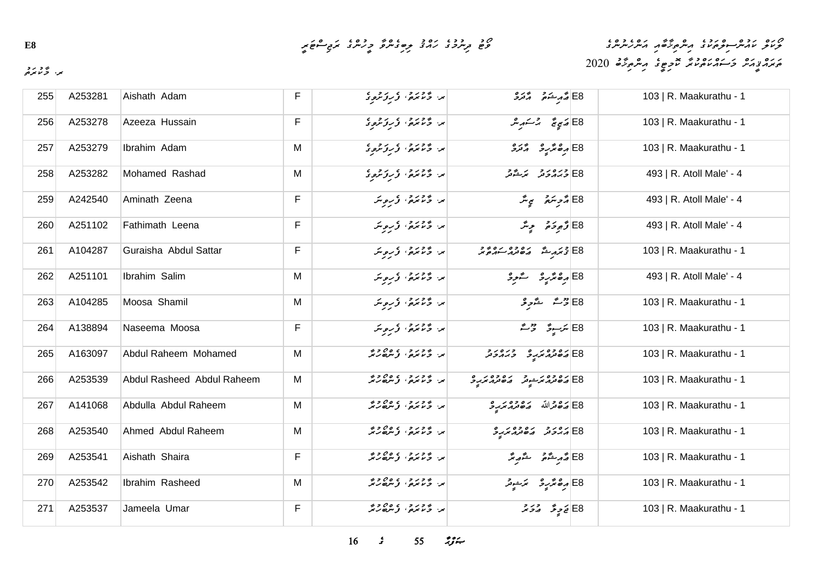*sCw7q7s5w7m< o<n9nOoAw7o< sCq;mAwBoEw7q<m; wBm;vB* م من المرة المرة المرة المرجع المرجع في المركبة 2020<br>مجم*د المريض المربوط المربع المرجع في المراجع المركبة* 

| 255 | A253281 | Aishath Adam               | F           | ىر. ئۇ ئۇيمۇ، ئۇر ئەترەپمى                 | E8 م <i>جْ مِ</i> شَمَعْ مُحَمَّدَة مُحَمَّدَة مُحَمَّد | 103   R. Maakurathu - 1  |
|-----|---------|----------------------------|-------------|--------------------------------------------|---------------------------------------------------------|--------------------------|
| 256 | A253278 | Azeeza Hussain             | $\mathsf F$ | بر وسرو وروده                              | E8 كەنبى قى جام يىلىر بىر                               | 103   R. Maakurathu - 1  |
| 257 | A253279 | Ibrahim Adam               | M           | برا وحرمتهم وكروتره وكالمحالة              | E8] مەھەمگەبەق مەممەد                                   | 103   R. Maakurathu - 1  |
| 258 | A253282 | Mohamed Rashad             | M           | بر و ورو و برو و ،                         | E8 وبرورو كريم و                                        | 493   R. Atoll Male' - 4 |
| 259 | A242540 | Aminath Zeena              | $\mathsf F$ | برا وتابره وروش                            | E8 <i>مُّ</i> حِسَمُ مِيمَّ                             | 493   R. Atoll Male' - 4 |
| 260 | A251102 | Fathimath Leena            | $\mathsf F$ | برا ولايره، ورويتر                         | E8 ژ <sub>ن</sub> ج د چنگر                              | 493   R. Atoll Male' - 4 |
| 261 | A104287 | Guraisha Abdul Sattar      | F           | برا وتمايرها ورويتر                        | E8 تونمبر شمس مع ده ده د و د                            | 103   R. Maakurathu - 1  |
| 262 | A251101 | Ibrahim Salim              | M           | برا وحروره وترويتر                         | E8 رەئزىرو شوۋ                                          | 493   R. Atoll Male' - 4 |
| 263 | A104285 | Moosa Shamil               | M           | برا ورده وروبتر                            | E8 تۆرگە مەش <i>ەر بى</i>                               | 103   R. Maakurathu - 1  |
| 264 | A138894 | Naseema Moosa              | $\mathsf F$ | برا ولايره ورونتر                          | E8 يَتَرَسُونَ - وَيْسَمُ                               | 103   R. Maakurathu - 1  |
| 265 | A163097 | Abdul Raheem Mohamed       | M           | بر کارورو ده ده.<br>بر کارونی وسفارند      | E8 גە دە برە دىرە دىر                                   | 103   R. Maakurathu - 1  |
| 266 | A253539 | Abdul Rasheed Abdul Raheem | M           | بر و درون و ۵۵ وه.<br>بر و مريد و سره رنگر | E8 رەدەبر خرىشوتر مەھەرمەترى                            | 103   R. Maakurathu - 1  |
| 267 | A141068 | Abdulla Abdul Raheem       | M           | بر محرره می ده.<br>بر گرسی و سهربر         | E8 رَصْعَرْ اللّه مَصْعَرْ مَرَبَّهِ وَ                 | 103   R. Maakurathu - 1  |
| 268 | A253540 | Ahmed Abdul Raheem         | M           | بر محرر و معروف<br>بر گريمي و سهريم        | E8 ג' ג' בי הסינג בי בי                                 | 103   R. Maakurathu - 1  |
| 269 | A253541 | Aishath Shaira             | F           | بر ورد وره وه                              | E8 مُ مِشْمُ شَمِيمٌ                                    | 103   R. Maakurathu - 1  |
| 270 | A253542 | Ibrahim Rasheed            | M           | بر ورده وه وه وه                           | E8 <sub>م</sub> ەنگرىرى كرىشون <i>گ</i>                 | 103   R. Maakurathu - 1  |
| 271 | A253537 | Jameela Umar               | F           | بر ورد و وړوه<br>بر ونامره ژبره رم         | E8 <sub>تك</sub> وٍ قد كركر بر                          | 103   R. Maakurathu - 1  |

 $16$  *s* 55  $29$   $\div$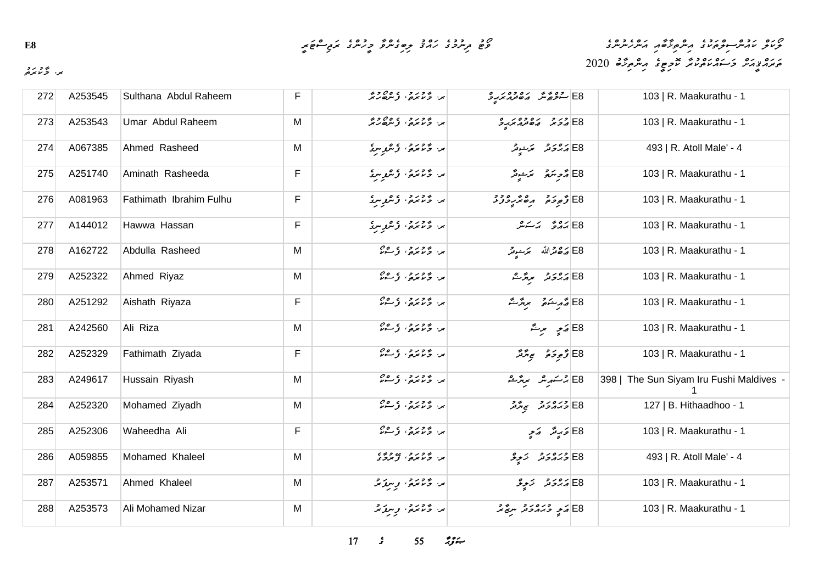*sCw7q7s5w7m< o<n9nOoAw7o< sCq;mAwBoEw7q<m; wBm;vB* م من المرة المرة المرة المرجع المرجع في المركبة 2020<br>مجم*د المريض المربوط المربع المرجع في المراجع المركبة* 

| 272 | A253545 | Sulthana Abdul Raheem   | F | بر به ورد عرض و ۲۵۵۰             | E8] كے توجُّ مَنْ مَصْغَرْ <i>مَرْ مَرْ بِ</i> رَ حَ | 103   R. Maakurathu - 1                  |
|-----|---------|-------------------------|---|----------------------------------|------------------------------------------------------|------------------------------------------|
| 273 | A253543 | Umar Abdul Raheem       | M | بر ورده وه وه وه                 | E8 252 2010 2020                                     | 103   R. Maakurathu - 1                  |
| 274 | A067385 | Ahmed Rasheed           | M | بر وبرو وعربت                    | E8] <i>גَ بُ</i> دْحَ مَرْ مَرْسُومْر                | 493   R. Atoll Male' - 4                 |
| 275 | A251740 | Aminath Rasheeda        | F | ىر. ئۇ ئومۇ، ئۇشرىسىد            | E8 مُ <i>جِسَمُ مَنْ جِيشَ</i>                       | 103   R. Maakurathu - 1                  |
| 276 | A081963 | Fathimath Ibrahim Fulhu | F | ىر. ئۇ ئومۇ، ئۇشرىسىد            | E8 رُجوحَة مِنْ مُرْسِرْ رُبْز                       | 103   R. Maakurathu - 1                  |
| 277 | A144012 | Hawwa Hassan            | F | بر گردده، ژیگریز                 | E8   يَهْرُقُ   يَرْسَعْرُ                           | 103   R. Maakurathu - 1                  |
| 278 | A162722 | Abdulla Rasheed         | M | بر کارورو کارون                  | E8 كَەھْتَراللە كَرَسْوِتْر                          | 103   R. Maakurathu - 1                  |
| 279 | A252322 | Ahmed Riyaz             | M | بر. د درو، د مار                 | E8 كەبرى كىمە ئىستىر بىر                             | 103   R. Maakurathu - 1                  |
| 280 | A251292 | Aishath Riyaza          | F | بر، ئەدرو، ئ $\mathcal{L}$       | E8 مُرمِشَمُ مِتَرَسَّہُ                             | 103   R. Maakurathu - 1                  |
| 281 | A242560 | Ali Riza                | M | بر کاربرد کار                    | E8 کرم ہوگ                                           | 103   R. Maakurathu - 1                  |
| 282 | A252329 | Fathimath Ziyada        | F | بر، دورو، ی ۹۵                   | E8 رُّج <i>وحَمْ</i> بِمِتَرَتَّر                    | 103   R. Maakurathu - 1                  |
| 283 | A249617 | Hussain Riyash          | M | بر. د درو، د مار                 | E8 پُرڪمبر هي سرچڻڪ                                  | 398   The Sun Siyam Iru Fushi Maldives - |
| 284 | A252320 | Mohamed Ziyadh          | M | بر. د درو، د مار                 | E8 <i>\$ پر پر ڈی ج مرکن</i> ر                       | 127   B. Hithaadhoo - 1                  |
| 285 | A252306 | Waheedha Ali            | F | بر. د درو، د مار                 | E8 <i>قارب</i> قر <b>م</b> َنوِ                      | 103   R. Maakurathu - 1                  |
| 286 | A059855 | Mohamed Khaleel         | M | بر ورو بروده<br>بر ونابرو تربروی | E8] <i>وَبَرُوُدُوَ تَرْمُ</i> وِثَوُ                | 493   R. Atoll Male' - 4                 |
| 287 | A253571 | Ahmed Khaleel           | M | برا وتمايزها وبروتر              | E8] كَدُبْرْدَتْرْ - دَمِرْتْرْ                      | 103   R. Maakurathu - 1                  |
| 288 | A253573 | Ali Mohamed Nizar       | M | برا ولايرها وبرؤيم               | E8 كەبو كەندەكە سەنجىمە                              | 103   R. Maakurathu - 1                  |

 $17$  *s* 55  $294$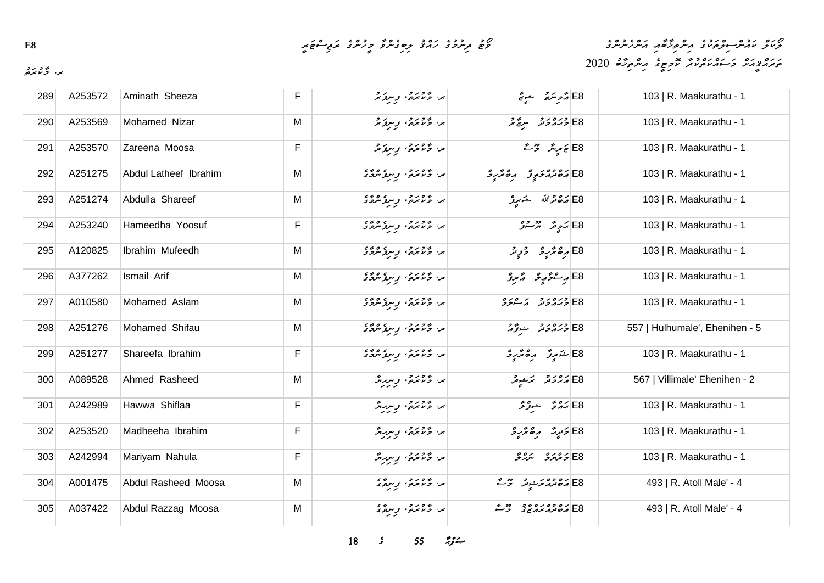*sCw7q7s5w7m< o<n9nOoAw7o< sCq;mAwBoEw7q<m; wBm;vB* م من المرة المرة المرة المرجع المرجع في المركبة 2020<br>مجم*د المريض المربوط المربع المرجع في المراجع المركبة* 

| 289 | A253572 | Aminath Sheeza        | F            | برا دمحم بخدمة الإسترنتي          | E8 <i>مُّجِسَعُو شَبِعُ</i>              | 103   R. Maakurathu - 1        |
|-----|---------|-----------------------|--------------|-----------------------------------|------------------------------------------|--------------------------------|
| 290 | A253569 | Mohamed Nizar         | M            | برا وتمايزها وبتذير               | E8 <i>وُبُرُوْدَوْ</i> سِيِّ             | 103   R. Maakurathu - 1        |
| 291 | A253570 | Zareena Moosa         | $\mathsf{F}$ | أأمرا المحاملين والمعالم والمرامي | E8 کے مریگر سمج کے                       | 103   R. Maakurathu - 1        |
| 292 | A251275 | Abdul Latheef Ibrahim | M            | بر و دره و سر مرده                | E8 בטונת בקינה השיניים                   | 103   R. Maakurathu - 1        |
| 293 | A251274 | Abdulla Shareef       | M            | بر و ورد و سر مرد                 | E8 رَصْحَرْاللَّهُ شَمَعِيوٌ             | 103   R. Maakurathu - 1        |
| 294 | A253240 | Hameedha Yoosuf       | $\mathsf F$  | بر و درو و سره و ده               | E8 كەچەم ئۆسىز ئى                        | 103   R. Maakurathu - 1        |
| 295 | A120825 | Ibrahim Mufeedh       | M            | بر و دره و سروه ده                | E8 <sub>م</sub> ەنگەپ <sup>ى 5</sup> ۈپك | 103   R. Maakurathu - 1        |
| 296 | A377262 | Ismail Arif           | M            | بر و دره و سر مرده                | E8 پرےو <i>ڈیو ڈیرو</i>                  | 103   R. Maakurathu - 1        |
| 297 | A010580 | Mohamed Aslam         | M            | بر ورود وسرورون                   | E8 ديره ديو پر مرده                      | 103   R. Maakurathu - 1        |
| 298 | A251276 | Mohamed Shifau        | M            | بر و دره وسو مرد                  | E8 <i>352.25 شوق</i> 2                   | 557   Hulhumale', Ehenihen - 5 |
| 299 | A251277 | Shareefa Ibrahim      | F            | بر و درو و سره و ده               | E8 ڪمبرڙ م <i>ڻ مڏي</i> و                | 103   R. Maakurathu - 1        |
| 300 | A089528 | Ahmed Rasheed         | M            | بر وتابره وبربر                   | E8] <i>ړېر د تر غر</i> خونز              | 567   Villimale' Ehenihen - 2  |
| 301 | A242989 | Hawwa Shiflaa         | $\mathsf{F}$ | بر ورود وسرار                     | E8 <i>بَدْهُمَّ</i> سُورْتَرُ            | 103   R. Maakurathu - 1        |
| 302 | A253520 | Madheeha Ibrahim      | $\mathsf F$  | بر وتونزها وسربان                 | E8 دَمِيدٌ مِنْ صَمَّرِ وَ               | 103   R. Maakurathu - 1        |
| 303 | A242994 | Mariyam Nahula        | F            | بر و دروه و سربر                  | E8 كەممەر مىر سىرىمىتى كىيەت بىر         | 103   R. Maakurathu - 1        |
| 304 | A001475 | Abdul Rasheed Moosa   | M            | بر وردو، وسرو،                    | E8   مەھەر مەسىر بىر ئەسىر               | 493   R. Atoll Male' - 4       |
| 305 | A037422 | Abdul Razzag Moosa    | M            | بر ورده وسروه                     | 2722000000000000000                      | 493   R. Atoll Male' - 4       |

*18 s* 55 *fg*  $\approx$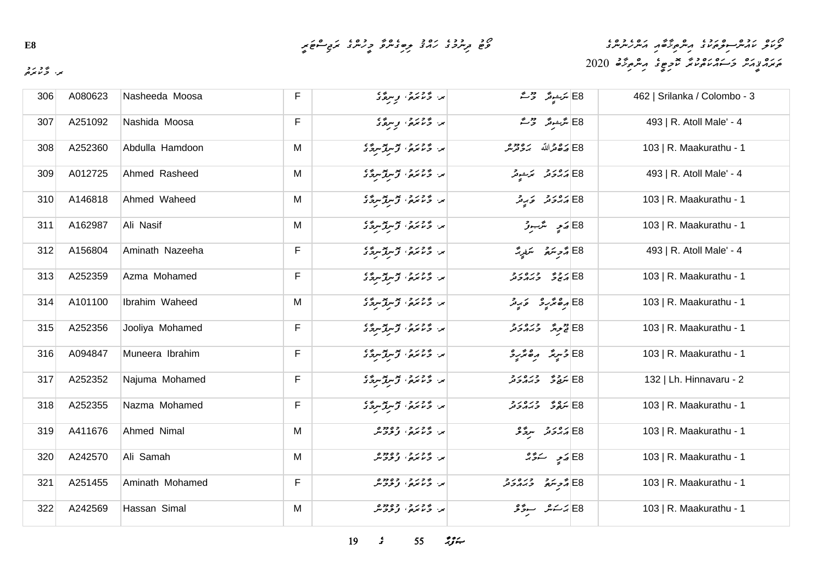*sCw7q7s5w7m< o<n9nOoAw7o< sCq;mAwBoEw7q<m; wBm;vB* م من المرة المرة المرة المرجع المرجع في المركبة 2020<br>مجم*د المريض المربوط المربع المرجع في المراجع المركبة* 

| 306 | A080623 | Nasheeda Moosa  | F           | بن وتربره وسروى                        |                                           | 462   Srilanka / Colombo - 3 |
|-----|---------|-----------------|-------------|----------------------------------------|-------------------------------------------|------------------------------|
| 307 | A251092 | Nashida Moosa   | F           | بن وتابره، وسرور                       | E8 سُرْجِيرٌ وَ"سُدُّ                     | 493   R. Atoll Male' - 4     |
| 308 | A252360 | Abdulla Hamdoon | M           | بر د درد بریز برد د                    | E8 رَحْمَدْاللَّهُ بَرْوَمْرَسْ           | 103   R. Maakurathu - 1      |
| 309 | A012725 | Ahmed Rasheed   | M           | بر وردو بريديو                         | E8] كەندى كىم كىم كىشى قىر                | 493   R. Atoll Male' - 4     |
| 310 | A146818 | Ahmed Waheed    | M           | أمرا ومحمد محمد والمستقرير والمحافظ    | E8 <i>גُرْدُوَ تَرَ وَبِ</i> تَرَ         | 103   R. Maakurathu - 1      |
| 311 | A162987 | Ali Nasif       | M           | ىر. ئۇ ئاتىرى ئۆسكەسىدۇ ئ              | E8 کی پہ سگیبور گ                         | 103   R. Maakurathu - 1      |
| 312 | A156804 | Aminath Nazeeha | F           | ىر. ئۇ <i>دىنى تۇست</i> وسىدۇ ئ        | E8 مُ <i>وِ سَمَعْ سَنَدٍ مَّ</i>         | 493   R. Atoll Male' - 4     |
| 313 | A252359 | Azma Mohamed    | F           | بر و درو بر بر بر                      | $5, 2, 2, 5, 2, 1$ $E8$                   | 103   R. Maakurathu - 1      |
| 314 | A101100 | Ibrahim Waheed  | M           | أيرا والأتروا ومبرج مرورة              | E8 م <i>وڭ ئۇرۇ ھېرى</i> ر                | 103   R. Maakurathu - 1      |
| 315 | A252356 | Jooliya Mohamed | F           | أمرا وموتروها ومتر المرارقرى           | E8 في محركة من المحدود المحمد المحمد المح | 103   R. Maakurathu - 1      |
| 316 | A094847 | Muneera Ibrahim | $\mathsf F$ | ىر. ئۇ ئاتىرى ئۆسكەسىدۇ ئ              | E8 دُسِرْ مُ مِرْحَمْرِدْ                 | 103   R. Maakurathu - 1      |
| 317 | A252352 | Najuma Mohamed  | F           | أمرا والأمرة المستر المراجحة والمحافية | E8] <i>سُمْعَ حَمْدُ حَمَدُ حَمَدَ</i>    | 132   Lh. Hinnavaru - 2      |
| 318 | A252355 | Nazma Mohamed   | F           | بر و درو بر بر ده                      | E8 يَرْوُجُ - 2010 و                      | 103   R. Maakurathu - 1      |
| 319 | A411676 | Ahmed Nimal     | M           | بر محرر و ده ده و ده و د               | E8] <i>גُکودکر سرگر</i> گر                | 103   R. Maakurathu - 1      |
| 320 | A242570 | Ali Samah       | M           |                                        | E8 <i>جَي ڪوَ بُن</i>                     | 103   R. Maakurathu - 1      |
| 321 | A251455 | Aminath Mohamed | F           | بر و و در و ده دو و و ده و ا           | E8 مُجرِسَمُ وَيَمْدُونَرُ                | 103   R. Maakurathu - 1      |
| 322 | A242569 | Hassan Simal    | M           | بر ورد دوده<br>بر ونابره <b>زن</b> رس  | E8] يَرْسَسُ سِوَرَّوْ                    | 103   R. Maakurathu - 1      |

*19 s* 55 *fg*  $\approx$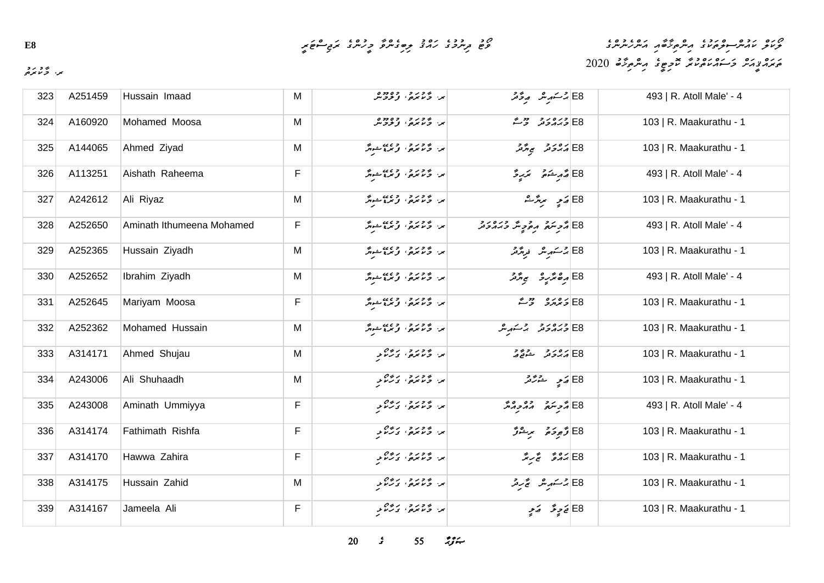*sCw7q7s5w7m< o<n9nOoAw7o< sCq;mAwBoEw7q<m; wBm;vB* م من المرة المرة المرة المرجع المرجع في المركبة 2020<br>مجم*د المريض المربوط المربع المرجع في المراجع المركبة* 

| 323 | A251459 | Hussain Imaad             | M           | ىر. ئۇ <i>ئايرە: بۇ</i> يۇر ئ <i>ىر</i>                                                                        | E8] بُرْسَهُ بِعْدِ مِنْ قَرْمَهُ –     | 493   R. Atoll Male' - 4 |
|-----|---------|---------------------------|-------------|----------------------------------------------------------------------------------------------------------------|-----------------------------------------|--------------------------|
| 324 | A160920 | Mohamed Moosa             | M           | بر و درو وه ده وه<br>بر و ما برو از وو س                                                                       | E8 3222 E8                              | 103   R. Maakurathu - 1  |
| 325 | A144065 | Ahmed Ziyad               | M           | بر به ورو و دی<br>بر گانوی و برع شورگ                                                                          | E8 <i>גُرْدُوَ پِّنْ جُمُّهُ</i>        | 103   R. Maakurathu - 1  |
| 326 | A113251 | Aishath Raheema           | $\mathsf F$ | بر ورد ورده میشود.                                                                                             | E8 مُ مِسْمَعْ مَ مَرْرِدٌ              | 493   R. Atoll Male' - 4 |
| 327 | A242612 | Ali Riyaz                 | M           | بر ورده ومن شده.                                                                                               | E8 کی مورگر شہ                          | 103   R. Maakurathu - 1  |
| 328 | A252650 | Aminath Ithumeena Mohamed | $\mathsf F$ | بر ورد وده میشود.                                                                                              | E8 أروبتره أروفيتر وبرادوند             | 493   R. Atoll Male' - 4 |
| 329 | A252365 | Hussain Ziyadh            | M           | بر به وروبر و دره<br>بر کام برها و برو شامگر                                                                   | E8 پُرڪمبريگر فري <i>گرفر</i>           | 103   R. Maakurathu - 1  |
| 330 | A252652 | Ibrahim Ziyadh            | M           |                                                                                                                | E8 م <i>وھنگرد</i> و ہے م <i>گ</i> ھر   | 493   R. Atoll Male' - 4 |
| 331 | A252645 | Mariyam Moosa             | F           | بر ورد ورده میشود.                                                                                             | $23$ $222$ $52$                         | 103   R. Maakurathu - 1  |
| 332 | A252362 | Mohamed Hussain           | M           | بر ورد ورده میشود.                                                                                             | E8 32023 كرم مريكر                      | 103   R. Maakurathu - 1  |
| 333 | A314171 | Ahmed Shujau              | M           | بر کار در دره در در در در بالغان بالغان به استان بالغان بالغان بالغان بالغان بالغان بالغان بالغان بالغان بالغا | E8 كەبرى ئىر ئىشقى ئى                   | 103   R. Maakurathu - 1  |
| 334 | A243006 | Ali Shuhaadh              | M           |                                                                                                                | E8 <i>كەبى</i> شە <i>رگە</i> ر          | 103   R. Maakurathu - 1  |
| 335 | A243008 | Aminath Ummiyya           | $\mathsf F$ | بر کار دور دون                                                                                                 | E8 مُجِسَعَة مِمْجِمَعَ                 | 493   R. Atoll Male' - 4 |
| 336 | A314174 | Fathimath Rishfa          | $\mathsf F$ | بر کار در دره در در در در بالغان بالغان به استان بالغان بالغان بالغان بالغان بالغان بالغان بالغان بالغان بالغا | E8 رُجوحَ ه برِحْرَ                     | 103   R. Maakurathu - 1  |
| 337 | A314170 | Hawwa Zahira              | $\mathsf F$ | بر کار در دره در در در در بالغان بالغان به استان بالغان بالغان بالغان بالغان بالغان بالغان بالغان بالغان بالغا | E8 يَرْدُعٌ تَجْرِبَرٌ                  | 103   R. Maakurathu - 1  |
| 338 | A314175 | Hussain Zahid             | M           | بر کامهی ترکاب                                                                                                 | E8 بر سمبر مگر محر سر تر                | 103   R. Maakurathu - 1  |
| 339 | A314167 | Jameela Ali               | F           | بر کام دره اروم<br>بر کام برها او روم                                                                          | E8 نے <sub>تو</sub> تخت ک <i>ے م</i> یں | 103   R. Maakurathu - 1  |

 $20$  *s* 55  $29$   $\div$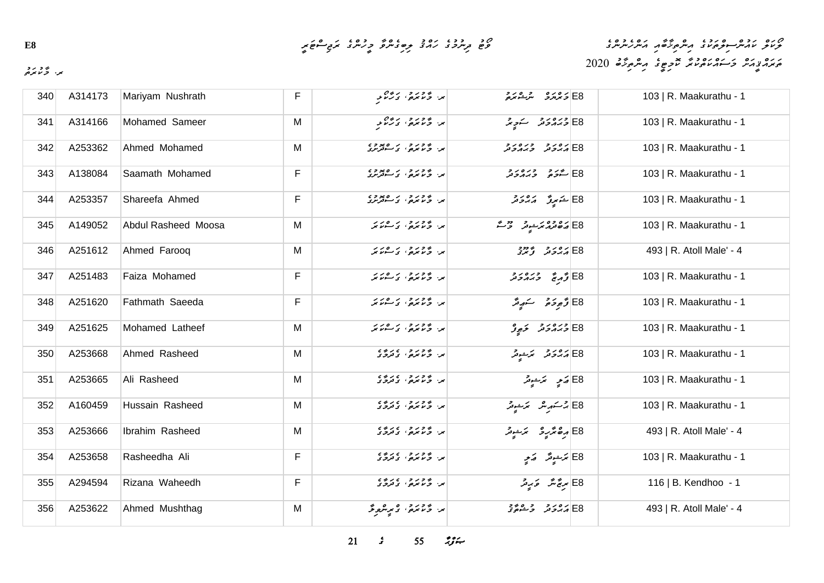*sCw7q7s5w7m< o<n9nOoAw7o< sCq;mAwBoEw7q<m; wBm;vB* م من المرة المرة المرة المرجع المرجع في المركبة 2020<br>مجم*د المريض المربوط المربع المرجع في المراجع المركبة* 

| 340 | A314173 | Mariyam Nushrath           | F           | بر گرم بره، رئزمان                                 | E8] <i>5 \$ەكرى مىڭ مەمۇمۇ</i>         | 103   R. Maakurathu - 1  |
|-----|---------|----------------------------|-------------|----------------------------------------------------|----------------------------------------|--------------------------|
| 341 | A314166 | Mohamed Sameer             | M           | بر کارور دون<br>بر کاربری کارلانو                  | E8 <i>وُيَهُ وَمَدْ</i> سَوِيْرَ       | 103   R. Maakurathu - 1  |
| 342 | A253362 | Ahmed Mohamed              | M           | بر به وروبر در ۲۵ دره<br>بر به کردن که سوتربری     | E8 ג׳כנק כג' בני                       | 103   R. Maakurathu - 1  |
| 343 | A138084 | Saamath Mohamed            | F           |                                                    | E8 گرو وره در بر                       | 103   R. Maakurathu - 1  |
| 344 | A253357 | Shareefa Ahmed             | F           | بر او دروان در ۲۵ دره<br>بران کرنا برای که سوتوری  | E8 ڪمپر <i>ڙ پردو</i> تر               | 103   R. Maakurathu - 1  |
| 345 | A149052 | <b>Abdul Rasheed Moosa</b> | M           | بر کاروری کارگر                                    | E8 كەھەركە ئويىش توگە قەتبە            | 103   R. Maakurathu - 1  |
| 346 | A251612 | Ahmed Farooq               | M           | بر کام دره را در در                                | E8 كەبرى قىرىقى ئۇنىز تو               | 493   R. Atoll Male' - 4 |
| 347 | A251483 | Faiza Mohamed              | F           | بر کاروری کارگر                                    | E8 زُرِجٌ وَيَرْمُدَتَرَ               | 103   R. Maakurathu - 1  |
| 348 | A251620 | Fathmath Saeeda            | F           | بر کاروری کارور                                    | E8 زَّجِرْدَة سَهِيَّرَ                | 103   R. Maakurathu - 1  |
| 349 | A251625 | Mohamed Latheef            | M           | بر کاروری کارگر                                    | E8 ديرورو کولوژ                        | 103   R. Maakurathu - 1  |
| 350 | A253668 | Ahmed Rasheed              | M           |                                                    | E8] كەبرى كى كى كى سىر ئىرىدى كىشى بىر | 103   R. Maakurathu - 1  |
| 351 | A253665 | Ali Rasheed                | M           |                                                    | E8 کی پر مرکب کرد کرد.<br>ا            | 103   R. Maakurathu - 1  |
| 352 | A160459 | Hussain Rasheed            | M           | و د د د د د ده د و د<br>پر او ما بره او درواد      | E8 پُرڪوپر ڪرشومر                      | 103   R. Maakurathu - 1  |
| 353 | A253666 | Ibrahim Rasheed            | M           | بر و و در و در و در و د<br>بر ارگرانگرمی از فرگران | E8 رەڭرىر ئىر ئىرىدىر                  | 493   R. Atoll Male' - 4 |
| 354 | A253658 | Rasheedha Ali              | $\mathsf F$ | بر و و د و د د و د و و<br>بر او کاملوی او تروای    | E8 بَرَحْوِتَرُ - رَوِ                 | 103   R. Maakurathu - 1  |
| 355 | A294594 | Rizana Waheedh             | F           | پر ده در ده در ده در ده د<br>پر د گرم تره د درگرد  | E8 مِيڭ مَّرِ مِّرْ                    | 116   B. Kendhoo - 1     |
| 356 | A253622 | Ahmed Mushthag             | M           | بر و درو و پرسمونژ                                 | E8 كەبروتر كەشھۇ                       | 493   R. Atoll Male' - 4 |

 $21$  *s* 55  $294$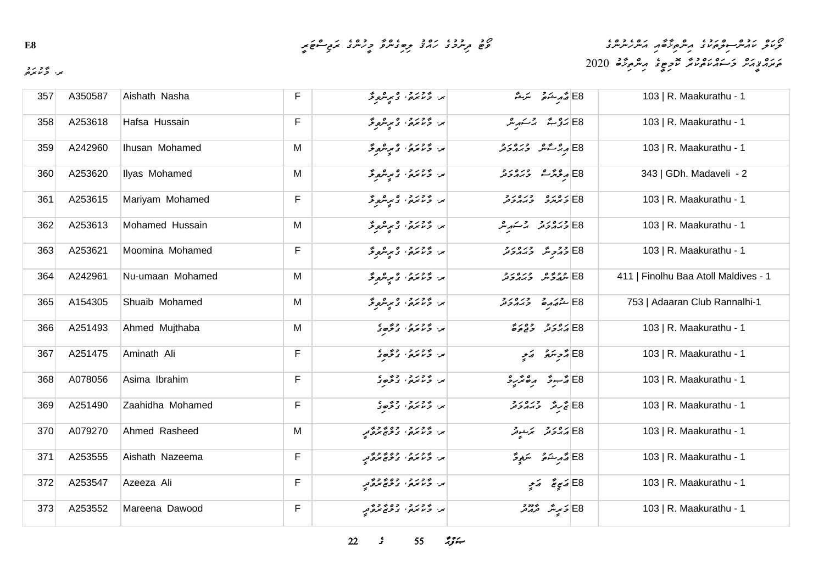*sCw7q7s5w7m< o<n9nOoAw7o< sCq;mAwBoEw7q<m; wBm;vB* م من المرة المرة المرة المرجع المرجع في المركبة 2020<br>مجم*د المريض المربوط المربع المرجع في المراجع المركبة* 

| 357 | A350587 | Aishath Nasha    | F            | بر د درد و پرسمونځ                              | E8 مُرمِشَمُ سَرَحٌ                     | 103   R. Maakurathu - 1              |
|-----|---------|------------------|--------------|-------------------------------------------------|-----------------------------------------|--------------------------------------|
| 358 | A253618 | Hafsa Hussain    | $\mathsf{F}$ | ىن ئۇرىردا ئۇمرىكرىدۇ.                          | E8] ئەۋىبە ئەسكىرىلا                    | 103   R. Maakurathu - 1              |
| 359 | A242960 | Ihusan Mohamed   | M            | بر كالمملي وبرهوش                               | E8 مەشقىقر مەممەمىر                     | 103   R. Maakurathu - 1              |
| 360 | A253620 | Ilyas Mohamed    | M            | بر ورود ويرعون                                  | E8 روپژے دیے دیے                        | 343   GDh. Madaveli - 2              |
| 361 | A253615 | Mariyam Mohamed  | $\mathsf{F}$ | بر ورود و پرچهوگ                                | E8 كەممەر 2019-20                       | 103   R. Maakurathu - 1              |
| 362 | A253613 | Mohamed Hussain  | M            | ىن ئۇرىرى ئىمەشھۇ                               | E8 32023 كريمبر مثر                     | 103   R. Maakurathu - 1              |
| 363 | A253621 | Moomina Mohamed  | $\mathsf F$  | ين وتايره، ويرتكره                              | E8 دُوْمِسٌ دَيْرُومُرْ                 | 103   R. Maakurathu - 1              |
| 364 | A242961 | Nu-umaan Mohamed | M            | بر كالأنزل وبرمروغ                              | E8 شەۋش دىرە دىر                        | 411   Finolhu Baa Atoll Maldives - 1 |
| 365 | A154305 | Shuaib Mohamed   | M            | بر كالأنزلي وبرمهوش                             |                                         | 753   Adaaran Club Rannalhi-1        |
| 366 | A251493 | Ahmed Mujthaba   | M            | بر کرد ده وه وه<br>بر کردبره کالموه ک           | E8 كەبرو مەم دەرم                       | 103   R. Maakurathu - 1              |
| 367 | A251475 | Aminath Ali      | $\mathsf F$  | پر د ورد ده د                                   | E8 مُجرِسَمُ مَعٍ                       | 103   R. Maakurathu - 1              |
| 368 | A078056 | Asima Ibrahim    | $\mathsf{F}$ | بر وردو ووه<br>بر ونابرها وتوهو                 | E8 أَمَّ سِرَقَ مِنْ مَحْرَبِ فَرَ      | 103   R. Maakurathu - 1              |
| 369 | A251490 | Zaahidha Mohamed | F            | 5033, 5133                                      | E8 يُح بِقُد المح بمكروا فكر            | 103   R. Maakurathu - 1              |
| 370 | A079270 | Ahmed Rasheed    | M            | بر و در در ده دور<br>بر و مريزه د دي بروتر      | E8] <i>גَ بُ</i> دْحَ مَرْ مَرْسُوِمْرُ | 103   R. Maakurathu - 1              |
| 371 | A253555 | Aishath Nazeema  | F            | بر و در د ده دور.<br>بر و مريزه و دي بروتر      | E8 مُەمشىق سَمَدٍ مَّ                   | 103   R. Maakurathu - 1              |
| 372 | A253547 | Azeeza Ali       | F            | بر به ورو وه به وه.<br>بر گانگرمي کالرنم برگانو | E8 ک <i>ی پیچ</i> کرم                   | 103   R. Maakurathu - 1              |
| 373 | A253552 | Mareena Dawood   | F            | بر گرد در دور دور<br>بر گردبره کالایمروتر       | E8 كَەيپىگر قر <i>م</i> قر              | 103   R. Maakurathu - 1              |

*22 sC 55 nNw?mS*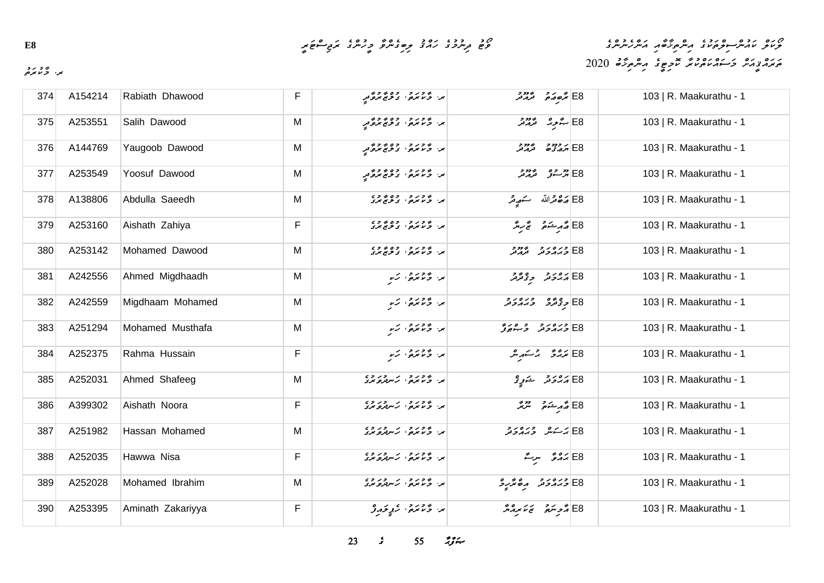*sCw7q7s5w7m< o<n9nOoAw7o< sCq;mAwBoEw7q<m; wBm;vB* م من المرة المرة المرة المرجع المرجع في المركبة 2020<br>مجم*د المريض المربوط المربع المرجع في المراجع المركبة* 

| 374 | A154214 | Rabiath Dhawood   | F           | بر گرد ده ده دولر                              | E8 بَرُّ <i>مِ <sub>م</sub>ُدَمَّة بِ</i> مُرْ <i>مَرْ مُ</i> رَ | 103   R. Maakurathu - 1 |
|-----|---------|-------------------|-------------|------------------------------------------------|------------------------------------------------------------------|-------------------------|
| 375 | A253551 | Salih Dawood      | M           | بر به ور و وه به وه.<br>بر که برمي و برمي برمي | E8 بەھمەتە ئەرەر ئەرەر                                           | 103   R. Maakurathu - 1 |
| 376 | A144769 | Yaugoob Dawood    | M           | بر کار در در دور در<br>بر گاریمی کارگانگری     | E8 המיצים בחבר ב                                                 | 103   R. Maakurathu - 1 |
| 377 | A253549 | Yoosuf Dawood     | M           | بر کارگرد ده ده ده.<br>بر گانگری کامیگرفتن     | E8 ترقیق قرمزمر                                                  | 103   R. Maakurathu - 1 |
| 378 | A138806 | Abdulla Saeedh    | M           | بر د ۱۶۶۶ وه وه<br>بر گرم بره کرم بر           | E8 كەھەراللە س <i>ەمبەتر</i>                                     | 103   R. Maakurathu - 1 |
| 379 | A253160 | Aishath Zahiya    | F           | بر ورد ده ده.<br>بر ونابره کرده                | E8 مُرمِسْمَعْ تَجْرِمَّرُ                                       | 103   R. Maakurathu - 1 |
| 380 | A253142 | Mohamed Dawood    | M           | د د د د ده ده ده.<br>پر گانگرمي کالمري         | E8 <i>בגמכנר החד</i> ב                                           | 103   R. Maakurathu - 1 |
| 381 | A242556 | Ahmed Migdhaadh   | M           | بر به ۱۶۷۶ زم                                  | E8 كەبرى تەرەپچە قىرىتر                                          | 103   R. Maakurathu - 1 |
| 382 | A242559 | Migdhaam Mohamed  | M           | بر، ورورو، رَسِ                                | E8 دِ دِ سَرَ دِ سِ دِ دِ دِ سِ                                  | 103   R. Maakurathu - 1 |
| 383 | A251294 | Mohamed Musthafa  | M           | ىن ئۇم ئەرەپ كەيد                              | E8 ديره د ه د ورو                                                | 103   R. Maakurathu - 1 |
| 384 | A252375 | Rahma Hussain     | $\mathsf F$ | برا وتم ترج كرم                                | E8 تركيم محمد محمد مثل                                           | 103   R. Maakurathu - 1 |
| 385 | A252031 | Ahmed Shafeeg     | M           |                                                | E8] <i>גُ بُدُوَ مُدَّ وِ وَّ</i>                                | 103   R. Maakurathu - 1 |
| 386 | A399302 | Aishath Noora     | F           |                                                | E8 مُ مِسْمَع مِسْمَدٌ                                           | 103   R. Maakurathu - 1 |
| 387 | A251982 | Hassan Mohamed    | M           | بر به ورو بر در دره<br>بر ژنامرها کسهورم       | E8   ير سكر مركز و يركز دير                                      | 103   R. Maakurathu - 1 |
| 388 | A252035 | Hawwa Nisa        | F           | بر به وروبار در در در در در د                  | E8   پَهُرُوٌ سِرِسٌرٌ                                           | 103   R. Maakurathu - 1 |
| 389 | A252028 | Mohamed Ibrahim   | M           | بر به وروبار در در در در در د                  | E8 32023 مەھكەر 3                                                | 103   R. Maakurathu - 1 |
| 390 | A253395 | Aminath Zakariyya | F           | ىر. ئۇ ئاتىرى ئۆيەتمەل                         | E8 أَمُّ حِسَنَةٌ بِمَنَا مِرْمَدَّدٌ                            | 103   R. Maakurathu - 1 |

**23** *s* **55** *z***<sub>***f***</sub>**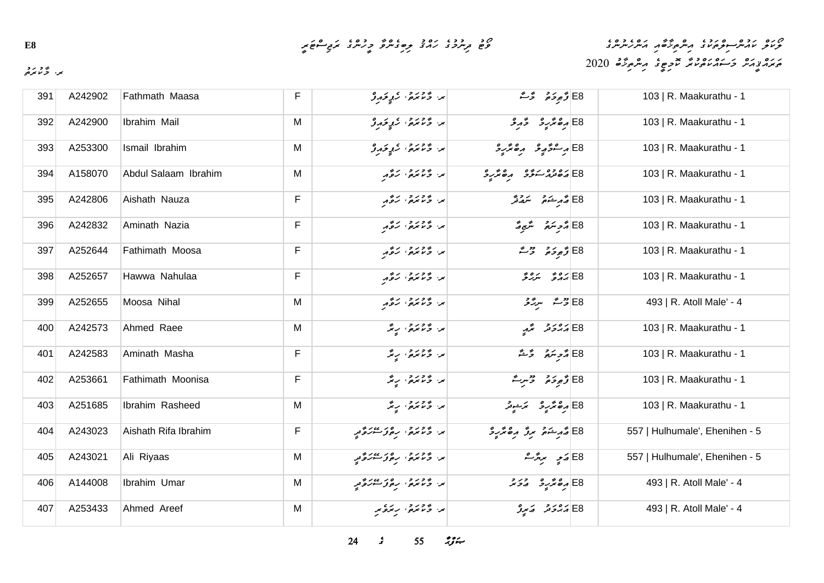*sCw7q7s5w7m< o<n9nOoAw7o< sCq;mAwBoEw7q<m; wBm;vB* م من المرة المرة المرة المرجع المرجع في المركبة 2020<br>مجم*د المريض المربوط المربع المرجع في المراجع المركبة* 

| 391 | A242902 | Fathmath Maasa       | F           | أأراد والمحمدة التاريخ والمحاري | E8 <i>وُجِودَة</i> قُرَّتَهُ       | 103   R. Maakurathu - 1        |
|-----|---------|----------------------|-------------|---------------------------------|------------------------------------|--------------------------------|
| 392 | A242900 | Ibrahim Mail         | M           | أأرا ومحامدة المرو بمروكر       | E8 مەھەمگەپى ئەمبى                 | 103   R. Maakurathu - 1        |
| 393 | A253300 | Ismail Ibrahim       | M           | أيرا المحاملين الكرو للمروالي   | E8 مِـــْمَرَّمٍ وَ مِــَّـرِّ مِـ | 103   R. Maakurathu - 1        |
| 394 | A158070 | Abdul Salaam Ibrahim | M           | بر ورود رو                      | $5 - 2 - 2 - 3$                    | 103   R. Maakurathu - 1        |
| 395 | A242806 | Aishath Nauza        | $\mathsf F$ | بر ورود رو                      | E8 مُرمِّدَة مَرْمَدَّةً           | 103   R. Maakurathu - 1        |
| 396 | A242832 | Aminath Nazia        | $\mathsf F$ | بر كالأنزو رُحم                 | E8 مُجِسَعَة مُسْبِيقَ             | 103   R. Maakurathu - 1        |
| 397 | A252644 | Fathimath Moosa      | $\mathsf F$ | بن ونابره روم                   | E8 وَج <i>وحَة</i> حَرْمَتْهُ      | 103   R. Maakurathu - 1        |
| 398 | A252657 | Hawwa Nahulaa        | $\mathsf F$ | بر ورود رو                      | E8 يَہْرُمَّ سَرَكَرْ مَحَ         | 103   R. Maakurathu - 1        |
| 399 | A252655 | Moosa Nihal          | M           | بر ورود رو                      | E8 _ تشريحه مرتزعه                 | 493   R. Atoll Male' - 4       |
| 400 | A242573 | Ahmed Raee           | M           | ىن ئۇردىق بەش                   | E8 كەندى قىلى ئىقدىت ئىل           | 103   R. Maakurathu - 1        |
| 401 | A242583 | Aminath Masha        | F           | ىن ئۇروردە بەش                  | E8 أُمَّ جِسَمَ مَتَّ مَّتَّ       | 103   R. Maakurathu - 1        |
| 402 | A253661 | Fathimath Moonisa    | $\mathsf F$ | بر کام کرد کر کر                | E8 زُمِودَة وَسِرَتْهُ             | 103   R. Maakurathu - 1        |
| 403 | A251685 | Ibrahim Rasheed      | M           | بر کام کرد کر کر                |                                    | 103   R. Maakurathu - 1        |
| 404 | A243023 | Aishath Rifa Ibrahim | F           | بر و درو ره د عدد و             | E8 مُەمشەق برۇ مەھگرىدۇ            | 557   Hulhumale', Ehenihen - 5 |
| 405 | A243021 | Ali Riyaas           | M           | بر كالمملئ بالموسية المسلم      | E8 کی موہڑے                        | 557   Hulhumale', Ehenihen - 5 |
| 406 | A144008 | Ibrahim Umar         | M           | بر كالمملئ بالموسين كالمحمد     | E8] مەھەمگەپى ھەدىمە               | 493   R. Atoll Male' - 4       |
| 407 | A253433 | Ahmed Areef          | M           | من كالمعرض ريمي                 | E8 كەش <sup>ى</sup> كە كەسپەتى     | 493   R. Atoll Male' - 4       |

*24 sC 55 nNw?mS*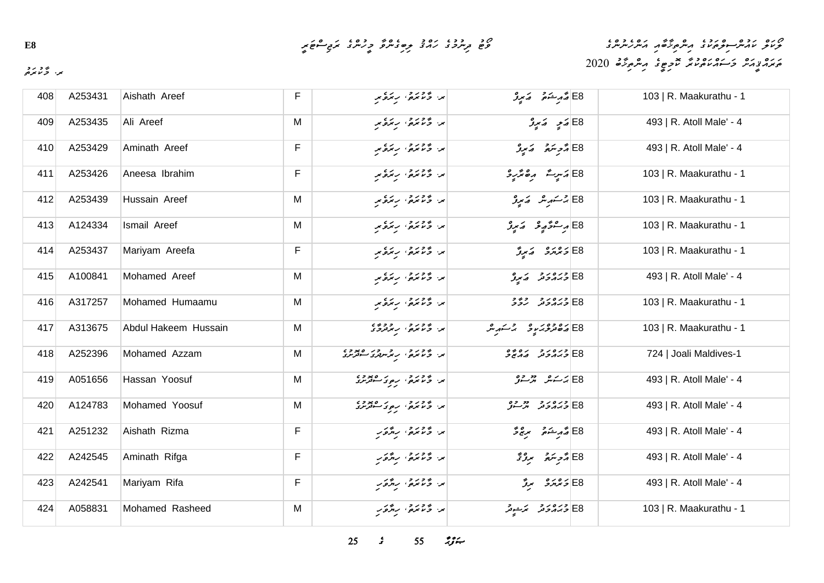*sCw7q7s5w7m< o<n9nOoAw7o< sCq;mAwBoEw7q<m; wBm;vB* م من المرة المرة المرة المرجع المرجع في المركبة 2020<br>مجم*د المريض المربوط المربع المرجع في المراجع المركبة* 

| 408 | A253431 | Aishath Areef        | F           | ىر. ئۇ ئائىرقى، سەئىر ئىبر                                    | E8 م <i>مُّہرِ مِشَمَّۃٍ مَہُرِوْ</i>     | 103   R. Maakurathu - 1  |
|-----|---------|----------------------|-------------|---------------------------------------------------------------|-------------------------------------------|--------------------------|
| 409 | A253435 | Ali Areef            | M           | برا ونابرها بابره بر                                          | E8 کړې کمبرو                              | 493   R. Atoll Male' - 4 |
| 410 | A253429 | Aminath Areef        | F           | برا ورده ریزه بر                                              | E8 مُرْحِسَمُ مَعْرِزٌ                    | 493   R. Atoll Male' - 4 |
| 411 | A253426 | Aneesa Ibrahim       | $\mathsf F$ | بن ونابره ريزه بر                                             | E8] رَسِرتَہ مِرصَّرَ ر                   | 103   R. Maakurathu - 1  |
| 412 | A253439 | Hussain Areef        | M           | بر ورو، ریزه بر                                               | E8 پر <i>ڪهر مگر ڪمبر</i> و               | 103   R. Maakurathu - 1  |
| 413 | A124334 | Ismail Areef         | M           | بن ونابره ريزه بر                                             | E8 پرےو <i>گہوٹ کمپر</i> و                | 103   R. Maakurathu - 1  |
| 414 | A253437 | Mariyam Areefa       | F           | بن ونابره ريزه بر                                             | E8 كەبھە <i>دى كەبىرى</i>                 | 103   R. Maakurathu - 1  |
| 415 | A100841 | Mohamed Areef        | M           | بن ورده رده                                                   | E8 <i>3223 مُبوتر</i>                     | 493   R. Atoll Male' - 4 |
| 416 | A317257 | Mohamed Humaamu      | M           | برا وروم ريزه بر                                              | E8 322 325 E8                             | 103   R. Maakurathu - 1  |
| 417 | A313675 | Abdul Hakeem Hussain | M           | بر و دره بروده                                                | E8 مەھەر <i>ۋىرى بۇ مەر بىر بىر</i>       | 103   R. Maakurathu - 1  |
| 418 | A252396 | Mohamed Azzam        | M           | بر به وروبان در در در در در<br>بر افزاد برابر بر بر بر برابرد | $5500$ $55000$ $E8$                       | 724   Joali Maldives-1   |
| 419 | A051656 | Hassan Yoosuf        | M           | بر به ۱۶۶۶ ده کرده بود و به<br>بر به گرم برخی کرد کرد کرد     | E8 پرسٹر م <i>ور ب</i>                    | 493   R. Atoll Male' - 4 |
| 420 | A124783 | Mohamed Yoosuf       | M           | د ده ورو در در در ده در د                                     | E8 32,023 متر وه                          | 493   R. Atoll Male' - 4 |
| 421 | A251232 | Aishath Rizma        | F           | بر و درو، رور                                                 | E8 مەم شىم مىسى ئى                        | 493   R. Atoll Male' - 4 |
| 422 | A242545 | Aminath Rifga        | $\mathsf F$ | بر ودرو روز                                                   | E8 مُوسَع مِرْتَوٌ                        | 493   R. Atoll Male' - 4 |
| 423 | A242541 | Mariyam Rifa         | F           | بر و دروه روز                                                 | E8 كەنگەنى ئىرقى بىرق                     | 493   R. Atoll Male' - 4 |
| 424 | A058831 | Mohamed Rasheed      | M           | برا والأنزمي المروكب                                          | E8] <i>وُبَدُوْدُو مُرَ</i> حِي <i>دُ</i> | 103   R. Maakurathu - 1  |

 $25$  *s*  $55$   $294$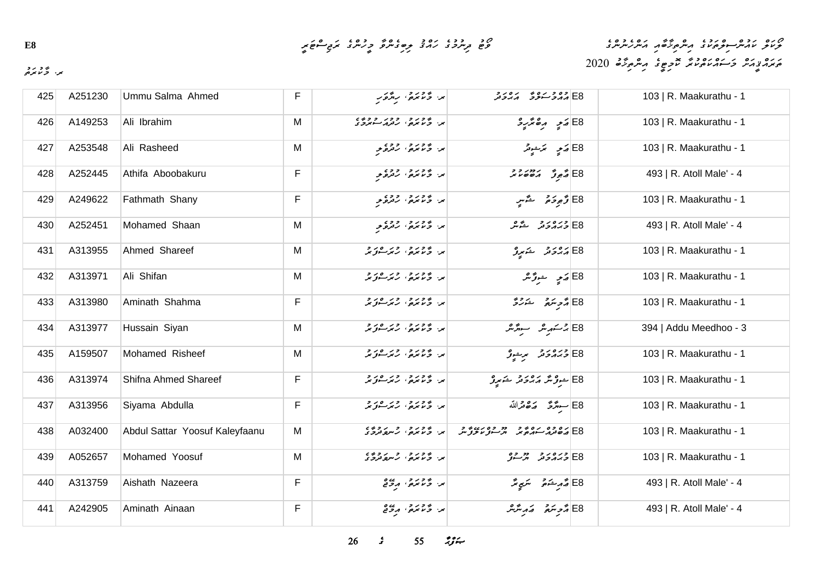*sCw7q7s5w7m< o<n9nOoAw7o< sCq;mAwBoEw7q<m; wBm;vB* م من المرة المرة المرة المرجع المرجع في المركبة 2020<br>مجم*د المريض المربوط المربع المرجع في المراجع المركبة* 

| 425 | A251230 | Ummu Salma Ahmed               | F | بر و المره به گروبر                             | E8 <i>ההכ-הכב" ההכת</i>                                                                                       | 103   R. Maakurathu - 1  |
|-----|---------|--------------------------------|---|-------------------------------------------------|---------------------------------------------------------------------------------------------------------------|--------------------------|
| 426 | A149253 | Ali Ibrahim                    | M | ו כירוך - כירו כירון<br>זה כיווקים - הנה - יודע | E8 <i>مَجِ م</i> ِ صَمَّرِ وَ                                                                                 | 103   R. Maakurathu - 1  |
| 427 | A253548 | Ali Rasheed                    | M | بر گرمانده) گروه و                              | E8 <i>مَجِ - مَ</i> حْمِدُ                                                                                    | 103   R. Maakurathu - 1  |
| 428 | A252445 | Athifa Aboobakuru              | F | بر ورده دوه                                     | $22222$ $552$ $58$                                                                                            | 493   R. Atoll Male' - 4 |
| 429 | A249622 | Fathmath Shany                 | F | بر وردو وده و                                   | E8 ر <sub>ُّھِ</sub> وَءُ شَمْسٍ                                                                              | 103   R. Maakurathu - 1  |
| 430 | A252451 | Mohamed Shaan                  | M | بر ورده دوه                                     | E8 ديرورو شگ <i>ر</i>                                                                                         | 493   R. Atoll Male' - 4 |
| 431 | A313955 | Ahmed Shareef                  | M | ىن كەردە كەرگەرد                                |                                                                                                               | 103   R. Maakurathu - 1  |
| 432 | A313971 | Ali Shifan                     | M | ىن ئۇلاردە ئەرگەرد                              | E8 كەمچە سو <i>گەنگ</i> ە                                                                                     | 103   R. Maakurathu - 1  |
| 433 | A313980 | Aminath Shahma                 | F | بر په ۱۶۷۶ کېږده کړه                            | E8 مُجِسَمٌ شَرْدً                                                                                            | 103   R. Maakurathu - 1  |
| 434 | A313977 | Hussain Siyan                  | M | بر په ۱۶۷۶ کېږېدو.                              | E8 پر سکر سنگر سر مشر سر کر سر ایران میں ایک ایک ایک سر کر سر ایک ایک ایک ایک ایک ایک ایک ایک ایک ای<br>مراجع | 394   Addu Meedhoo - 3   |
| 435 | A159507 | Mohamed Risheef                | M | بر په ۱۶۷۶ کېږده کې                             | E8] 32,25 مرحو                                                                                                | 103   R. Maakurathu - 1  |
| 436 | A313974 | Shifna Ahmed Shareef           | F | بر به ورو اور در در<br>بر ژنامره ريز سور بر     | E8] ڪور <i>مگر مگر گر گر ڪويو</i> گر                                                                          | 103   R. Maakurathu - 1  |
| 437 | A313956 | Siyama Abdulla                 | F | بر کار در در در د                               | E8 سِيرَةَ 55 مِتَّة اللَّه                                                                                   | 103   R. Maakurathu - 1  |
| 438 | A032400 | Abdul Sattar Yoosuf Kaleyfaanu | M | بر و و د و د و د و و و و                        | E8 הפכם גם זכ כפכם גם זכ<br>E8 הפנג – הפיג ת – ניטיבנית                                                       | 103   R. Maakurathu - 1  |
| 439 | A052657 | Mohamed Yoosuf                 | M | د دورو وسردون<br>د کاندها رسوندی                | E8 3225 مرتزو                                                                                                 | 103   R. Maakurathu - 1  |
| 440 | A313759 | Aishath Nazeera                | F | بر وردود بروم                                   | E8 <i>مُذہبہ مُنبی مُنباتِ</i>                                                                                | 493   R. Atoll Male' - 4 |
| 441 | A242905 | Aminath Ainaan                 | F | بر وردو به ه                                    | E8 مُتَّحِسَمُ مَمَّدِسَّرَ مَسَ                                                                              | 493   R. Atoll Male' - 4 |

 $26$  *s* 55  $294$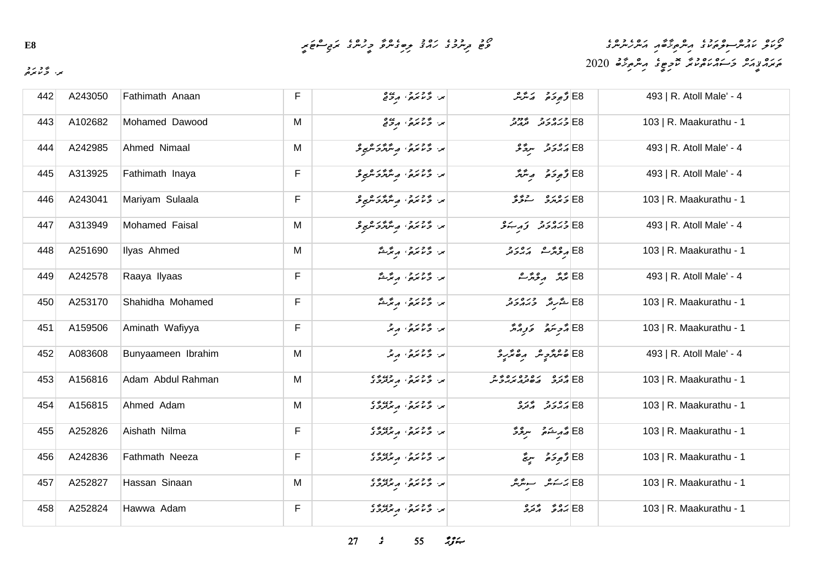*sCw7q7s5w7m< o<n9nOoAw7o< sCq;mAwBoEw7q<m; wBm;vB* م من المرة المرة المرة المرجع المرجع في المركبة 2020<br>مجم*د المريض المربوط المربع المرجع في المراجع المركبة* 

| 442 | A243050 | Fathimath Anaan    | F           | $\mathcal{L}$ , $\mathcal{L}$ , $\mathcal{L}$ , $\mathcal{L}$ , $\mathcal{L}$ , $\mathcal{L}$ | E8 <i>وُمِعِ دَمْ م</i> َ مُرْمَر      | 493   R. Atoll Male' - 4 |
|-----|---------|--------------------|-------------|-----------------------------------------------------------------------------------------------|----------------------------------------|--------------------------|
| 443 | A102682 | Mohamed Dawood     | M           | $\sim$ $\sim$ $\sim$ $\sim$ $\sim$ $\sim$ $\sim$                                              | E8] 37.25 محمد مرحمد                   | 103   R. Maakurathu - 1  |
| 444 | A242985 | Ahmed Nimaal       | M           | أين والأثرى والمركز واللجاني                                                                  | E8 <i>בکی ڈو</i> سرگ <i>ڈ</i>          | 493   R. Atoll Male' - 4 |
| 445 | A313925 | Fathimath Inaya    | F           | أين والمروي والمركز والمراجو                                                                  | E8 زَّج <i>وحَمْ م</i> ِسَّمَّرَ       | 493   R. Atoll Male' - 4 |
| 446 | A243041 | Mariyam Sulaala    | F           | بر و ورو، مشركة مهجو                                                                          | E8 كەبەر بەر ئىگە ئىچە ئىچ             | 103   R. Maakurathu - 1  |
| 447 | A313949 | Mohamed Faisal     | M           | ر. در در در منگردگریم د                                                                       | E8 <i>وُيَهُوَدُوَ</i> وَرِجُو         | 493   R. Atoll Male' - 4 |
| 448 | A251690 | Ilyas Ahmed        | M           | بر ورده، مرشد                                                                                 | E8] موقد محمد الاردونيز                | 103   R. Maakurathu - 1  |
| 449 | A242578 | Raaya Ilyaas       | F           | بر ورده مرش                                                                                   | E8 بَرْدَّ مِنْ مِنْ الْمُسَنَّبِ      | 493   R. Atoll Male' - 4 |
| 450 | A253170 | Shahidha Mohamed   | $\mathsf F$ | بر وربرد و ش                                                                                  | E8 شَرِيرٌ وَيَرْدُونَرُ               | 103   R. Maakurathu - 1  |
| 451 | A159506 | Aminath Wafiyya    | F           | بر و درد و                                                                                    | E8 مُجِسَعَةٍ عَرِمْتُمْ               | 103   R. Maakurathu - 1  |
| 452 | A083608 | Bunyaameen Ibrahim | M           | بر و درد و                                                                                    | E8 <i>ھىندگو</i> يلا م <i>ەھگرد</i> ۇ. | 493   R. Atoll Male' - 4 |
| 453 | A156816 | Adam Abdul Rahman  | M           | بر و درو .<br>بر و مربو . به مربوری                                                           | E8 ג'נים גם בסגם ביב                   | 103   R. Maakurathu - 1  |
| 454 | A156815 | Ahmed Adam         | M           | د د ورد و دره ود و                                                                            | E8 كەبرى قىر ئەترى                     | 103   R. Maakurathu - 1  |
| 455 | A252826 | Aishath Nilma      | F           | بر ورد درون<br>بر و مربره بربرتروی                                                            | E8 مەم شىم سرگەدىگر                    | 103   R. Maakurathu - 1  |
| 456 | A242836 | Fathmath Neeza     | F           | بر و دره برون ده                                                                              | E8 رَّج <i>وحَ</i> هُ سِيعٌ            | 103   R. Maakurathu - 1  |
| 457 | A252827 | Hassan Sinaan      | M           | بر و درو و دره و د                                                                            | E8   يز سنة سبة مستريثر                | 103   R. Maakurathu - 1  |
| 458 | A252824 | Hawwa Adam         | F           | بر و دره مردوره و دره د                                                                       | $33.2$ $-2.2$ $-1.6$                   | 103   R. Maakurathu - 1  |

*27 sC 55 nNw?mS*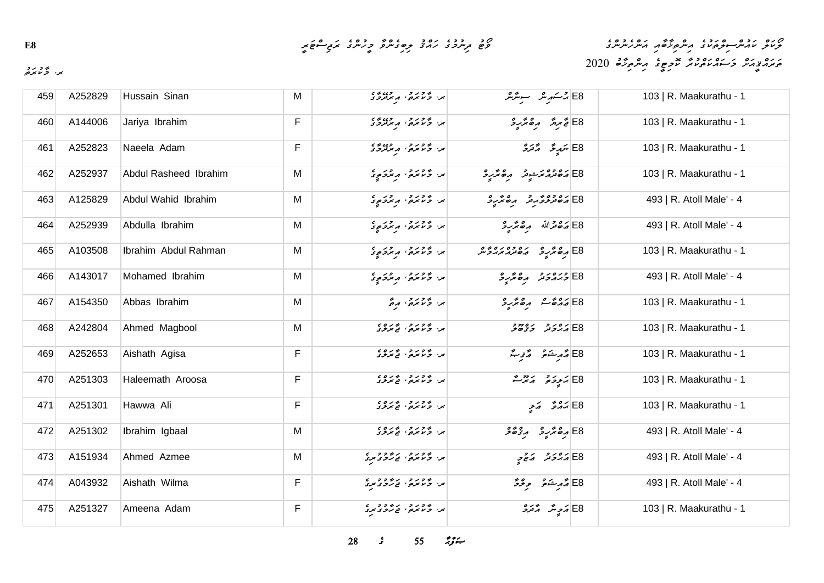*sCw7q7s5w7m< o<n9nOoAw7o< sCq;mAwBoEw7q<m; wBm;vB* م من المرة المرة المرة المرجع المرجع في المركبة 2020<br>مجم*د المريض المربوط المربع المرجع في المراجع المركبة* 

| 459 | A252829 | Hussain Sinan         | M           | بر گرم بره .<br>بر گرم بره . بر بر ترج ی          | E8 - جريتر - سويٹريٹر                                                                                 | 103   R. Maakurathu - 1  |
|-----|---------|-----------------------|-------------|---------------------------------------------------|-------------------------------------------------------------------------------------------------------|--------------------------|
| 460 | A144006 | Jariya Ibrahim        | $\mathsf F$ | بر و درو.<br>بر و <i>ما بره</i> از برتروی         | E8 قَيِّعِيمٌ مِنْ صَمَّرِيْتِهِ                                                                      | 103   R. Maakurathu - 1  |
| 461 | A252823 | Naeela Adam           | F           | بر و در د<br>بر و ما بره از برتروی                | E8 سَمِيعٌ مُحَمَّدٌ                                                                                  | 103   R. Maakurathu - 1  |
| 462 | A252937 | Abdul Rasheed Ibrahim | M           | بر و در و در و                                    | E8 בەۋەبەت مەھەرد                                                                                     | 103   R. Maakurathu - 1  |
| 463 | A125829 | Abdul Wahid Ibrahim   | M           | بر و در د در در د                                 | E8 בەمرىۋە بەر مەھەر ب                                                                                | 493   R. Atoll Male' - 4 |
| 464 | A252939 | Abdulla Ibrahim       | M           | بر و و دره مرکزه و                                | E8 مَصْعَدالله مِصْعَرِ وَ                                                                            | 493   R. Atoll Male' - 4 |
| 465 | A103508 | Ibrahim Abdul Rahman  | M           | بر و و د و مرکز و د                               | E8 مەھكرىق مەھىرمىدىگىر                                                                               | 103   R. Maakurathu - 1  |
| 466 | A143017 | Mohamed Ibrahim       | M           | من وحرم المراجع المراجع                           | E8 دُبرورو مِ مِعْرَبِ                                                                                | 493   R. Atoll Male' - 4 |
| 467 | A154350 | Abbas Ibrahim         | M           | بر، ورويده مره                                    | $\begin{array}{cc} \mathcal{Z}_{1} & \mathcal{Z}_{2} & \mathcal{Z}_{3} & \mathcal{Z}_{4} \end{array}$ | 103   R. Maakurathu - 1  |
| 468 | A242804 | Ahmed Magbool         | M           | بر به وروبه دره و د<br>بر به کاموی فرموی          | E8 ג׳כ ב 25% ב                                                                                        | 103   R. Maakurathu - 1  |
| 469 | A252653 | Aishath Agisa         | F           | بر به ورو به ره و .<br>بر گرم برخ ، فع برخری      | E8 مۇم شۇم قىق ئۇست                                                                                   | 103   R. Maakurathu - 1  |
| 470 | A251303 | Haleemath Aroosa      | F           | بر به وروبه بره و د<br>بر گرم برخ برخرد           | E8] بَرْمٍ دَى مَرْسَمٌ مَسْتَمَسَّمَّ                                                                | 103   R. Maakurathu - 1  |
| 471 | A251301 | Hawwa Ali             | $\mathsf F$ | بر به ورو به ره و<br>بر کام برج اقع بر وی         | E8 يَرْدُمُ – مَرِ                                                                                    | 103   R. Maakurathu - 1  |
| 472 | A251302 | Ibrahim Igbaal        | M           | بر کاربرد کاره در                                 | E8 رەئزىر قىر قىم                                                                                     | 493   R. Atoll Male' - 4 |
| 473 | A151934 | Ahmed Azmee           | M           |                                                   | E8 كەبرى <i>قىرى ھى</i>                                                                               | 493   R. Atoll Male' - 4 |
| 474 | A043932 | Aishath Wilma         | $\mathsf F$ | بر و درو رود ده.<br>بر و <i>ما بره</i> ام رود برد | E8 مُرِيشَمُ وِقْرَّ                                                                                  | 493   R. Atoll Male' - 4 |
| 475 | A251327 | Ameena Adam           | F           | بر به ورد برود و د<br>بر گانمری فرگرد برد         | E8 كەچ ئىگە ئە ئەترى                                                                                  | 103   R. Maakurathu - 1  |

*28 sC 55 nNw?mS*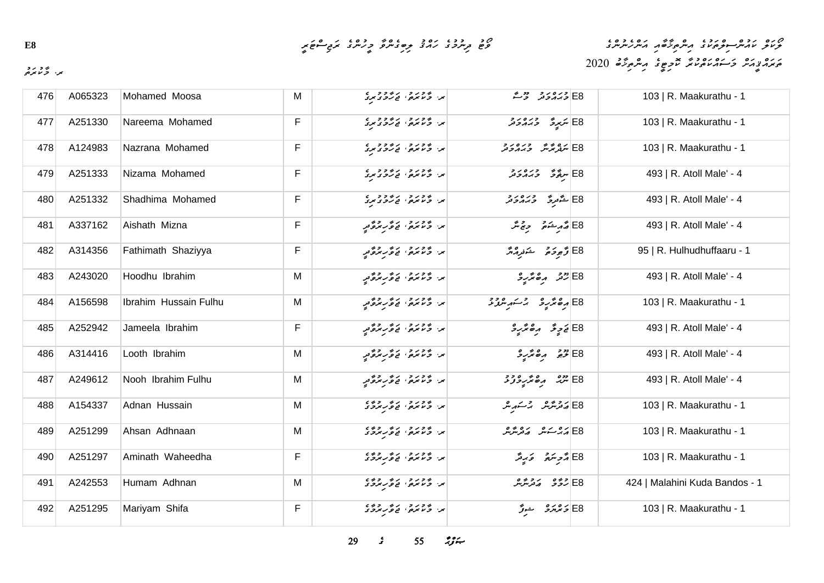*sCw7q7s5w7m< o<n9nOoAw7o< sCq;mAwBoEw7q<m; wBm;vB* م من المرة المرة المرة المرجع المرجع في المركبة 2020<br>مجم*د المريض المربوط المربع المرجع في المراجع المركبة* 

| 476 | A065323 | Mohamed Moosa         | M            | بن و درو، رود د د د                            | E8 3323 E8                                    | 103   R. Maakurathu - 1        |
|-----|---------|-----------------------|--------------|------------------------------------------------|-----------------------------------------------|--------------------------------|
| 477 | A251330 | Nareema Mohamed       | $\mathsf F$  | بر و در د درود و و                             | E8] <i>سَمِرةً وَيَدْوَ</i> مَرَ              | 103   R. Maakurathu - 1        |
| 478 | A124983 | Nazrana Mohamed       | F            | د ده در در در در در د<br>بر گرم برو، در کرد در | E8 يتۇپترىتر بەربەردىر                        | 103   R. Maakurathu - 1        |
| 479 | A251333 | Nizama Mohamed        | F            | بر و در د درود و و                             | E8 سۇڭ <i>دىنەدىر</i>                         | 493   R. Atoll Male' - 4       |
| 480 | A251332 | Shadhima Mohamed      | F            | بر به ورو روو و و<br>بر گانوی فرگردی           | E8 شەرى ئەمەدىر                               | 493   R. Atoll Male' - 4       |
| 481 | A337162 | Aishath Mizna         | $\mathsf{F}$ | بر و و د و د و د و و د                         | E8 مُرمِشَمُ حِيْمٌ                           | 493   R. Atoll Male' - 4       |
| 482 | A314356 | Fathimath Shaziyya    | F            | بر و و د و د و د و و د برو د                   | E8 <i>وَّجِوَدَهُ</i> شَم <i>ْوِرْدُهُ</i> ّ  | 95   R. Hulhudhuffaaru - 1     |
| 483 | A243020 | Hoodhu Ibrahim        | M            | بر و درو رو رو د                               | E8 جين په <i>هنگر</i> ي                       | 493   R. Atoll Male' - 4       |
| 484 | A156598 | Ibrahim Hussain Fulhu | M            | بر و ورو د و دوور                              | E8 مەھەر بەر مەسىر مىردى ئى                   | 103   R. Maakurathu - 1        |
| 485 | A252942 | Jameela Ibrahim       | F            | من كالأمراط والمتحر المتحافير                  | E8 <sub>تح</sub> وِمَ م <i>ِ مِيْ مِ</i> رْدِ | 493   R. Atoll Male' - 4       |
| 486 | A314416 | Looth Ibrahim         | M            | بر و درو رو در                                 | E8 توفير م <i>و مركز</i>                      | 493   R. Atoll Male' - 4       |
| 487 | A249612 | Nooh Ibrahim Fulhu    | M            | بر كالأبرة الأكر بروكر                         | E8 تېر مەھم <i>ب</i> ورو                      | 493   R. Atoll Male' - 4       |
| 488 | A154337 | Adnan Hussain         | M            | بر و درو ده دوه                                | E8 كەنترىترىش كەسىرىسى                        | 103   R. Maakurathu - 1        |
| 489 | A251299 | Ahsan Adhnaan         | M            | بر و د د و د د و د و                           | E8 كەبۇسكەش كەنترىتىر                         | 103   R. Maakurathu - 1        |
| 490 | A251297 | Aminath Waheedha      | F            | بر و در د دوه                                  | E8 مَّ <i>جِسَمَ</i> وَرِمَّد                 | 103   R. Maakurathu - 1        |
| 491 | A242553 | Humam Adhnan          | M            | بر به ورو رو ده ور                             | E8 - 25 - محر شرکتر                           | 424   Malahini Kuda Bandos - 1 |
| 492 | A251295 | Mariyam Shifa         | F            | بر و در در دره د                               | E8 كەممەر ئى سىرىتى بىر                       | 103   R. Maakurathu - 1        |

*29 sC 55 nNw?mS*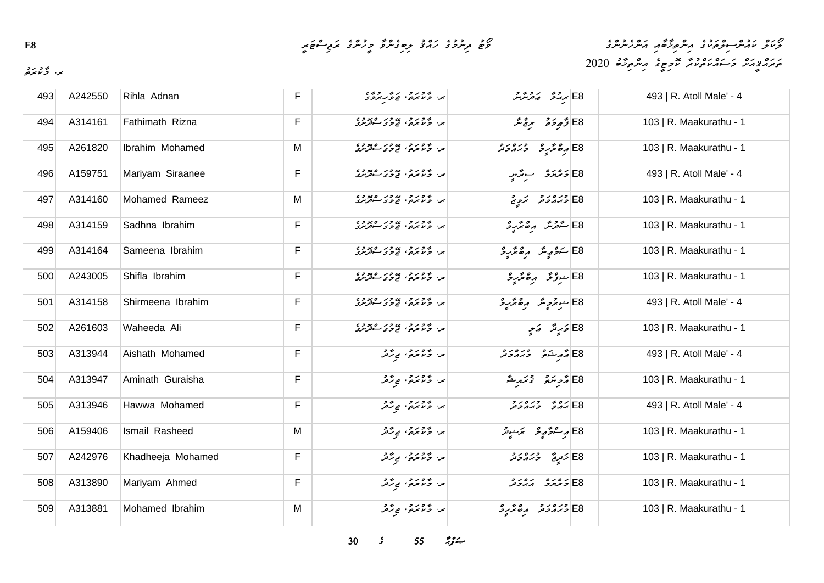*sCw7q7s5w7m< o<n9nOoAw7o< sCq;mAwBoEw7q<m; wBm;vB* م من المرة المرة المرة المرجع المرجع في المركبة 2020<br>مجم*د المريض المربوط المربع المرجع في المراجع المركبة* 

| 493 | A242550 | Rihla Adnan       | $\mathsf F$  | بر کام بره د کام ده د                                                        | E8 بر2\$ كەترىگەر                             | 493   R. Atoll Male' - 4 |
|-----|---------|-------------------|--------------|------------------------------------------------------------------------------|-----------------------------------------------|--------------------------|
| 494 | A314161 | Fathimath Rizna   | F            | و د ر د پره د ه و د ه<br>بر باز تر تر بره کا د کرد کرد ک                     | E8 رَّج <i>و حَقَّ</i> ہو جَمَّد              | 103   R. Maakurathu - 1  |
| 495 | A261820 | Ibrahim Mohamed   | M            | و د ر د پره د ه و د ه<br>بر باز تر تر بره کا د کرد کرد ک                     | E8] مەھەرىي ھەممەدىر                          | 103   R. Maakurathu - 1  |
| 496 | A159751 | Mariyam Siraanee  | $\mathsf{F}$ | بر به ور و برده در ه برون<br>بر به حرم برده به قرح کرده سوتر مرد             | E8 <i>دې جوړې سومگ</i> ېږ                     | 493   R. Atoll Male' - 4 |
| 497 | A314160 | Mohamed Rameez    | M            | و د ر د پره د ه و د ه<br>بر باز تر تر بره کا د کرد کرد ک                     | E8 <i>وُبُرُوْدُوْ بُرَوِجْ</i>               | 103   R. Maakurathu - 1  |
| 498 | A314159 | Sadhna Ibrahim    | $\mathsf{F}$ | د و د د و د ده د د و د و د و د<br>بر او د برو ا د و و د سوتر برو             | E8 سەمترىتر ب <i>ەھت</i> رىيى                 | 103   R. Maakurathu - 1  |
| 499 | A314164 | Sameena Ibrahim   | F            | بر به ورو در در در در در<br>بر کرناموری فرکری سوتورن                         | E8] سُوْرٍ مَدَّ مِنْ مِرْدِةِ                | 103   R. Maakurathu - 1  |
| 500 | A243005 | Shifla Ibrahim    | $\mathsf{F}$ | و د ر د پره د ه و د ه<br>بر باز تر تر بره کا د کرد کرد ک                     | E8 خورْمَ مِنْ مِرْمِرْدِ                     | 103   R. Maakurathu - 1  |
| 501 | A314158 | Shirmeena Ibrahim | F            | و د ر د . د . د . د . د . د .<br>بر· و بر برو <sup>،</sup> د ح د ک سوتر بر . | E8 خونمرچ مگر مرکھ کرچ گ                      | 493   R. Atoll Male' - 4 |
| 502 | A261603 | Waheeda Ali       | F            | و د ر د پره د ه و د ه<br>بر باز تر تر بره کا د کرد کرد ک                     | E8] وَرِيْدٌ    دَمِرٍ                        | 103   R. Maakurathu - 1  |
| 503 | A313944 | Aishath Mohamed   | $\mathsf F$  | ىر. ئۇ ئايرۇ، يەرگەر                                                         | E8 مەم شەھرە ئەم <i>دىن</i> دىن               | 493   R. Atoll Male' - 4 |
| 504 | A313947 | Aminath Guraisha  | F            | ىر. ئۇ ئايرۇ، يەرگەر                                                         | E8 مُجِسَمَةٌ تَحْسَرِ مِنْتُمْ               | 103   R. Maakurathu - 1  |
| 505 | A313946 | Hawwa Mohamed     | $\mathsf{F}$ | ىن كۆرۈم يېڭىز                                                               | E8 ג'מיט 2019 ביני 2019 ביני                  | 493   R. Atoll Male' - 4 |
| 506 | A159406 | Ismail Rasheed    | M            | بر: وَلاَبْرَضَ فِي رُّفْرُ                                                  | E8 <sub>م</sub> رےدو ہو ۔ مر <sub>شو</sub> مر | 103   R. Maakurathu - 1  |
| 507 | A242976 | Khadheeja Mohamed | $\mathsf F$  | ىن كۆرۈم يېڭىز                                                               | E8] دَمِيعٌ     3، 25% تر                     | 103   R. Maakurathu - 1  |
| 508 | A313890 | Mariyam Ahmed     | F            | ىن كۆرۈم يېڭىز                                                               | E8 كريريو كرورو                               | 103   R. Maakurathu - 1  |
| 509 | A313881 | Mohamed Ibrahim   | M            | ىن ئۇنۇمۇ، يەرگە                                                             | E8 دبرورد مقتربة                              | 103   R. Maakurathu - 1  |

**30** *s* **55** *z s*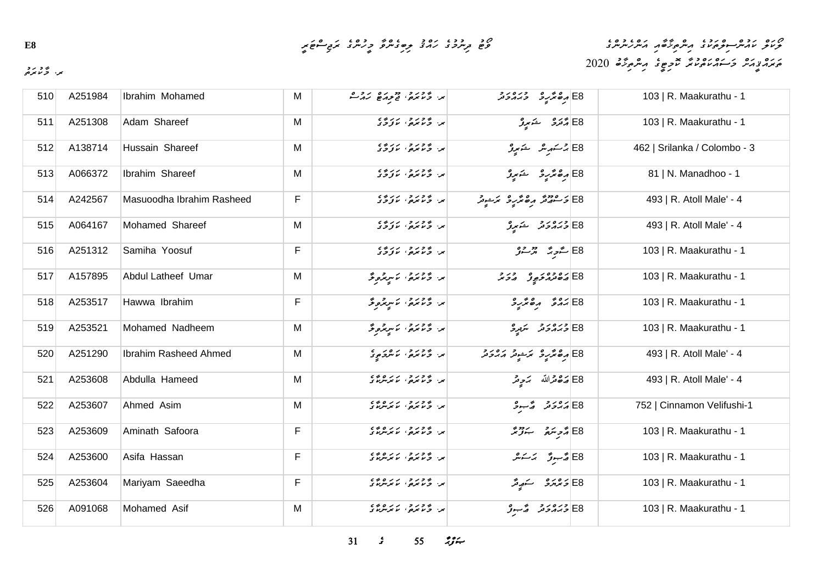*sCw7q7s5w7m< o<n9nOoAw7o< sCq;mAwBoEw7q<m; wBm;vB* م من المرة المرة المرة المرجع المرجع في المركبة 2020<br>مجم*د المريض المربوط المربع المرجع في المراجع المركبة* 

| 510 | A251984 | Ibrahim Mohamed           | M | بر ونابره وديره روم                 | E8] بەھتگەر قىسىم قىلغا قىلاردىن                       | 103   R. Maakurathu - 1      |
|-----|---------|---------------------------|---|-------------------------------------|--------------------------------------------------------|------------------------------|
| 511 | A251308 | Adam Shareef              | M | ىر كەردە، ئازگەن                    | E8 مُرْتَرْد - شَمَيْرْ                                | 103   R. Maakurathu - 1      |
| 512 | A138714 | Hussain Shareef           | м | ىر بەردىن ئەردە ئ                   | E8] 2 سَمبر شَر مُشَمَّرٍ وَ                           | 462   Srilanka / Colombo - 3 |
| 513 | A066372 | Ibrahim Shareef           | M | بر و ورو رد ده د                    | E8 مەھەر ئەر ئىكە يور                                  | 81   N. Manadhoo - 1         |
| 514 | A242567 | Masuoodha Ibrahim Rasheed | F | بر کارورو، روزه د                   | E8 كەسەر تەر بەھ ئۇر كە ئىشوتر                         | 493   R. Atoll Male' - 4     |
| 515 | A064167 | Mohamed Shareef           | M | ىر بەردىق ئەزەپ                     | E8] <i>وُبَہُ وَبَرْ</i> مُسَ سَمَب <i>رِ وُ</i>       | 493   R. Atoll Male' - 4     |
| 516 | A251312 | Samiha Yoosuf             | F | ىر كەردە، ئەزەرە،                   | E8 گەربۇ تەرقىنۇ                                       | 103   R. Maakurathu - 1      |
| 517 | A157895 | Abdul Latheef Umar        | M | ىن ئۇدىردا ئاسلامۇم                 | E8 בֿבּינגלית 25 ביביג                                 | 103   R. Maakurathu - 1      |
| 518 | A253517 | Hawwa Ibrahim             | F | ىن ئۇرىي ئاسلامۇ                    | E8 <i>بَهُمْ مُعْبُرِدْ</i>                            | 103   R. Maakurathu - 1      |
| 519 | A253521 | Mohamed Nadheem           | M | بر كالأمرة الأسرجرون                | E8 3 <i>5223 سَرْمِر \$</i>                            | 103   R. Maakurathu - 1      |
| 520 | A251290 | Ibrahim Rasheed Ahmed     | M | بر و دره روز د                      | E8 <sub>م</sub> ەھ <i>ئۇر</i> ۇ - ئەجو ئەرە ئەر 3.5 كە | 493   R. Atoll Male' - 4     |
| 521 | A253608 | Abdulla Hameed            | M | بر دورو رره ده ده<br>بر گانگری نگرس | E8 كەھەراللە بەر بىر                                   | 493   R. Atoll Male' - 4     |
| 522 | A253607 | Ahmed Asim                | M |                                     | E8 كەبرى قىلىدۇ                                        | 752   Cinnamon Velifushi-1   |
| 523 | A253609 | Aminath Safoora           | F |                                     | E8 مُرْحِبَهُ جَوَنَبُرَ                               | 103   R. Maakurathu - 1      |
| 524 | A253600 | Asifa Hassan              | F |                                     | E8 <sub>م</sub> حبور برسكر                             | 103   R. Maakurathu - 1      |
| 525 | A253604 | Mariyam Saeedha           | F |                                     | E8 <i>وَجُهْدُوْ</i> سَمَ <i>مِينُ</i> رُ              | 103   R. Maakurathu - 1      |
| 526 | A091068 | Mohamed Asif              | M |                                     | E8 <i>5525 - 2-13</i>                                  | 103   R. Maakurathu - 1      |

 $31$  *s* 55  $294$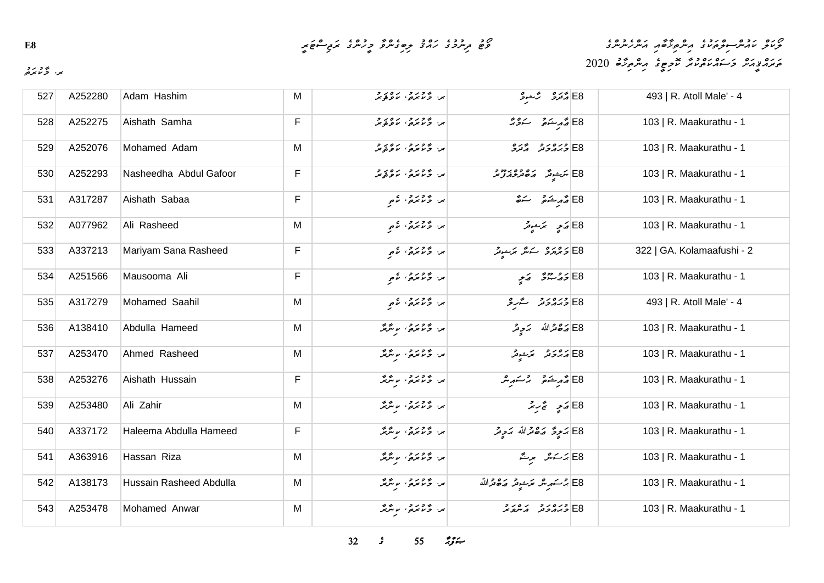*sCw7q7s5w7m< o<n9nOoAw7o< sCq;mAwBoEw7q<m; wBm;vB* م من المرة المرة المرة المرجع المرجع في المركبة 2020<br>مجم*د المريض المربوط المربع المرجع في المراجع المركبة* 

| 527 | A252280 | Adam Hashim             | M            | ىر بەردىن بەردى<br>بىر بەلاتمەن ئالى ئۆتلەر | E8 أَمُرْتَرْدُ كَرْسُورُ                                                                                                                                                                                                                                                                                                                                                                                                | 493   R. Atoll Male' - 4   |
|-----|---------|-------------------------|--------------|---------------------------------------------|--------------------------------------------------------------------------------------------------------------------------------------------------------------------------------------------------------------------------------------------------------------------------------------------------------------------------------------------------------------------------------------------------------------------------|----------------------------|
| 528 | A252275 | Aishath Samha           | F            | بر كوربرو، رەرد                             | E8 مُصِينَة حَمْرَ بُرْ                                                                                                                                                                                                                                                                                                                                                                                                  | 103   R. Maakurathu - 1    |
| 529 | A252076 | Mohamed Adam            | M            | بر کارده، ره ده.                            | E8 3225 مُتَرَد                                                                                                                                                                                                                                                                                                                                                                                                          | 103   R. Maakurathu - 1    |
| 530 | A252293 | Nasheedha Abdul Gafoor  | $\mathsf F$  | بر ورو ره رو د                              | E8 مَرْجِعة كَمْ صَعْرَفْهُ وَمَمْرٍ                                                                                                                                                                                                                                                                                                                                                                                     | 103   R. Maakurathu - 1    |
| 531 | A317287 | Aishath Sabaa           | F            | بر وردره عم                                 | $\stackrel{2}{\circ}$ $\stackrel{2}{\circ}$ $\stackrel{4}{\circ}$ $\stackrel{5}{\circ}$ $\stackrel{6}{\circ}$ $\stackrel{6}{\circ}$ $\stackrel{7}{\circ}$ $\stackrel{8}{\circ}$ $\stackrel{8}{\circ}$ $\stackrel{1}{\circ}$ $\stackrel{8}{\circ}$ $\stackrel{1}{\circ}$ $\stackrel{8}{\circ}$ $\stackrel{1}{\circ}$ $\stackrel{1}{\circ}$ $\stackrel{8}{\circ}$ $\stackrel{1}{\circ}$ $\stackrel{1}{\circ}$ $\stackrel{$ | 103   R. Maakurathu - 1    |
| 532 | A077962 | Ali Rasheed             | M            | بر وردو ، ر                                 | E8 <i>مَجِ بَرَحِينَ</i> رُ                                                                                                                                                                                                                                                                                                                                                                                              | 103   R. Maakurathu - 1    |
| 533 | A337213 | Mariyam Sana Rasheed    | F            | بر کام تره عم                               | E8] كەنگەنگە ئىكەنگە ئىكەنشەنگە                                                                                                                                                                                                                                                                                                                                                                                          | 322   GA. Kolamaafushi - 2 |
| 534 | A251566 | Mausooma Ali            | F            | بر و درد ، نام                              | E8 <i>وَهُ</i> يْتِهُ مَعِ                                                                                                                                                                                                                                                                                                                                                                                               | 103   R. Maakurathu - 1    |
| 535 | A317279 | Mohamed Saahil          | M            | بر و درد ، ام                               | E8] <i>ۇنەۋەتى سەر</i> بۇ                                                                                                                                                                                                                                                                                                                                                                                                | 493   R. Atoll Male' - 4   |
| 536 | A138410 | Abdulla Hameed          | M            | ىن ئۇرىرى بولىگە                            | E8 كەھەراللە كەربىر                                                                                                                                                                                                                                                                                                                                                                                                      | 103   R. Maakurathu - 1    |
| 537 | A253470 | Ahmed Rasheed           | $\mathsf{M}$ | ىن ئەدىرە، باشگە                            | E8 كەركە كىل كىرىشونىگ                                                                                                                                                                                                                                                                                                                                                                                                   | 103   R. Maakurathu - 1    |
| 538 | A253276 | Aishath Hussain         | F            | ىن ئەممىرى بىشگە                            | E8 مەم ئىسكىم مى جام ئىسكەر بىر                                                                                                                                                                                                                                                                                                                                                                                          | 103   R. Maakurathu - 1    |
| 539 | A253480 | Ali Zahir               | M            | بر كالأنزلي بالتركيز                        | E8 <i>ھَ جِي چُرى</i> تَر                                                                                                                                                                                                                                                                                                                                                                                                | 103   R. Maakurathu - 1    |
| 540 | A337172 | Haleema Abdulla Hameed  | F            | بر كالأنزلي بالتركيز                        | E8 كَمَعِيقٌ مَهْ قَدْاللّه مَدْحِ قَدْ                                                                                                                                                                                                                                                                                                                                                                                  | 103   R. Maakurathu - 1    |
| 541 | A363916 | Hassan Riza             | M            | بر وروده باشگ                               | E8  پرسکش مرسمًا                                                                                                                                                                                                                                                                                                                                                                                                         | 103   R. Maakurathu - 1    |
| 542 | A138173 | Hussain Rasheed Abdulla | M            | بر وروده باشگ                               | E8 بُرْسَمبِ مُرْسُومَر بَرَصْرَ اللّه                                                                                                                                                                                                                                                                                                                                                                                   | 103   R. Maakurathu - 1    |
| 543 | A253478 | Mohamed Anwar           | M            | ىن ئۇلايمۇ، باشگ                            | E8 32023 2022                                                                                                                                                                                                                                                                                                                                                                                                            | 103   R. Maakurathu - 1    |

**32** *s* **55** *z***<sub>***f***</sub>**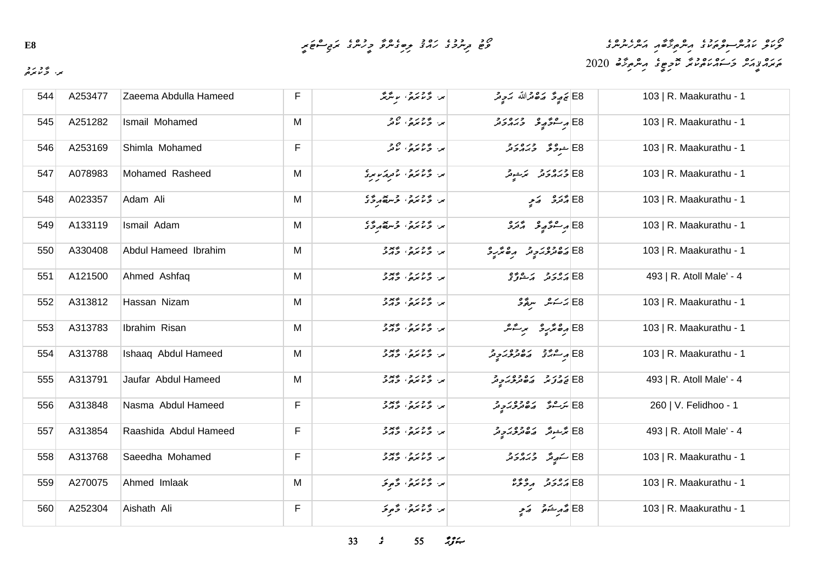*sCw7q7s5w7m< o<n9nOoAw7o< sCq;mAwBoEw7q<m; wBm;vB* م من المرة المرة المرة المرجع المرجع في المركبة 2020<br>مجم*د المريض المربوط المربع المرجع في المراجع المركبة* 

| 544 | A253477 | Zaeema Abdulla Hameed | F            | ىن ئۇم برىم، باشگە                       | E8 تج <i>َهِ \$ مُ</i> هْمَّراللَّهُ بَرَوِمْرُ         | 103   R. Maakurathu - 1  |
|-----|---------|-----------------------|--------------|------------------------------------------|---------------------------------------------------------|--------------------------|
| 545 | A251282 | Ismail Mohamed        | M            | بر، ئۇ ئەترىق، ئاتر                      | E8] مِـــْمَرَّمِهِ عَـ مِهْرَمَّتْرَ                   | 103   R. Maakurathu - 1  |
| 546 | A253169 | Shimla Mohamed        | F            | بر، وروي مالا                            | E8 جونۇ ئ <i>ۇنەۋەر</i>                                 | 103   R. Maakurathu - 1  |
| 547 | A078983 | Mohamed Rasheed       | M            | من كالأمرد الموركة مرى                   | E8 <i>ۇرۇۋۇ مۇ</i> جون <i>ۇ</i>                         | 103   R. Maakurathu - 1  |
| 548 | A023357 | Adam Ali              | M            |                                          | E8 چُرَمَ – <sub>مَ</sub> حٍ                            | 103   R. Maakurathu - 1  |
| 549 | A133119 | Ismail Adam           | M            |                                          | E8] مِ سُمَّرَّم مِرْ مَمَّرَّدَّ                       | 103   R. Maakurathu - 1  |
| 550 | A330408 | Abdul Hameed Ibrahim  | M            | ת יירוד ומודד<br>תיי ק מית ומין ואינוריק | E8 בֿיפּיבּיבְיבֿ <sub>ק</sub> ַפּיבֿ <sub>יב</sub> ַבֿ | 103   R. Maakurathu - 1  |
| 551 | A121500 | Ahmed Ashfaq          | M            | ז ביני שיבי<br>ז בעזקי בגי               | E8 كەبروتر كەش <i>ۇ</i> تى                              | 493   R. Atoll Male' - 4 |
| 552 | A313812 | Hassan Nizam          | M            | זה בנדגר בזיבר<br>זה בעזקים בגיב         | E8] ئەس <i>تەنگە</i> سى <i>تۇ</i> 5                     | 103   R. Maakurathu - 1  |
| 553 | A313783 | Ibrahim Risan         | M            | $3 \times 6$ $3 \times 26$ $\times$      | E8 رەئزىر ئىستىش                                        | 103   R. Maakurathu - 1  |
| 554 | A313788 | Ishaaq Abdul Hameed   | M            | ז ביני ידי                               | E8] م سرگر تر محمد محمد محمد حرفہ                       | 103   R. Maakurathu - 1  |
| 555 | A313791 | Jaufar Abdul Hameed   | M            | ז ביני זאי<br>ז' בעזקי בגי               | E8 <i>فەھۇنى مەھەرى بەرە</i>                            | 493   R. Atoll Male' - 4 |
| 556 | A313848 | Nasma Abdul Hameed    | F            | ז ביני ידי                               | E8] يتركونخ – مەھەرى <i>جە ئە</i> ر                     | 260   V. Felidhoo - 1    |
| 557 | A313854 | Raashida Abdul Hameed | $\mathsf{F}$ | ו בנגב בנב<br>תי בעתם <sup>,</sup> בגב   | E8 بَرْجِعِدَّ بِرَە <i>قو</i> كرى <sub>ر</sub> ىر      | 493   R. Atoll Male' - 4 |
| 558 | A313768 | Saeedha Mohamed       | $\mathsf F$  | ו כני כני כני<br>מי כנימים בניב          | E8 سَمرِيْرٌ وَيَرْدُونَرْ                              | 103   R. Maakurathu - 1  |
| 559 | A270075 | Ahmed Imlaak          | M            | ىن ئۇرىمۇ، ئۇمۇ                          | 222.75                                                  | 103   R. Maakurathu - 1  |
| 560 | A252304 | Aishath Ali           | F            | بر په دره په ترمون                       | E8 مُرمِشَعْ مَعِ                                       | 103   R. Maakurathu - 1  |

**33** *s* **55** *z***<sub>***f***</sub>**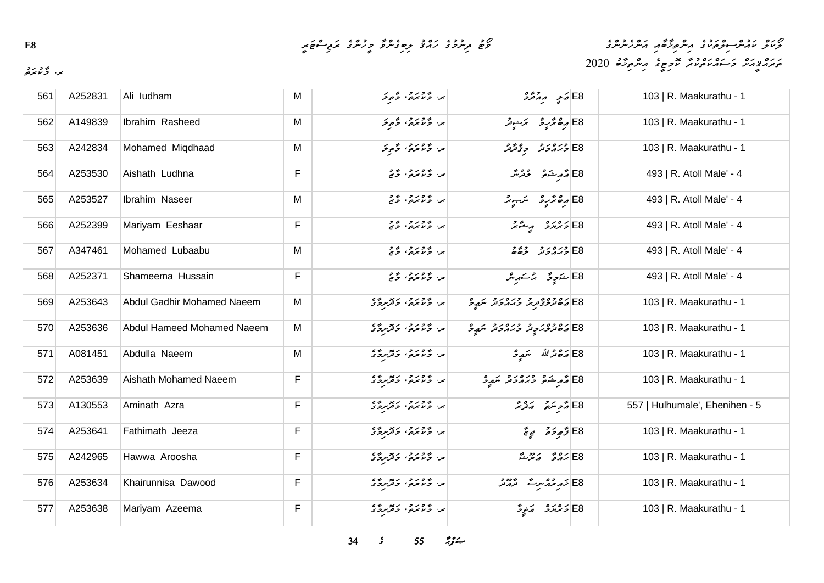*sCw7q7s5w7m< o<n9nOoAw7o< sCq;mAwBoEw7q<m; wBm;vB* م من المرة المرة المرة المرجع المرجع في المركبة 2020<br>مجم*د المريض المربوط المربع المرجع في المراجع المركبة* 

| 561 | A252831 | Ali ludham                 | M           | ىر، ئۇيزىقى، ئۇم ئ                 | E8 <i>مَج مِمْعُدُ</i>                                              | 103   R. Maakurathu - 1        |
|-----|---------|----------------------------|-------------|------------------------------------|---------------------------------------------------------------------|--------------------------------|
| 562 | A149839 | Ibrahim Rasheed            | M           | بر ورده وه                         | E8 م <i>وڭ مگرى</i> دۇ - مگرىش <sub>و</sub> مگر                     | 103   R. Maakurathu - 1        |
| 563 | A242834 | Mohamed Miqdhaad           | M           | برا وردوا وتموت                    | E8 دُبَر ديگر به ديگر تر                                            | 103   R. Maakurathu - 1        |
| 564 | A253530 | Aishath Ludhna             | $\mathsf F$ | <b>پر دورو ور</b>                  | E8 مُ مِسْدَمْ وَمُرْسَّر                                           | 493   R. Atoll Male' - 4       |
| 565 | A253527 | Ibrahim Naseer             | M           | بر کرد در در                       | E8 مەھەر كەر سىر ئىكى ئىكتار ئىكتار ئىكتار ئىكتار ئىكتار ئىكتار كىل | 493   R. Atoll Male' - 4       |
| 566 | A252399 | Mariyam Eeshaar            | $\mathsf F$ | <b>پر پرورو، وي</b>                | E8 كەممەر ھەممىگە مىڭ ئىس                                           | 493   R. Atoll Male' - 4       |
| 567 | A347461 | Mohamed Lubaabu            | M           | <b>پر د څرنړه کړه</b>              | $593$ $5923$ $E8$                                                   | 493   R. Atoll Male' - 4       |
| 568 | A252371 | Shameema Hussain           | F           | بر به 1995 و 2<br>بر گرم برخي گريم | E8] ڪوچ گه جيڪوپاهر                                                 | 493   R. Atoll Male' - 4       |
| 569 | A253643 | Abdul Gadhir Mohamed Naeem | M           | ر و درو دیوروی                     | E8 בסיפות המיניק במקבע ית כ                                         | 103   R. Maakurathu - 1        |
| 570 | A253636 | Abdul Hameed Mohamed Naeem | M           | ر و و د و درو و و و                | E8 رە دەر د درەرد شھرى                                              | 103   R. Maakurathu - 1        |
| 571 | A081451 | Abdulla Naeem              | M           | بر ورد رید وی                      | E8 رَحْمَرْالله سَمِيرْ                                             | 103   R. Maakurathu - 1        |
| 572 | A253639 | Aishath Mohamed Naeem      | F           | بر گرم برم ریو دی                  | E8 مەم شەم كەندىكى ئىرگى E8                                         | 103   R. Maakurathu - 1        |
| 573 | A130553 | Aminath Azra               | $\mathsf F$ | بر ورد رید ده                      | E8 مُتصِبَعِينِ مَقْرِبَمُ                                          | 557   Hulhumale', Ehenihen - 5 |
| 574 | A253641 | Fathimath Jeeza            | F           | بر ورد رید ده                      | E8 رَّج <i>وحَ</i> هُ مِي تَمَّ                                     | 103   R. Maakurathu - 1        |
| 575 | A242965 | Hawwa Aroosha              | F           | بر و درو ریو و ه                   | E8 يَرْدُوَّ بَرِيْرْ شَرَّ                                         | 103   R. Maakurathu - 1        |
| 576 | A253634 | Khairunnisa Dawood         | F           | بر ورده ریورو                      | E8 تەرىرمەس ئىش ئەدەر                                               | 103   R. Maakurathu - 1        |
| 577 | A253638 | Mariyam Azeema             | F           | بر و دوه دیوروی                    | E8 كا <i>محمد بحرق م</i> قومً                                       | 103   R. Maakurathu - 1        |

**34** *s* **55** *z s*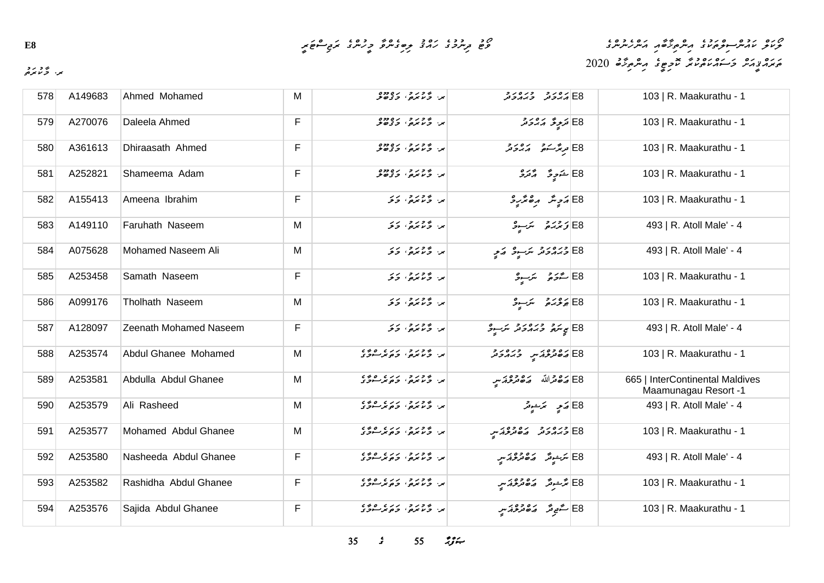*sCw7q7s5w7m< o<n9nOoAw7o< sCq;mAwBoEw7q<m; wBm;vB* م من المرة المرة المرة المرجع المرجع في المركبة 2020<br>مجم*د المريض المربوط المربع المرجع في المراجع المركبة* 

| 578 | A149683 | Ahmed Mohamed          | м            | بر· ت <i>ۇرىق تۇھ</i> ۇ                               | E8] <i>גَ גُدُو دُ وَ גُ</i> مُرَوَ تَرَ          | $103$   R. Maakurathu - 1                               |
|-----|---------|------------------------|--------------|-------------------------------------------------------|---------------------------------------------------|---------------------------------------------------------|
| 579 | A270076 | Daleela Ahmed          | $\mathsf{F}$ | پر په دره ره دوه<br>بر کرمانوي کرده لر                | E8] تَرَجِعٌ   يَرْدُوَنْرُ                       | 103   R. Maakurathu - 1                                 |
| 580 | A361613 | Dhiraasath Ahmed       | F            | پر په <i>ډر د</i> کره دده<br>بر کرنامرهي کرده کر      | E8 مریگر کے مقام کر دیگر دیگر                     | 103   R. Maakurathu - 1                                 |
| 581 | A252821 | Shameema Adam          | $\mathsf{F}$ | پر په دره ره دوه<br>بر کرمانوي کرده لر                | E8 خورڈ گ <sup>ی</sup> رو                         | 103   R. Maakurathu - 1                                 |
| 582 | A155413 | Ameena Ibrahim         | $\mathsf F$  | بر کا ترکوی کرک                                       | E8 كەچ ئىگە مەھەمگەر 2                            | 103   R. Maakurathu - 1                                 |
| 583 | A149110 | Faruhath Naseem        | M            | ىن كەممىي كەنگە                                       | E8] <i>وَيُرْبَرُمْ</i> - يَرَسِيوُ               | 493   R. Atoll Male' - 4                                |
| 584 | A075628 | Mohamed Naseem Ali     | M            | بر، وربرو، رو                                         | E8] <i>وُبُرُهُ دَو مَرْسِودٌ مَ</i> عِ           | 493   R. Atoll Male' - 4                                |
| 585 | A253458 | Samath Naseem          | $\mathsf F$  | بن وسود در                                            | E8 گەنزۇ مەربىد <i>ۇ</i>                          | 103   R. Maakurathu - 1                                 |
| 586 | A099176 | Tholhath Naseem        | M            | ىن كەممىي كەنگە                                       | E8] <i>پُرُوْبَهُمْ - مَرَسِودُ</i>               | 103   R. Maakurathu - 1                                 |
| 587 | A128097 | Zeenath Mohamed Naseem | $\mathsf{F}$ | بر په ورو کرک                                         | E8 <sub>مح</sub> مد و دره د د مرسود               | 493   R. Atoll Male' - 4                                |
| 588 | A253574 | Abdul Ghanee Mohamed   | M            |                                                       | E8 בֿבּבּבּבּבֿיתַ 25,000 ב                       | 103   R. Maakurathu - 1                                 |
| 589 | A253581 | Abdulla Abdul Ghanee   | M            | د و د د د د د د ه و د ه<br>بر و ما بره و و و بر سرو د | E8 رَصْحْرَاللَّهُ مَصْعَرْ مِّرْمَدَ سِ          | 665   InterContinental Maldives<br>Maamunagau Resort -1 |
| 590 | A253579 | Ali Rasheed            | M            |                                                       | E8 کھ پر مخرشوفر                                  | 493   R. Atoll Male' - 4                                |
| 591 | A253577 | Mohamed Abdul Ghanee   | M            |                                                       | E8 כממכנה מסיניבות יינ                            | 103   R. Maakurathu - 1                                 |
| 592 | A253580 | Nasheeda Abdul Ghanee  | $\mathsf F$  |                                                       | E8] سَرَشِيشَ <i>رُە قر</i> ۇرَ س <sub>ِ</sub> رِ | 493   R. Atoll Male' - 4                                |
| 593 | A253582 | Rashidha Abdul Ghanee  | F            |                                                       | E8] <i>مُرْڪونَل مُنھونروُنَ سِ</i>               | 103   R. Maakurathu - 1                                 |
| 594 | A253576 | Sajida Abdul Ghanee    | F            | ו כירוך גן היה היה<br>מי לעמלי בתמייכל                | E8] گەھ <sub>ي</sub> قر كەھە <i>ترى تەرىپ</i> ر   | 103   R. Maakurathu - 1                                 |

**35** *s* **55** *z s*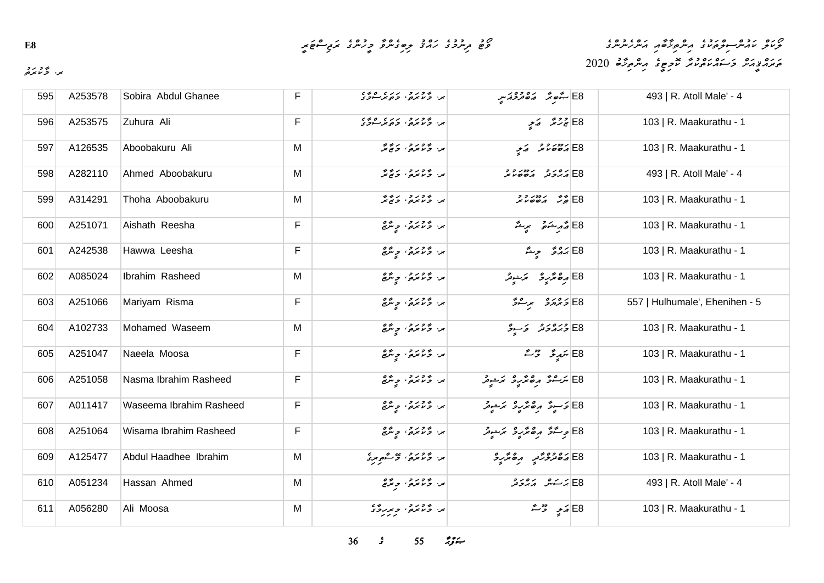*sCw7q7s5w7m< o<n9nOoAw7o< sCq;mAwBoEw7q<m; wBm;vB* م من المرة المرة المرة المرجع المرجع في المركبة 2020<br>مجم*د المريض المربوط المربع المرجع في المراجع المركبة* 

| 595 | A253578 | Sobira Abdul Ghanee     | F           | זה בנדה גן ביבה<br>זה בעזקי בפזה-יבצ   | E8] بەھ <i>ئەھ مەھەر ئارى</i> ر                     | 493   R. Atoll Male' - 4       |
|-----|---------|-------------------------|-------------|----------------------------------------|-----------------------------------------------------|--------------------------------|
| 596 | A253575 | Zuhura Ali              | F           |                                        | E8 يح شم مي ميو پيدا کرد.<br>ح                      | 103   R. Maakurathu - 1        |
| 597 | A126535 | Aboobakuru Ali          | M           | پر د ۱۶۱۶ کرد و.<br>س کرد سره کرد ک    | E8 يەھەم تىر مەر                                    | 103   R. Maakurathu - 1        |
| 598 | A282110 | Ahmed Aboobakuru        | M           | بر کا درو، روم                         | $77777$ $7997$ $E8$                                 | 493   R. Atoll Male' - 4       |
| 599 | A314291 | Thoha Aboobakuru        | M           | پر د ۱۶۶۶ کرد و.<br>بر ۱۶۷۶ کرد کرد    | $77227$ $75$ $E8$                                   | 103   R. Maakurathu - 1        |
| 600 | A251071 | Aishath Reesha          | F           | ىر. ئۇ ئايرىق، بەيدىقى                 |                                                     | 103   R. Maakurathu - 1        |
| 601 | A242538 | Hawwa Leesha            | F           | ىن ئۇلايمۇ، بەيگەنج                    | E8 <i>بَرْدُوَّ وِ</i> حَّہِ                        | 103   R. Maakurathu - 1        |
| 602 | A085024 | Ibrahim Rasheed         | M           | بر په درو پره                          | E8 م <i>وڭ مگرى</i> دۇ - مگرىش <sub>و</sub> مگر     | 103   R. Maakurathu - 1        |
| 603 | A251066 | Mariyam Risma           | F           | بر و درو پره                           | E8 <i>وَجُهْدَوْ</i> بِرِسْرَةُ                     | 557   Hulhumale', Ehenihen - 5 |
| 604 | A102733 | Mohamed Waseem          | M           | بر، 1975، ويرتج                        | E8 \$ <i>\$ \$ \$ \$ + \$ + \$</i>                  | 103   R. Maakurathu - 1        |
| 605 | A251047 | Naeela Moosa            | F           | بر. 1975، ويرتج                        | E8 سَمِعٌ حَمْسٌ                                    | 103   R. Maakurathu - 1        |
| 606 | A251058 | Nasma Ibrahim Rasheed   | $\mathsf F$ | بر په درو پره                          | E8] <i>مَرْسُودٌ وِرْهُ مَّرُبِ</i> مِنْ مَرْسُومُر | 103   R. Maakurathu - 1        |
| 607 | A011417 | Waseema Ibrahim Rasheed | $\mathsf F$ | بر په درو پره                          | E8 كۈسۈگە ب <i>وھ ئۈر</i> گە ئىرىشوند               | 103   R. Maakurathu - 1        |
| 608 | A251064 | Wisama Ibrahim Rasheed  | F           | ىن ئۇلايمۇ، بەيگەنج                    | E8 وِسَّرَّ مِرْهُ بَرُرِدْ بَرَسُوتِر              | 103   R. Maakurathu - 1        |
| 609 | A125477 | Abdul Haadhee Ibrahim   | M           | بر و در ده ده و در                     | E8 <i>ړه دوگور م</i> ه <i>گړو</i>                   | 103   R. Maakurathu - 1        |
| 610 | A051234 | Hassan Ahmed            | M           | بر، ورويزه، وبرج                       | E8] يُركبش كروروسر                                  | 493   R. Atoll Male' - 4       |
| 611 | A056280 | Ali Moosa               | M           | بن و دره و برروی<br>بن و نابره و برروی | E8 کی تخ شہ                                         | 103   R. Maakurathu - 1        |

*<i>q, s e .*<br>بر . گرمایوم

**36** *s* **55** *z***<sub>***3***</sub>** *z***<sub></sub>**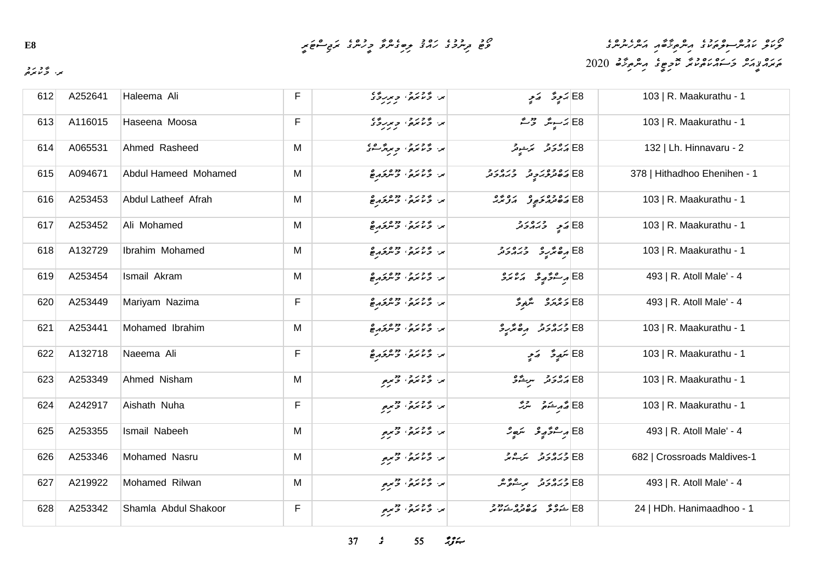*sCw7q7s5w7m< o<n9nOoAw7o< sCq;mAwBoEw7q<m; wBm;vB* م من المرة المرة المرة المرجع المرجع في المركبة 2020<br>مجم*د المريض المربوط المربع المرجع في المراجع المركبة* 

| 612 | A252641 | Haleema Ali          | F           | بر گرمزه دبرگرگ                  | E8  پَرچِوَ کَمَ جِ                   | 103   R. Maakurathu - 1      |
|-----|---------|----------------------|-------------|----------------------------------|---------------------------------------|------------------------------|
| 613 | A116015 | Haseena Moosa        | F           | بر و دره و برروی                 | E8   پرسپر محرثہ                      | 103   R. Maakurathu - 1      |
| 614 | A065531 | Ahmed Rasheed        | M           | بر ورد و بروم                    | E8] <i>גَ بُ</i> دْحَ مَرْ مَرْسُومْر | 132   Lh. Hinnavaru - 2      |
| 615 | A094671 | Abdul Hameed Mohamed | M           |                                  | E8 בטינת המביק בגביביה                | 378   Hithadhoo Ehenihen - 1 |
| 616 | A253453 | Abdul Latheef Afrah  | M           |                                  | E8 בەممەم بورە جەم                    | 103   R. Maakurathu - 1      |
| 617 | A253452 | Ali Mohamed          | M           | بر ورد دوره                      | E8 <i>مَرِ دَيَہُ دَوَ</i>            | 103   R. Maakurathu - 1      |
| 618 | A132729 | Ibrahim Mohamed      | M           |                                  | E8 رەئزىرو دىرورو                     | 103   R. Maakurathu - 1      |
| 619 | A253454 | Ismail Akram         | M           | بر ورد دوره                      | E8] مەسىئۇ مەم مەم كىلىنى كىلەر ئىس   | 493   R. Atoll Male' - 4     |
| 620 | A253449 | Mariyam Nazima       | $\mathsf F$ | س ورد وروره                      | E8 <i>5 پر برق سگھ</i> وگر            | 493   R. Atoll Male' - 4     |
| 621 | A253441 | Mohamed Ibrahim      | M           | بر ورد دوره                      | E8 ديرورو مقتربة                      | 103   R. Maakurathu - 1      |
| 622 | A132718 | Naeema Ali           | $\mathsf F$ | من كورد دورد و                   | E8 سَمِيرٌ – مَرِ                     | 103   R. Maakurathu - 1      |
| 623 | A253349 | Ahmed Nisham         | M           | بر و در د د                      | E8] <i>גُ.چُرَ مَرَ سِيشُرُّ</i>      | 103   R. Maakurathu - 1      |
| 624 | A242917 | Aishath Nuha         | F           | بر به ور و .<br>بر کام بره کومره | E8 م <i>ەم شىمى مىرگ</i>              | 103   R. Maakurathu - 1      |
| 625 | A253355 | <b>Ismail Nabeeh</b> | M           | بر ورده در د                     | E8 مرگوگر محمد استقبا <sup>2</sup>    | 493   R. Atoll Male' - 4     |
| 626 | A253346 | Mohamed Nasru        | M           | x = 2120 = 0.00                  | E8 دېرمرد تربيد                       | 682   Crossroads Maldives-1  |
| 627 | A219922 | Mohamed Rilwan       | M           | بر ورد ده                        | E8 <i>وبروبرو</i> برش <i>وڤ</i> ر     | 493   R. Atoll Male' - 4     |
| 628 | A253342 | Shamla Abdul Shakoor | F           | x; 3,000 cm                      | E8 شەۋىخە بەھ <i>قىرە شىرىدى</i>      | 24   HDh. Hanimaadhoo - 1    |

**37** *s* **55** *z***<sub>***f***</sub>**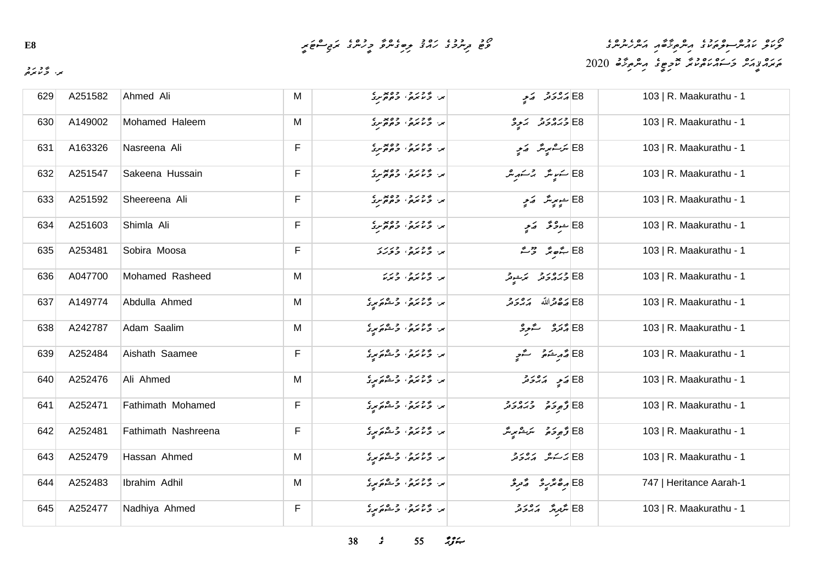*sCw7q7s5w7m< o<n9nOoAw7o< sCq;mAwBoEw7q<m; wBm;vB* م من المرة المرة المرة المرجع المرجع في المركبة 2020<br>مجم*د المريض المربوط المربع المرجع في المراجع المركبة* 

| 629 | A251582 | Ahmed Ali           | M | بر گرد ده ده ده ده<br>بر گردبره و ده در                     | E8  <i>גُ بُرْدَ تَدْ بِي بِ</i>        | 103   R. Maakurathu - 1 |
|-----|---------|---------------------|---|-------------------------------------------------------------|-----------------------------------------|-------------------------|
| 630 | A149002 | Mohamed Haleem      | M | بر گرم بره وه بود د<br>بر گرم بره وه ورم                    |                                         | 103   R. Maakurathu - 1 |
| 631 | A163326 | Nasreena Ali        | F | بر گرم بره وه بود د<br>بر گرم بره و وه و برد                | E8  سَرَكْتِمِيسَّر - رَمِجِ            | 103   R. Maakurathu - 1 |
| 632 | A251547 | Sakeena Hussain     | F | بر محرر و وه ده ده.<br>بر گرم برمي و محوم برد               | E8 س <i>ے پیش بڑے <sub>ا</sub>پ</i> یش  | 103   R. Maakurathu - 1 |
| 633 | A251592 | Sheereena Ali       | F | بر ورد ده ده.<br>بر ونامره وهونرد                           | E8 غيږيتر ک <i>ړم</i> ي                 | 103   R. Maakurathu - 1 |
| 634 | A251603 | Shimla Ali          | F | بر گرم بره وه بود د<br>بر گرم بره وه ورم                    | E8 خوڅر <i>وکم</i> ح                    | 103   R. Maakurathu - 1 |
| 635 | A253481 | Sobira Moosa        | F | بر کاروز ورزر                                               | $23$ $-20$ $-20$                        | 103   R. Maakurathu - 1 |
| 636 | A047700 | Mohamed Rasheed     | M | י בנדבר בנד<br>יי בעינים <sup>,</sup> בינט                  | E8 <i>وُبَرُوْدُو مُرَ</i> حْدِثْرُ     | 103   R. Maakurathu - 1 |
| 637 | A149774 | Abdulla Ahmed       | M | بر ورد و ورد د                                              |                                         | 103   R. Maakurathu - 1 |
| 638 | A242787 | Adam Saalim         | M | بر و در د ده د د د د                                        | E8   پژتربر محتجو تحری                  | 103   R. Maakurathu - 1 |
| 639 | A252484 | Aishath Saamee      | F | بر کامرو ویرو .                                             | E8 مُرمِشَمُ گَرِ                       | 103   R. Maakurathu - 1 |
| 640 | A252476 | Ali Ahmed           | M | بر کورد و دور د                                             | E8] ر <sub>َمَ</sub> ح م <i>دُ</i> حد م | 103   R. Maakurathu - 1 |
| 641 | A252471 | Fathimath Mohamed   | F | بر و درو و دور د<br>بر و <i>لابره</i> و شو <sub>م</sub> برد | E8 رُجِ حَمْ حَمْدَ حَمْدَ حَمْدَ       | 103   R. Maakurathu - 1 |
| 642 | A252481 | Fathimath Nashreena | F | بر و در د ده د د د د                                        | E8 <i>وَّ مِوحَمْ</i> سَرَ شَمِرِ سَّرَ | 103   R. Maakurathu - 1 |
| 643 | A252479 | Hassan Ahmed        | M | بر کار در در در در د                                        | E8   يَرْسَعْرُ لَمَ يُرْحَمْرُ         | 103   R. Maakurathu - 1 |
| 644 | A252483 | Ibrahim Adhil       | M | بن ورد و ورور                                               | E8 م <i>وھنگردی م</i> گوری              | 747   Heritance Aarah-1 |
| 645 | A252477 | Nadhiya Ahmed       | F | بود دوره و دور د<br>بود و ما بوجي و مشو <i>م بو</i> ر       | E8 سَّعِرِ مَدَّ 195 مَد                | 103   R. Maakurathu - 1 |

**38** *s* **55** *z s*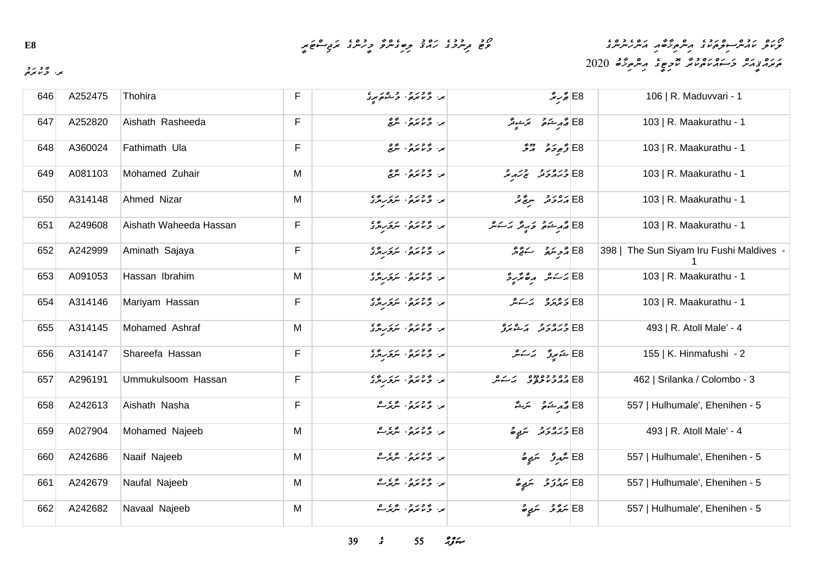*sCw7q7s5w7m< o<n9nOoAw7o< sCq;mAwBoEw7q<m; wBm;vB* م من المرة المرة المرة المرجع المرجع في المركبة 2020<br>مجم*د المريض المربوط المربع المرجع في المراجع المركبة* 

| 646 | A252475 | Thohira                | F | بن والأمرة وحصراء      | E8 پُوسِ پُر                           | 106   R. Maduvvari - 1                   |
|-----|---------|------------------------|---|------------------------|----------------------------------------|------------------------------------------|
| 647 | A252820 | Aishath Rasheeda       | F | ىن ئۇلايمۇ، ئىگى       | E8 مُرمِشَمُ مَمْشِيْتُر               | 103   R. Maakurathu - 1                  |
| 648 | A360024 | Fathimath Ula          | F | ىن ئۇلايمۇ، ئىگى       | E8 وَجِعَة مِنْ مِنْ                   | 103   R. Maakurathu - 1                  |
| 649 | A081103 | Mohamed Zuhair         | M | بر، د درو، ش           | E8 322.25 ج كرم ح                      | 103   R. Maakurathu - 1                  |
| 650 | A314148 | Ahmed Nizar            | M | ىن ئۇ ئايرە، سەئەر بۇر | E8 <i>مَدْدْدَ مَّدْ</i> سِيِّحْتُ     | 103   R. Maakurathu - 1                  |
| 651 | A249608 | Aishath Waheeda Hassan | F | بر و دوره سرکرده       | E8 مەم شەقرە كە يوتىر بركتىش           | 103   R. Maakurathu - 1                  |
| 652 | A242999 | Aminath Sajaya         | F | بر و المرد الكريم      | E8 مُ <i>جِسَعَہ جَسَمَۃً</i>          | 398   The Sun Siyam Iru Fushi Maldives - |
| 653 | A091053 | Hassan Ibrahim         | M | بر و دوره سرکرده       | E8] ئەسەمىر مەھەر ئوق                  | 103   R. Maakurathu - 1                  |
| 654 | A314146 | Mariyam Hassan         | F | بر و دوه سرکریزه       | E8 كەنگەر بەيدىكە ئىسكەنلەر            | 103   R. Maakurathu - 1                  |
| 655 | A314145 | Mohamed Ashraf         | M | بر و المرد الكريم      | E8 ديرورو كم شورو                      | 493   R. Atoll Male' - 4                 |
| 656 | A314147 | Shareefa Hassan        | F | بر و دوره سرکر ده      | E8] ڪمپرڙ پرڪش                         | 155   K. Hinmafushi - 2                  |
| 657 | A296191 | Ummukulsoom Hassan     | F | ىن ئۇ ئايرە، سەئەر بۇر | E8 <i>مەدە دە دە بىر شى</i> ر          | 462   Srilanka / Colombo - 3             |
| 658 | A242613 | Aishath Nasha          | F | ىر. ئۇ ئايرى ، ئىگەك   | E8 مُجمع مُ سَرَحْہ مَنْ سَرَحَتَ      | 557   Hulhumale', Ehenihen - 5           |
| 659 | A027904 | Mohamed Najeeb         | M | ىر. ئەدرىق، ئىركەت     | E8 <i>5223 مربح ھ</i>                  | 493   R. Atoll Male' - 4                 |
| 660 | A242686 | Naaif Najeeb           | M | ىر. ئۇ ئايرى ، ئىگەك   | E8 سُمبرز سَمَعٍ ص <sup>ح</sup>        | 557   Hulhumale', Ehenihen - 5           |
| 661 | A242679 | Naufal Najeeb          | M | ىر. ئۇ ئەرەپ، ئەترىك   | E8 سَمَدُوَ حَمَّدٍ صَحَّةٍ صَحَّةٍ مِ | 557   Hulhumale', Ehenihen - 5           |
| 662 | A242682 | Navaal Najeeb          | M | ىر. ئۇ ئايرى ئىگەرگ    | E8 سَمَّدَ مَسْ سَمَّدٍ صَحْ           | 557   Hulhumale', Ehenihen - 5           |

**39** *s* **55** *z s*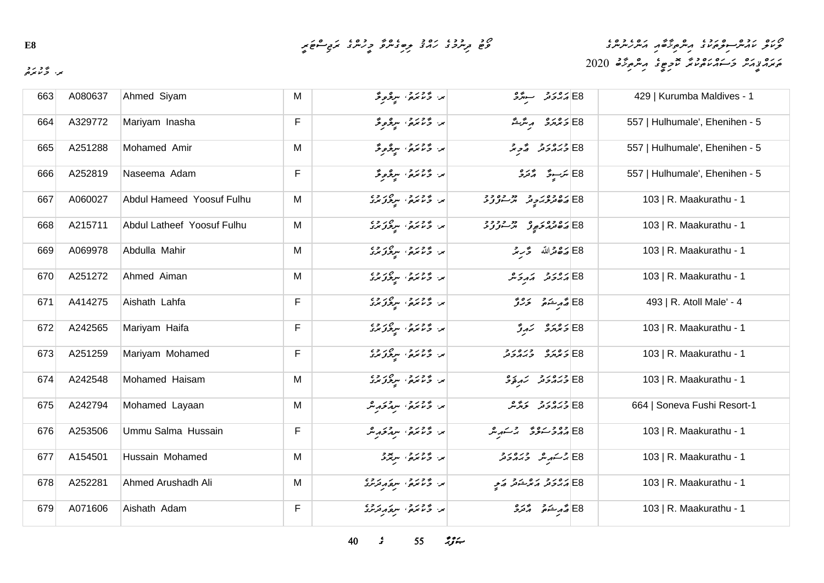*sCw7q7s5w7m< o<n9nOoAw7o< sCq;mAwBoEw7q<m; wBm;vB* م من المرة المرة المرة المرجع المرجع في المركبة 2020<br>مجم*د المريض المربوط المربع المرجع في المراجع المركبة* 

| 663 | A080637 | Ahmed Siyam                | M           | ىن ئەدىرى سرگرىز ئى                       | E8 كەبرى كىرى سىزگە                              | 429   Kurumba Maldives - 1     |
|-----|---------|----------------------------|-------------|-------------------------------------------|--------------------------------------------------|--------------------------------|
| 664 | A329772 | Mariyam Inasha             | F           | أيرا وتمايزة البرقروقر                    | E8 <i>وَجُهْرُوْ بِهِ مُرْجَّ</i> دُ             | 557   Hulhumale', Ehenihen - 5 |
| 665 | A251288 | Mohamed Amir               | M           | أيرا وتمايرها البرقروقر                   | E8 \$ 35.23 E8                                   | 557   Hulhumale', Ehenihen - 5 |
| 666 | A252819 | Naseema Adam               | F           | أين وبالمرض سروه ومح                      | E8 سَرَــوتَر مُرْتَزَرْ                         | 557   Hulhumale', Ehenihen - 5 |
| 667 | A060027 | Abdul Hameed Yoosuf Fulhu  | M           | بر ورد پرورد                              | E8 <sub>م</sub> ەھەرى بەر مەردە دەر              | 103   R. Maakurathu - 1        |
| 668 | A215711 | Abdul Latheef Yoosuf Fulhu | M           | بر ورده سروره<br>بر ونابرها سرووبرد       | E8 גەدەر ەسىردىنى<br>E8 مەھىرمى بۇ مەسىرى        | 103   R. Maakurathu - 1        |
| 669 | A069978 | Abdulla Mahir              | M           | بر ژبر ده سرگر ده                         | E8 مَەقراللە دَرىمْه                             | 103   R. Maakurathu - 1        |
| 670 | A251272 | Ahmed Aiman                | M           | بر ورد پرور                               | E8 בלכב הקבית                                    | 103   R. Maakurathu - 1        |
| 671 | A414275 | Aishath Lahfa              | F           | بر ورد مرود ده.<br>بر ونامرها سرفرمرد     | E8 مُصِيَّمُ وَرُوَّ                             | 493   R. Atoll Male' - 4       |
| 672 | A242565 | Mariyam Haifa              | F           | بر و دره سروره                            | E8 كانترنى كىمىدىگە                              | 103   R. Maakurathu - 1        |
| 673 | A251259 | Mariyam Mohamed            | $\mathsf F$ | بر ورد پرورد                              | E8 كەمەرە مەمەدىر                                | 103   R. Maakurathu - 1        |
| 674 | A242548 | Mohamed Haisam             | M           | بر و درو.<br>بر و <i>ما بره</i> سرد و برد | E8] <i>وُبَدُوَ</i> وَمَرَ رَ <sub>مِنَ</sub> وَ | 103   R. Maakurathu - 1        |
| 675 | A242794 | Mohamed Layaan             | M           | ر درو، سرگرمه                             | E8 <i>وَبَهُمُوَبَّرٍ وَبَرُّسُ</i>              | 664   Soneva Fushi Resort-1    |
| 676 | A253506 | Ummu Salma Hussain         | F           | أأترا والمتعرض المتهاجم والمراجل          | E8 <i>مەدى جوڭ بى</i> شمىر                       | 103   R. Maakurathu - 1        |
| 677 | A154501 | Hussain Mohamed            | M           | بر وتربرو سربرو                           | E8 يُرْسَمبِ شَرَ وَيَرْمُ وَمَدْ                | 103   R. Maakurathu - 1        |
| 678 | A252281 | Ahmed Arushadh Ali         | M           | بر و و د و .<br>بر و ما بره ا سره برمرد   | E8] كەندى <i>قەرىكەن كەي</i>                     | 103   R. Maakurathu - 1        |
| 679 | A071606 | Aishath Adam               | F           | من كالأمرة المتجاه بروي                   | E8 مُصِيَّمَة مُحَمَّد                           | 103   R. Maakurathu - 1        |

*40 sC 55 nNw?mS*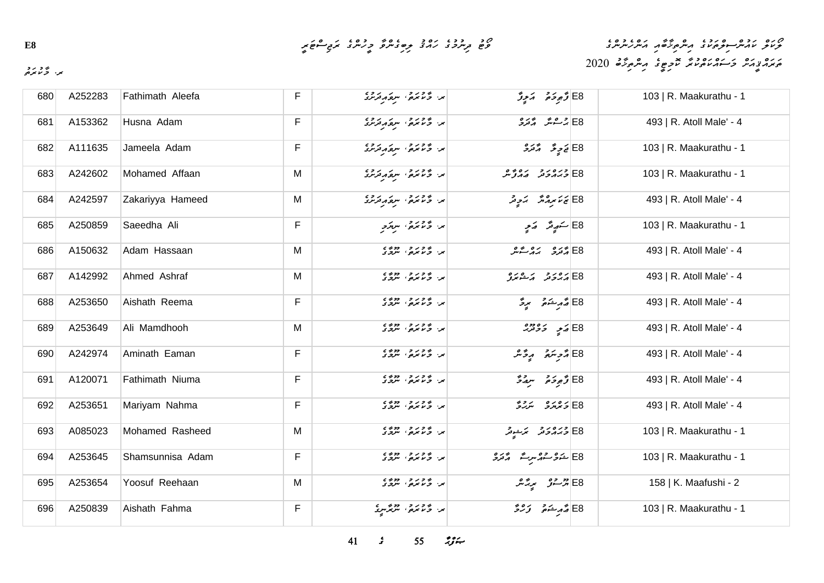*sCw7q7s5w7m< o<n9nOoAw7o< sCq;mAwBoEw7q<m; wBm;vB* م من المرة المرة المرة المرجع المرجع في المركبة 2020<br>مجم*د المريض المربوط المربع المرجع في المراجع المركبة* 

| 680 | A252283 | Fathimath Aleefa | F           | ىر. ئۇ ئاتىرى سىزىرلىردى                     | E8 <i>وَّجِ دَمَّةٍ</i> مَ <i>جِدَّ</i>        | 103   R. Maakurathu - 1  |
|-----|---------|------------------|-------------|----------------------------------------------|------------------------------------------------|--------------------------|
| 681 | A153362 | Husna Adam       | F           | مر و در د.<br>مر و ما مره ا سرع د مرمرد      | E8 يُرْسْتَرَ مُحْمَدَةِ                       | 493   R. Atoll Male' - 4 |
| 682 | A111635 | Jameela Adam     | F           | ىر. ئەممىي سەرتىرى                           | E8 <sub>تح</sub> وقر م <i>م</i> ترو            | 103   R. Maakurathu - 1  |
| 683 | A242602 | Mohamed Affaan   | M           | بر و درو سره روه                             | E8 <i>جەممەدى مەدۇ</i> تىر                     | 103   R. Maakurathu - 1  |
| 684 | A242597 | Zakariyya Hameed | M           | بر و دود سروروی                              | E8 ي <i>ئ تورگو تر ب</i> ر تورگر               | 493   R. Atoll Male' - 4 |
| 685 | A250859 | Saeedha Ali      | F           | بر وريده سركر                                | E8 ڪهيقر ڪچي                                   | 103   R. Maakurathu - 1  |
| 686 | A150632 | Adam Hassaan     | M           | ו ברגב בבבה<br>זה במזקם יינבצ                | E8 كەنىرى بەير شەر                             | 493   R. Atoll Male' - 4 |
| 687 | A142992 | Ahmed Ashraf     | M           | ו כני כנים<br>מי כנומם יוכב                  | E8 كەبروتر كەش <i>ەرە</i>                      | 493   R. Atoll Male' - 4 |
| 688 | A253650 | Aishath Reema    | F           | ז ביני הבני                                  | E8 مُەمشەم مومً                                | 493   R. Atoll Male' - 4 |
| 689 | A253649 | Ali Mamdhooh     | M           | ו ברגר הבנים<br>זה בעזקים <sup>,</sup> יינבב | E8 كەبىر كەفى <i>رە</i>                        | 493   R. Atoll Male' - 4 |
| 690 | A242974 | Aminath Eaman    | $\mathsf F$ | ו ברגר הבנים<br>מי כמוקם ייטבב               | E8 مُجِسَعَةِ مِلَّقَد                         | 493   R. Atoll Male' - 4 |
| 691 | A120071 | Fathimath Niuma  | F           | ו ברגב בבים<br>זה במזקם יופצ                 | E8 رَّج <i>و دَمَ</i> سِهْدً                   | 493   R. Atoll Male' - 4 |
| 692 | A253651 | Mariyam Nahma    | F           | זה ביניה בביה<br>זה בעזקה יינבצ              | E8 كەبەر بورگە ئىرىدۇ                          | 493   R. Atoll Male' - 4 |
| 693 | A085023 | Mohamed Rasheed  | M           | ו ברגר ברבה<br>זה בעזקם ותבצ                 | E8 <i>وُبَرُوُوَ</i> مَرْ <sub>شُرِ</sub> يْرَ | 103   R. Maakurathu - 1  |
| 694 | A253645 | Shamsunnisa Adam | F           | זה ביניה חברה<br>זה בעזקה יינבצ              | E8 شۇر مەربىر مەرد                             | 103   R. Maakurathu - 1  |
| 695 | A253654 | Yoosuf Reehaan   | M           | י כירי הרבים<br>מי כיומם <sup>,</sup> יינבצ  | E8 ترقسو پريگر                                 | 158   K. Maafushi - 2    |
| 696 | A250839 | Aishath Fahma    | F           | بر و درو دوره و                              | E8 مەم شەقر ئ <i>ۆر</i> گە                     | 103   R. Maakurathu - 1  |

*41 s* 55 *fg*  $\approx$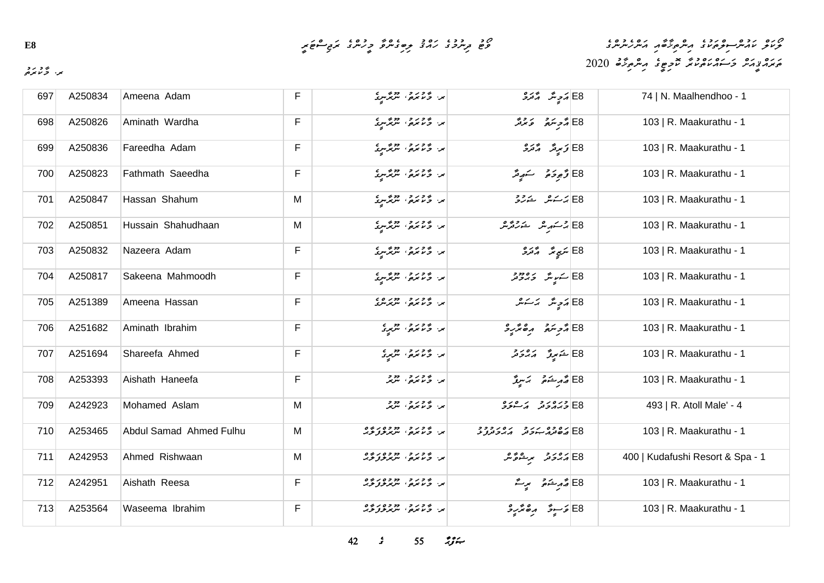*sCw7q7s5w7m< o<n9nOoAw7o< sCq;mAwBoEw7q<m; wBm;vB* م من المرة المرة المرة المرجع المرجع في المركبة 2020<br>مجم*د المريض المربوط المربع المرجع في المراجع المركبة* 

| 697 | A250834 | Ameena Adam             | F           | ىر. ئۇ ئايرە، ئەرتگەسىگە                   | E8] رَ <sub>حٍ</sub> سُر مُرْتَرْدُ                                                                 | 74   N. Maalhendhoo - 1          |
|-----|---------|-------------------------|-------------|--------------------------------------------|-----------------------------------------------------------------------------------------------------|----------------------------------|
| 698 | A250826 | Aminath Wardha          | $\mathsf F$ | بر ورود ودهر                               | E8 أ <i>مَّ حِ سَمَّةً وَ مَ</i> حَمَّدَ                                                            | 103   R. Maakurathu - 1          |
| 699 | A250836 | Fareedha Adam           | F           | بر ورو مرد                                 | E8 كَرْمِيثَرِ مُرَّمَزَدُ                                                                          | 103   R. Maakurathu - 1          |
| 700 | A250823 | Fathmath Saeedha        | $\mathsf F$ | بر ورو مرد                                 | E8 زَّجِرْدَةْ سَمَرِيْتَر                                                                          | 103   R. Maakurathu - 1          |
| 701 | A250847 | Hassan Shahum           | M           | بر ورو مرد                                 | E8   يَرْسَمْرُ مُسْتَرَجْرُ                                                                        | 103   R. Maakurathu - 1          |
| 702 | A250851 | Hussain Shahudhaan      | M           | بر کاروی دیگر                              | E8 يُرْسَمَ مِيْرْ مُسْرَمَّةً مِيْرَ مِيْرَ مِيْرَ مِيْرَ مِيْرَ مِيْرَ مِيْرَ مِيْرَ مِيْرَ مِيْر | 103   R. Maakurathu - 1          |
| 703 | A250832 | Nazeera Adam            | $\mathsf F$ | ىر. ئۇ ئامرى ھەم سرىگەس                    |                                                                                                     | 103   R. Maakurathu - 1          |
| 704 | A250817 | Sakeena Mahmoodh        | $\mathsf F$ | بر و درو دوس                               | E8 سَرِيعٌ دَبروتر                                                                                  | 103   R. Maakurathu - 1          |
| 705 | A251389 | Ameena Hassan           | $\mathsf F$ | بر د ۱۶۶۶ وره د د د                        | E8 كەچ ئىش سىكىش                                                                                    | 103   R. Maakurathu - 1          |
| 706 | A251682 | Aminath Ibrahim         | $\mathsf F$ | بر، وروي دوره                              | E8 مُوسَعَدٍ مِعْمَدِهِ                                                                             | 103   R. Maakurathu - 1          |
| 707 | A251694 | Shareefa Ahmed          | F           | س و درو، دو ،                              | E8] ڪر <sub>س</sub> وگر <i>مرگرو</i> گر                                                             | 103   R. Maakurathu - 1          |
| 708 | A253393 | Aishath Haneefa         | F           | זה בנית ברי ברבי<br>זה בעזקים וייתול       | E8 مُرمِسْمَة سَمِيَّة                                                                              | 103   R. Maakurathu - 1          |
| 709 | A242923 | Mohamed Aslam           | M           | بر، 1995 - 29<br>بر، 1995 - 29             | E8 32010 كەسىرد                                                                                     | 493   R. Atoll Male' - 4         |
| 710 | A253465 | Abdul Samad Ahmed Fulhu | M           | بر محرر در دوروه<br>بر گانوی سرگرفرفر      | E8 كەھەر مەدەر بەر كەر دەر                                                                          | 103   R. Maakurathu - 1          |
| 711 | A242953 | Ahmed Rishwaan          | M           | י כיני הבנסים<br>זה בעזקם ייטופנים         | E8 <i>ב</i> ג'כ تر برگوش                                                                            | 400   Kudafushi Resort & Spa - 1 |
| 712 | A242951 | Aishath Reesa           | F           | ו כירוך חברים הפים.<br>מי כיומים יימוש בבי | E8 مُرمِشَعُ مِيتَ                                                                                  | 103   R. Maakurathu - 1          |
| 713 | A253564 | Waseema Ibrahim         | F           | י דיני מכנסים.<br>מי ציומם יתמפניפי        | E8] وَسِوِدٌ مِنْ صَغَّرِ فِي                                                                       | 103   R. Maakurathu - 1          |

*42 s* 55 *z*<sup>3</sup> *s*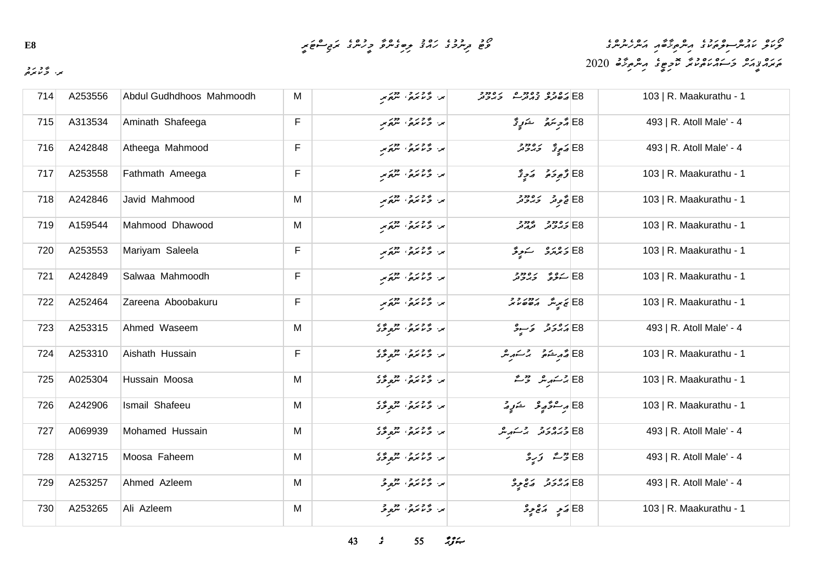*sCw7q7s5w7m< o<n9nOoAw7o< sCq;mAwBoEw7q<m; wBm;vB* م من المرة المرة المرة المرجع المرجع في المركبة 2020<br>مجم*د المريض المربوط المربع المرجع في المراجع المركبة* 

| 714 | A253556 | Abdul Gudhdhoos Mahmoodh | M            | بر و دره انده بر                          | E8 בפינג יומר ביינג                                    | 103   R. Maakurathu - 1  |
|-----|---------|--------------------------|--------------|-------------------------------------------|--------------------------------------------------------|--------------------------|
| 715 | A313534 | Aminath Shafeega         | $\mathsf{F}$ | بر و درو دور                              | E8 مُرْحِ مَدَمْ صَوَبِرَةٌ                            | 493   R. Atoll Male' - 4 |
| 716 | A242848 | Atheega Mahmood          | F            | بر ورده، مهجر                             | E8 كەم قىچ ئىس كەردىتەر بىر 3.5 كىل                    | 493   R. Atoll Male' - 4 |
| 717 | A253558 | Fathmath Ameega          | F            | بر ورده دور                               | E8 زَّەپرە قَرىرِدَّ                                   | 103   R. Maakurathu - 1  |
| 718 | A242846 | Javid Mahmood            | M            | x 2128 " 192                              | E8 قَ2مِ قَرْ 1995 قَرْ                                | 103   R. Maakurathu - 1  |
| 719 | A159544 | Mahmood Dhawood          | M            | بر ورده دور                               | E8 <i>ב</i> מכני המיני                                 | 103   R. Maakurathu - 1  |
| 720 | A253553 | Mariyam Saleela          | F            | بر و درو، دور                             | E8 ى <i>ئەبۇئى سەب</i> ۇ                               | 103   R. Maakurathu - 1  |
| 721 | A242849 | Salwaa Mahmoodh          | F            | x 2128 " 212                              | E8 ينوڤر <i>وَبروتو</i>                                | 103   R. Maakurathu - 1  |
| 722 | A252464 | Zareena Aboobakuru       | F            | بر ورد دور                                | E8 ئىمپىتى مەھەم ئىر                                   | 103   R. Maakurathu - 1  |
| 723 | A253315 | Ahmed Waseem             | M            | بر ورده دو ده                             | E8   <i>222 كەسپ</i> ۇ                                 | 493   R. Atoll Male' - 4 |
| 724 | A253310 | Aishath Hussain          | F            | بر ورو دو ده<br>بر ونابرها شهرگری         | E8 مەم ئىسكىم بىر شىر بىر                              | 103   R. Maakurathu - 1  |
| 725 | A025304 | Hussain Moosa            | M            | بر به ورو اور در ده<br>بر کام برمي شهرگري | E8 پر شہر میں مخت                                      | 103   R. Maakurathu - 1  |
| 726 | A242906 | Ismail Shafeeu           | M            | بر ورو دو ده<br>بر ونابرها شهرگری         | E8 <sub>م</sub> رگۇم <sub>ۇ</sub> ئىكتى ئىچە ئىكتىن ئى | 103   R. Maakurathu - 1  |
| 727 | A069939 | Mohamed Hussain          | M            | بر ورد دو ده                              | E8 32,023 كم مريكر                                     | 493   R. Atoll Male' - 4 |
| 728 | A132715 | Moosa Faheem             | M            | بر ورو دو ده<br>بر ونابرها شهرگری         | E8 _ قررة وردة                                         | 493   R. Atoll Male' - 4 |
| 729 | A253257 | Ahmed Azleem             | M            | بر ورده، شهر                              | E8] <i>גُرُدَدَ</i> كَمَعْ مِرْدُ                      | 493   R. Atoll Male' - 4 |
| 730 | A253265 | Ali Azleem               | M            | بر ورده، شهرته                            | E8] رَ <sub>حٍ</sub> دَجْ جِرْدُ                       | 103   R. Maakurathu - 1  |

*43 s* 55  $294$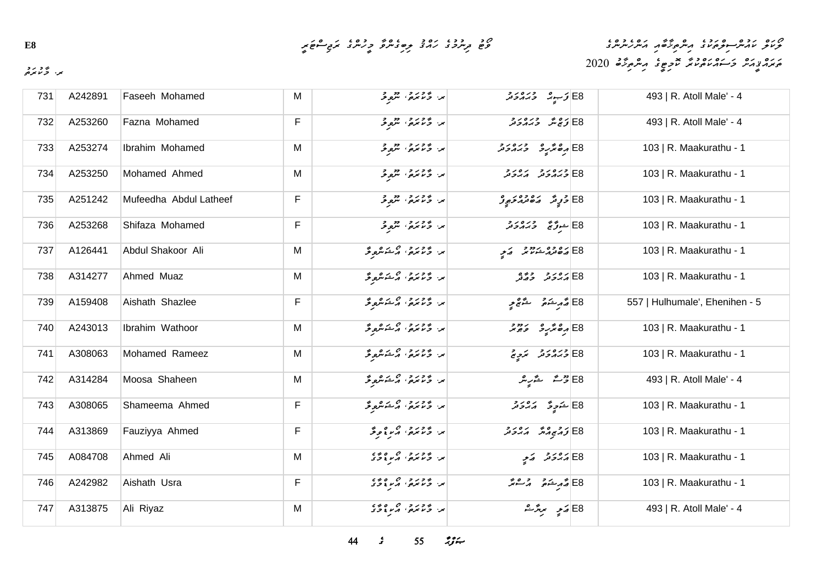*sCw7q7s5w7m< o<n9nOoAw7o< sCq;mAwBoEw7q<m; wBm;vB* م من المرة المرة المرة المرجع المرجع في المركبة 2020<br>مجم*د المريض المربوط المربع المرجع في المراجع المركبة* 

| 731 | A242891 | Faseeh Mohamed         | M           | بر کامرہ مرکز کے م       | E8 كۆسۈر مەمگە 25 كىل              | 493   R. Atoll Male' - 4       |
|-----|---------|------------------------|-------------|--------------------------|------------------------------------|--------------------------------|
| 732 | A253260 | Fazna Mohamed          | $\mathsf F$ | بر ورده، شهرته           | E8 زَجْ شَرَ 3,200 قَر             | 493   R. Atoll Male' - 4       |
| 733 | A253274 | Ibrahim Mohamed        | M           | بر وربره معموم           | E8 مەھەر بەر 27مەدىر               | 103   R. Maakurathu - 1        |
| 734 | A253250 | Mohamed Ahmed          | M           | بر ورده معهوم            | E8 ديره د د بره د د                | 103   R. Maakurathu - 1        |
| 735 | A251242 | Mufeedha Abdul Latheef | F           | بر، ورويزه شهرو          | E8 دُرِمَّر مُصْرَمْ دَوْرٍ و      | 103   R. Maakurathu - 1        |
| 736 | A253268 | Shifaza Mohamed        | $\mathsf F$ | بر، ورويزه شهرو          | E8 شوترنج وبروروتر                 | 103   R. Maakurathu - 1        |
| 737 | A126441 | Abdul Shakoor Ali      | M           | بر كەردە ئەشكەرگە        | E8 رَەدە شەھرىر مەر                | 103   R. Maakurathu - 1        |
| 738 | A314277 | Ahmed Muaz             | M           | بر كەردە ئەسكەرگە        | E8 كەبرو بول دە ئەقىر              | 103   R. Maakurathu - 1        |
| 739 | A159408 | Aishath Shazlee        | F           | بر ئەدرو مىشكە           | E8 مُرمِسَمَ شَمْعَ مِ             | 557   Hulhumale', Ehenihen - 5 |
| 740 | A243013 | Ibrahim Wathoor        | M           | بر كەردە ئەسكەرگە        | E8 مەھەر بول مەھەر                 | 103   R. Maakurathu - 1        |
| 741 | A308063 | Mohamed Rameez         | M           | بر كەردە ئەسكەرگە        | E8] <i>وبرووند برَوٍج</i>          | 103   R. Maakurathu - 1        |
| 742 | A314284 | Moosa Shaheen          | M           | ىن ئۇ دىرو، ئەسكەنلىرىگە | E8 _ مَّتَّ مِيمَّرِ مِسَّرِ مِيمَ | 493   R. Atoll Male' - 4       |
| 743 | A308065 | Shameema Ahmed         | F           | بر كەردە ئەسكەرگە        | E8 خَوِرَ - رَبَّرْدَتْرَ          | 103   R. Maakurathu - 1        |
| 744 | A313869 | Fauziyya Ahmed         | $\mathsf F$ | بر ورده می ورد و         | E8 زَمَّ پِرُمَ مَدَوَمَرَ         | 103   R. Maakurathu - 1        |
| 745 | A084708 | Ahmed Ali              | M           |                          | E8 كەندى كە كەر                    | 103   R. Maakurathu - 1        |
| 746 | A242982 | Aishath Usra           | F           |                          | E8 مۇم شىمۇ ب <sub>ە</sub> ر مەشر  | 103   R. Maakurathu - 1        |
| 747 | A313875 | Ali Riyaz              | M           |                          | E8  پرمو سرمگ <sup>ر</sup> م       | 493   R. Atoll Male' - 4       |

*44 sC 55 nNw?mS*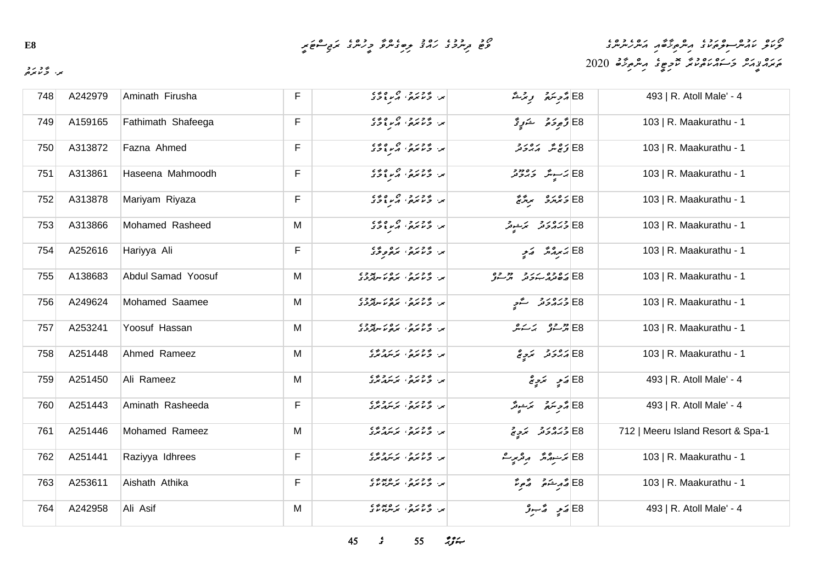*sCw7q7s5w7m< o<n9nOoAw7o< sCq;mAwBoEw7q<m; wBm;vB* م من المرة المرة المرة المرجع المرجع في المركبة 2020<br>مجم*د المريض المربوط المربع المرجع في المراجع المركبة* 

| 748 | A242979 | Aminath Firusha           | F            | ىر. ئۇ <i>ئايرە ، ئارىي</i> ئ                                                                                                                                                                                                                                                                                                                                                                                                                                    | E8 أَمُّحِ سَمَّةً وَ بِرَّحَةً              | 493   R. Atoll Male' - 4          |
|-----|---------|---------------------------|--------------|------------------------------------------------------------------------------------------------------------------------------------------------------------------------------------------------------------------------------------------------------------------------------------------------------------------------------------------------------------------------------------------------------------------------------------------------------------------|----------------------------------------------|-----------------------------------|
| 749 | A159165 | Fathimath Shafeega        | $\mathsf{F}$ | 59399222                                                                                                                                                                                                                                                                                                                                                                                                                                                         | E8 رَّجِ حَمَّ صَورٍ تَرَ                    | 103   R. Maakurathu - 1           |
| 750 | A313872 | Fazna Ahmed               | $\mathsf{F}$ | بر و دره ورود                                                                                                                                                                                                                                                                                                                                                                                                                                                    | E8 زېږېژ پر درونر                            | 103   R. Maakurathu - 1           |
| 751 | A313861 | Haseena Mahmoodh          | F            | 5984, 69795                                                                                                                                                                                                                                                                                                                                                                                                                                                      | E8   يَرْسِعْدُ الْمَحْدَدُّورُ              | 103   R. Maakurathu - 1           |
| 752 | A313878 | Mariyam Riyaza            | F            | $\begin{array}{cc} \mathcal{L} & \mathcal{L} & \mathcal{L} & \mathcal{L} & \mathcal{L} & \mathcal{L} & \mathcal{L} & \mathcal{L} & \mathcal{L} & \mathcal{L} & \mathcal{L} & \mathcal{L} & \mathcal{L} & \mathcal{L} & \mathcal{L} & \mathcal{L} & \mathcal{L} & \mathcal{L} & \mathcal{L} & \mathcal{L} & \mathcal{L} & \mathcal{L} & \mathcal{L} & \mathcal{L} & \mathcal{L} & \mathcal{L} & \mathcal{L} & \mathcal{L} & \mathcal{L} & \mathcal{L} & \mathcal$ | E8 <i>وَجُهْرُوْ بِهِ مُنَّبِعُ</i>          | 103   R. Maakurathu - 1           |
| 753 | A313866 | Mohamed Rasheed           | M            |                                                                                                                                                                                                                                                                                                                                                                                                                                                                  | E8 <i>وُبَرُوو وَ</i> بَرَ <sub>سُو</sub> رُ | 103   R. Maakurathu - 1           |
| 754 | A252616 | Hariyya Ali               | F            | بر و دوه بره و د د                                                                                                                                                                                                                                                                                                                                                                                                                                               | E8 بربروگر ک <i>ے پ</i> ر                    | 103   R. Maakurathu - 1           |
| 755 | A138683 | <b>Abdul Samad Yoosuf</b> | M            | د و د د د د د ه د سرو د د<br>بر او ما بره ا بره ما سرفربر د                                                                                                                                                                                                                                                                                                                                                                                                      | E8 – جەمەم يەر جەم دەر جەم                   | 103   R. Maakurathu - 1           |
| 756 | A249624 | Mohamed Saamee            | M            | بر د ور د ره ر برد د<br>بر و بر بره بره بر برد د                                                                                                                                                                                                                                                                                                                                                                                                                 | E8] 3225 قر سگو                              | 103   R. Maakurathu - 1           |
| 757 | A253241 | Yoosuf Hassan             | M            | بر در در ده راسود و د<br>بر گرم برها برها سرفربری                                                                                                                                                                                                                                                                                                                                                                                                                | E8 پژينو پر پر پر مار                        | 103   R. Maakurathu - 1           |
| 758 | A251448 | Ahmed Rameez              | M            |                                                                                                                                                                                                                                                                                                                                                                                                                                                                  | E8 <i>גُرْدُ تَدَبِ</i> عُ                   | 103   R. Maakurathu - 1           |
| 759 | A251450 | Ali Rameez                | M            | ו כנים נינים<br>זה כנוזם מינגזם                                                                                                                                                                                                                                                                                                                                                                                                                                  | E8  رَ <sub>ّحٍ</sub> بَرَ <sub>حٍ</sub> مُح | 493   R. Atoll Male' - 4          |
| 760 | A251443 | Aminath Rasheeda          | F            | بر محمد بر در ده د                                                                                                                                                                                                                                                                                                                                                                                                                                               | E8 مُجِسَمَ مَسْوِمًرٌ                       | 493   R. Atoll Male' - 4          |
| 761 | A251446 | Mohamed Rameez            | M            | بر اورد در دروه بر                                                                                                                                                                                                                                                                                                                                                                                                                                               | E8] 322,25 سَرَوِجَ                          | 712   Meeru Island Resort & Spa-1 |
| 762 | A251441 | Raziyya Idhrees           | $\mathsf F$  | بر و و د و در د و و و و<br>بر و تا بره ا بر سرد برو                                                                                                                                                                                                                                                                                                                                                                                                              | E8 بَرَسُورْ بَرَّ مِرْتَزْبِرِ مُتَّ        | 103   R. Maakurathu - 1           |
| 763 | A253611 | Aishath Athika            | F            | بر و درو روبره ده<br>بر گرنوی برس                                                                                                                                                                                                                                                                                                                                                                                                                                | E8 مُرمِشَعْ مُرْمِرَّ                       | 103   R. Maakurathu - 1           |
| 764 | A242958 | Ali Asif                  | M            | بر ورو روپروه<br>بر گرمري برس                                                                                                                                                                                                                                                                                                                                                                                                                                    | E8 <i>ھو ھيوڙ</i>                            | 493   R. Atoll Male' - 4          |

*45 sC 55 nNw?mS*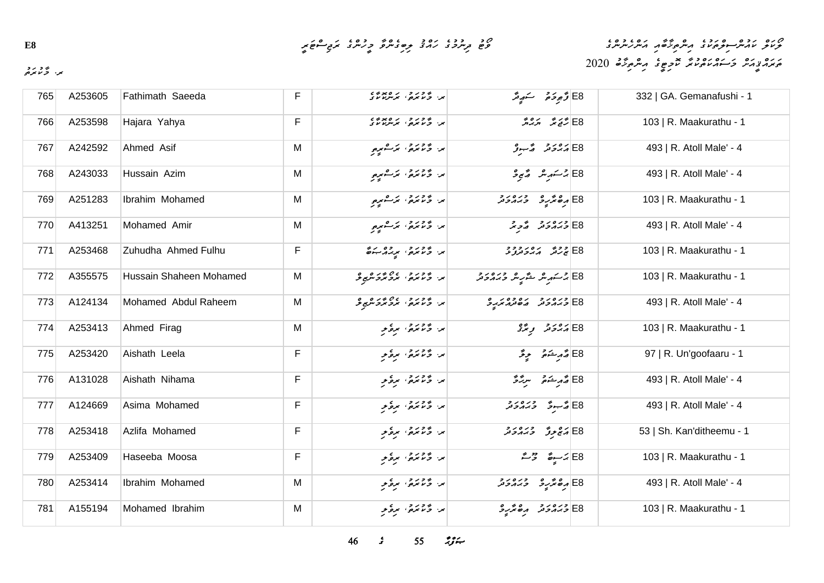*sCw7q7s5w7m< o<n9nOoAw7o< sCq;mAwBoEw7q<m; wBm;vB* م من المرة المرة المرة المرجع المرجع في المركبة 2020<br>مجم*د المريض المربوط المربع المرجع في المراجع المركبة* 

| 765 | A253605 | Fathimath Saeeda        | F            | بر، وروبرو در ویدون<br>بر، ورابرو، برس                                                                                | E8 رُّجِوَة حَمَّدٍ مُتَّذِهِ مُ                | 332   GA. Gemanafushi - 1 |
|-----|---------|-------------------------|--------------|-----------------------------------------------------------------------------------------------------------------------|-------------------------------------------------|---------------------------|
| 766 | A253598 | Hajara Yahya            | F            | بر و درو روبروه<br>بر و <i>لابرو بر</i> س                                                                             | E8 رَّيَ يَرُ مَرَ بَرْدَ بَرَ                  | 103   R. Maakurathu - 1   |
| 767 | A242592 | Ahmed Asif              | M            | ىن ئۇ دىرى ئۆسۈمرە                                                                                                    | E8 كەندى قەسىر ئى                               | 493   R. Atoll Male' - 4  |
| 768 | A243033 | Hussain Azim            | M            | بر و درو بر مهره                                                                                                      | E8 يُرْسَمب <sup>9</sup> مُدَّمِ و              | 493   R. Atoll Male' - 4  |
| 769 | A251283 | Ibrahim Mohamed         | M            | بر د درد نه برگرمرم                                                                                                   | E8 مەھەر بەر 27مەدىر                            | 103   R. Maakurathu - 1   |
| 770 | A413251 | Mohamed Amir            | M            | بن والأنزو، بركسوبره                                                                                                  | E8 <i>55223</i> E8                              | 493   R. Atoll Male' - 4  |
| 771 | A253468 | Zuhudha Ahmed Fulhu     | F            | بر ورود برده به                                                                                                       | E8] یحرثر پر پر ترور                            | 103   R. Maakurathu - 1   |
| 772 | A355575 | Hussain Shaheen Mohamed | M            | ر ورود و ورود و                                                                                                       | E8] يُرْسَمَ مِسْ مِسْ مُسَرِّرٌ وَيَرَمُّ وَقُ | 103   R. Maakurathu - 1   |
| 773 | A124134 | Mohamed Abdul Raheem    | M            | <b>4- 1999 موجود على المحمد المحمد المحمد المحمد المحمد المحمد المحمد المحمد المحمد المحمد المحمد المحمد المحمد ا</b> | E8 כלהכני המינה בפ                              | 493   R. Atoll Male' - 4  |
| 774 | A253413 | Ahmed Firag             | M            | بر وديرو، برؤم                                                                                                        | E8 كەندى قىر بولىگە                             | 103   R. Maakurathu - 1   |
| 775 | A253420 | Aishath Leela           | F            | برا كالأنزلج، برة و                                                                                                   | E8 مُدمِشَمُ مِعٌ                               | 97   R. Un'goofaaru - 1   |
| 776 | A131028 | Aishath Nihama          | F            | بر وديرو، برؤم                                                                                                        | E8 مُ مِ سَوَءٌ مِ سِرْدَةٌ                     | 493   R. Atoll Male' - 4  |
| 777 | A124669 | Asima Mohamed           | F            | بر ودرد، بره و                                                                                                        | E8 مُسِعَ وَيَهُومُ                             | 493   R. Atoll Male' - 4  |
| 778 | A253418 | Azlifa Mohamed          | F            | بر وردو بره و                                                                                                         | E8 <i>הُجْعِرَةُ حُمَدُونَدُ</i>                | 53   Sh. Kan'ditheemu - 1 |
| 779 | A253409 | Haseeba Moosa           | $\mathsf{F}$ | بر وردو، برؤم                                                                                                         | E8   پرس <i>ی ڈ</i> یٹر                         | 103   R. Maakurathu - 1   |
| 780 | A253414 | Ibrahim Mohamed         | M            | بر ولايره، بروگر                                                                                                      | E8 مەھەر بەر 27مەدىر                            | 493   R. Atoll Male' - 4  |
| 781 | A155194 | Mohamed Ibrahim         | M            | برا والأتروم برونو                                                                                                    | E8] <i>وُبرودو م</i> وهرَّرٍ و                  | 103   R. Maakurathu - 1   |

*46 s* 55  $234$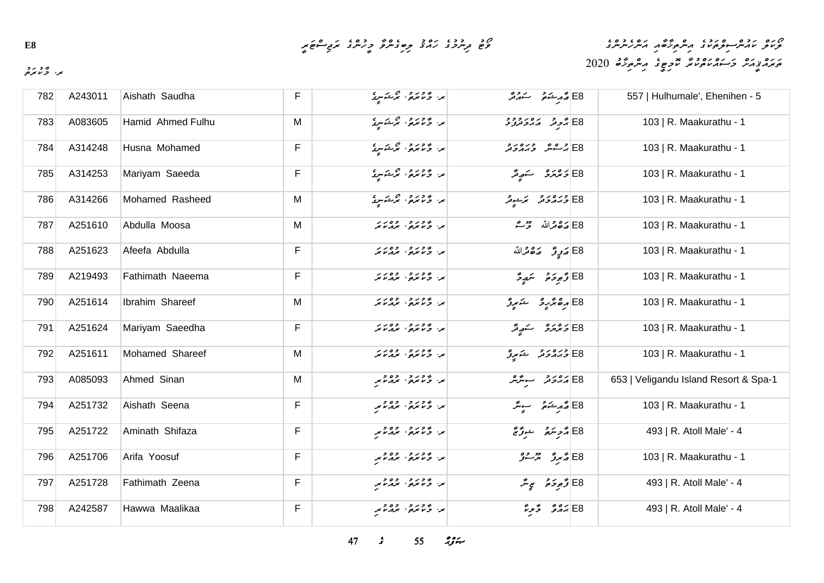*sCw7q7s5w7m< o<n9nOoAw7o< sCq;mAwBoEw7q<m; wBm;vB* م من المرة المرة المرة المرجع المرجع في المركبة 2020<br>مجم*د المريض المربوط المربع المرجع في المراجع المركبة* 

| 782 | A243011 | Aishath Saudha    | F           | ىلى: ئۇ ئايمرى ئىم ئىككى ئىرىگە                                                                                                                                                                                                                                                                                                         | E8 مُرمِّدَة سَكَرْثَرُ                   | 557   Hulhumale', Ehenihen - 5        |
|-----|---------|-------------------|-------------|-----------------------------------------------------------------------------------------------------------------------------------------------------------------------------------------------------------------------------------------------------------------------------------------------------------------------------------------|-------------------------------------------|---------------------------------------|
| 783 | A083605 | Hamid Ahmed Fulhu | M           | بر و دروه مرشکرده                                                                                                                                                                                                                                                                                                                       | E8 جُعِيدُ <i>مُحَدَّدُونَ</i>            | 103   R. Maakurathu - 1               |
| 784 | A314248 | Husna Mohamed     | F           | ىن ئۇ ئويرى ئۆسكەسى                                                                                                                                                                                                                                                                                                                     | E8 يُرمش ويەم دىر                         | 103   R. Maakurathu - 1               |
| 785 | A314253 | Mariyam Saeeda    | F           | بر وروم محمد المر                                                                                                                                                                                                                                                                                                                       | E8 كەمچە بىر سىكە يەنگە                   | 103   R. Maakurathu - 1               |
| 786 | A314266 | Mohamed Rasheed   | M           | بر، دُنابره، برْڪسِ                                                                                                                                                                                                                                                                                                                     | E8] <i>وُبَرُوْدُو مَرْ</i> حُومُرُ       | 103   R. Maakurathu - 1               |
| 787 | A251610 | Abdulla Moosa     | M           | پر و درو ده در<br>بر و مري                                                                                                                                                                                                                                                                                                              | E8 مَرْحَمْرَاللَّهُ حَرْمَةُ             | 103   R. Maakurathu - 1               |
| 788 | A251623 | Afeefa Abdulla    | F           | $x^2 - 2x^3 + 2x^2 + x^3$                                                                                                                                                                                                                                                                                                               | E8 <i>مَرْوِقَ مَ</i> صْحَراللّه          | 103   R. Maakurathu - 1               |
| 789 | A219493 | Fathimath Naeema  | F           | پر په <i>۱۶۶۶ وه در</i><br>پن تر <i>ما</i> برج برماند                                                                                                                                                                                                                                                                                   | E8 زَّەپِرَة مَدَرٍ تَرَ                  | 103   R. Maakurathu - 1               |
| 790 | A251614 | Ibrahim Shareef   | M           | $x^2 + 2x^3 + 2x^2 + x^3 + x^2 + x^2 + x^3 + x^2 + x^2 + x^3 + x^2 + x^2 + x^3 + x^2 + x^2 + x^3 + x^2 + x^2 + x^3 + x^2 + x^2 + x^3 + x^2 + x^2 + x^3 + x^2 + x^2 + x^3 + x^2 + x^2 + x^3 + x^2 + x^2 + x^3 + x^2 + x^2 + x^3 + x^2 + x^2 + x^3 + x^2 + x^2 + x^3 + x^2 + x^2 + x^3 + x^2 + x^2 + x^3 + x^2 + x^2 + x^2 + x^2 + x^2 +$ | E8 م <i>وھنگرد</i> و ڪمبرو                | 103   R. Maakurathu - 1               |
| 791 | A251624 | Mariyam Saeedha   | F           | پر و در ده دور د                                                                                                                                                                                                                                                                                                                        | E8 <i>وَجُهْدُوْ</i> سَمَ <i>مِينُ</i> رُ | 103   R. Maakurathu - 1               |
| 792 | A251611 | Mohamed Shareef   | M           | بر و درو وه در<br>بر و ميره بردن بر                                                                                                                                                                                                                                                                                                     | E8 322 كرو بالدين كمبراني في E8           | 103   R. Maakurathu - 1               |
| 793 | A085093 | Ahmed Sinan       | M           | بر و دره وه و                                                                                                                                                                                                                                                                                                                           | E8 <i>ג' دو د</i> سبگرمگر                 | 653   Veligandu Island Resort & Spa-1 |
| 794 | A251732 | Aishath Seena     | $\mathsf F$ | x = 0,00 = 0,00 x                                                                                                                                                                                                                                                                                                                       | E8 مُدِينَة سِرْتَر                       | 103   R. Maakurathu - 1               |
| 795 | A251722 | Aminath Shifaza   | $\mathsf F$ | 2000 0000 x                                                                                                                                                                                                                                                                                                                             | E8 مُرْحِ مَعْهُمْ مَسْوَرٌ مَجْ          | 493   R. Atoll Male' - 4              |
| 796 | A251706 | Arifa Yoosuf      | F           | x = 0,00 = 0,00 x                                                                                                                                                                                                                                                                                                                       | E8 گەبىر تەسىر                            | 103   R. Maakurathu - 1               |
| 797 | A251728 | Fathimath Zeena   | $\mathsf F$ | بر و در و و و و د<br>بر و <i>لا برو ، برو لا بر</i>                                                                                                                                                                                                                                                                                     | E8 <i>وُّهودَهُ</i> پِسَ ً                | 493   R. Atoll Male' - 4              |
| 798 | A242587 | Hawwa Maalikaa    | F           | بر و دره دوه د                                                                                                                                                                                                                                                                                                                          | E8   يَہُمْ مَحْ وَمِتَمْ                 | 493   R. Atoll Male' - 4              |
|     |         |                   |             |                                                                                                                                                                                                                                                                                                                                         |                                           |                                       |

*47 sC 55 nNw?mS*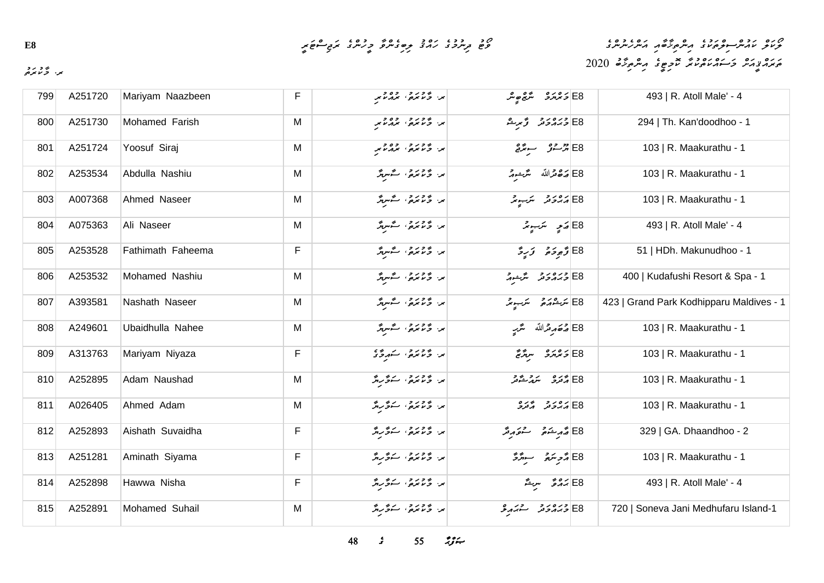*sCw7q7s5w7m< o<n9nOoAw7o< sCq;mAwBoEw7q<m; wBm;vB* م من المرة المرة المرة المرجع المرجع في المركبة 2020<br>مجم*د المريض المربوط المربع المرجع في المراجع المركبة* 

| 799 | A251720 | Mariyam Naazbeen  | F            | بر به <i>در ده بر</i> ور بر | E8 كەنگەر مۇيدىن ئىس                        | 493   R. Atoll Male' - 4                 |
|-----|---------|-------------------|--------------|-----------------------------|---------------------------------------------|------------------------------------------|
| 800 | A251730 | Mohamed Farish    | M            | x 200 00000                 | E8] <i>وُبُرُوُدُو وُبِ</i> يْدُ            | 294   Th. Kan'doodhoo - 1                |
| 801 | A251724 | Yoosuf Siraj      | M            | بر و درو دووبر              | E8 انتر ستو سوئیږي – C8                     | 103   R. Maakurathu - 1                  |
| 802 | A253534 | Abdulla Nashiu    | M            | ىن ئەدىرى ئىسلا             | E8 كَەھقراللە مَتَرْسُوكَ <u>ر</u>          | 103   R. Maakurathu - 1                  |
| 803 | A007368 | Ahmed Naseer      | M            | ىن ئەدىرە، شەر              | E8 كەندى كىلى ئىسىمىتى كىلىن ئىسىمىتى ئىس   | 103   R. Maakurathu - 1                  |
| 804 | A075363 | Ali Naseer        | M            | ىن ئەدىرى ئىسلا             | E8 <i>ھَجِ سَيَنْبِ</i> مُ                  | 493   R. Atoll Male' - 4                 |
| 805 | A253528 | Fathimath Faheema | F            | ىر. ئەدىرى ئىسلا            | E8 وَّجِوَدَةٌ وَرِدَّ                      | 51   HDh. Makunudhoo - 1                 |
| 806 | A253532 | Mohamed Nashiu    | M            | ىن ئەدىرە، شەر              | E8 <i>وُبَهُ وَبَرْ</i> مَرْسِم <i>ُ</i>    | 400   Kudafushi Resort & Spa - 1         |
| 807 | A393581 | Nashath Naseer    | M            | ىر. 277 كى مەسمىر           | E8 بَرَڪْرَ <i>مُ</i> جَمْ سَرَسِوِيْرَ     | 423   Grand Park Kodhipparu Maldives - 1 |
| 808 | A249601 | Ubaidhulla Nahee  | M            | ىن ئەدىرە، شەر              | E8 مُتَصَمِّرِ مُدَّاللَّهُ مُدَّرِّبِ      | 103   R. Maakurathu - 1                  |
| 809 | A313763 | Mariyam Niyaza    | $\mathsf F$  | بر ورده شهروه               | E8 وَيُرْمَرُوْ سِرْمَجَ                    | 103   R. Maakurathu - 1                  |
| 810 | A252895 | Adam Naushad      | M            | ىن ئەدىرە، سەئەر            | E8 أَرْتَرَدُّ سَمَّ شَ <sup>مَّ</sup> تَرَ | 103   R. Maakurathu - 1                  |
| 811 | A026405 | Ahmed Adam        | M            | بر وروده کورگ               | E8 كەبرو ئەرە                               | 103   R. Maakurathu - 1                  |
| 812 | A252893 | Aishath Suvaidha  | $\mathsf{F}$ | ىن ئەدىرە، سەئەر            | E8 مُ مِرْ مُشَمَّرٍ مُسْتَوَمِرْ مُدَّ     | 329   GA. Dhaandhoo - 2                  |
| 813 | A251281 | Aminath Siyama    | $\mathsf F$  | ىن ئۇلايمۇ، سۇئەرلىر        | E8 أَمُّ <i>جِسَمُ</i> مِسْتَرَمَّةً        | 103   R. Maakurathu - 1                  |
| 814 | A252898 | Hawwa Nisha       | F            | ىن ئەدىرە، سەئەر            | E8 كەرگە ئاس سىرىشكە                        | 493   R. Atoll Male' - 4                 |
| 815 | A252891 | Mohamed Suhail    | M            | بر وروده کورو               | E8 32,25 مقدر و                             | 720   Soneva Jani Medhufaru Island-1     |

*48 s* 55  $23\div$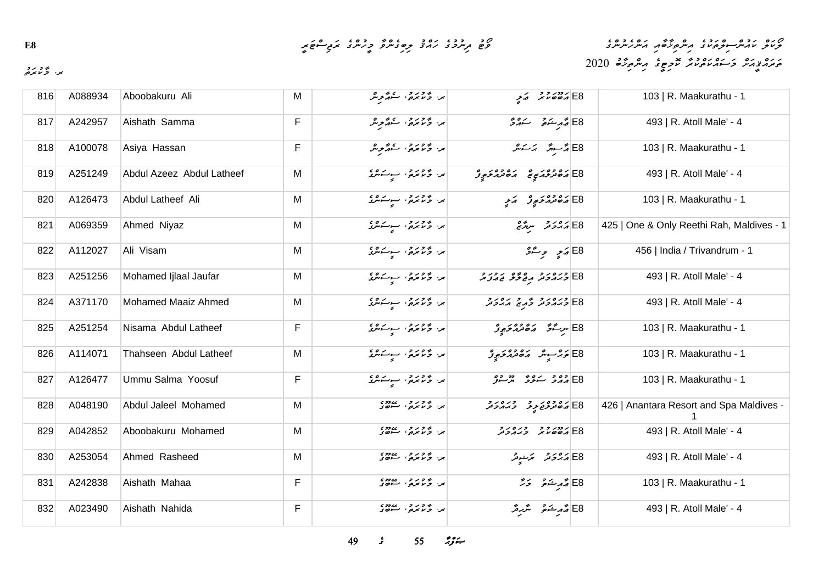*sCw7q7s5w7m< o<n9nOoAw7o< sCq;mAwBoEw7q<m; wBm;vB* م من المرة المرة المرة المرجع المرجع في المركبة 2020<br>مجم*د المريض المربوط المربع المرجع في المراجع المركبة* 

| 816 | A088934 | Aboobakuru Ali             | M | ىر. ئۇ ئايرى سەئەر بىر         | E8 <i>مقصنعی م</i> َع                 | 103   R. Maakurathu - 1                   |
|-----|---------|----------------------------|---|--------------------------------|---------------------------------------|-------------------------------------------|
| 817 | A242957 | Aishath Samma              | F | بر ورده عدوم                   | E8 مُمبِّسَمَ سَمْرَةً                | 493   R. Atoll Male' - 4                  |
| 818 | A100078 | Asiya Hassan               | F | بر ژبرېږي، شهرونکر             | E8 گەسىگە كەسكەنلە                    | 103   R. Maakurathu - 1                   |
| 819 | A251249 | Abdul Azeez Abdul Latheef  | M | بر ورود سوسوره                 | E8 رە دەر بە مەدەر دەر                | 493   R. Atoll Male' - 4                  |
| 820 | A126473 | Abdul Latheef Ali          | M | بر ورده سوسه                   | E8 בَ <i>ھُجُرمُ جَبِوتَ – مَ</i> حِ  | 103   R. Maakurathu - 1                   |
| 821 | A069359 | Ahmed Niyaz                | M | بر ورده سوسه                   | E8 <i>مُدْدَوْرٌ سِرْجُ</i>           | 425   One & Only Reethi Rah, Maldives - 1 |
| 822 | A112027 | Ali Visam                  | M | بر و دوه سوسکرده               | E8] ر <sub>َمحٍ</sub> وِسَمَّوْ       | 456   India / Trivandrum - 1              |
| 823 | A251256 | Mohamed Ijlaal Jaufar      | M | بر ورود سوسکره و               | E8] 32,000 مقروفة المقرومة            | 493   R. Atoll Male' - 4                  |
| 824 | A371170 | <b>Mohamed Maaiz Ahmed</b> | M | بر ورو ب                       | E8 כג' הכיר כן ה' ה' היכת             | 493   R. Atoll Male' - 4                  |
| 825 | A251254 | Nisama Abdul Latheef       | F | بر ورده سوسکره                 | E8 سرگۇ ھەممەم قابورى                 | 103   R. Maakurathu - 1                   |
| 826 | A114071 | Thahseen Abdul Latheef     | M | بر ورود سوسکرده                | E8 <i>وېژب شهر م</i> وفقه <i>د وې</i> | 103   R. Maakurathu - 1                   |
| 827 | A126477 | Ummu Salma Yoosuf          | F | بر ورده سوسکره                 | E8 72, 200 مرتزو                      | 103   R. Maakurathu - 1                   |
| 828 | A048190 | Abdul Jaleel Mohamed       | M | זה בניה המחו                   | E8 , 2006 وه و 2007 و 2007 م          | 426   Anantara Resort and Spa Maldives -  |
| 829 | A042852 | Aboobakuru Mohamed         | M | ו ברגר המדה<br>מי קטמקי היים ב | $5,000$ $7,000$ $-8$                  | 493   R. Atoll Male' - 4                  |
| 830 | A253054 | Ahmed Rasheed              | M | ו ברגר בוכר<br>מי קעמפי היסט   | E8 كەبرى كىم كەر كىرىدى كىر           | 493   R. Atoll Male' - 4                  |
| 831 | A242838 | Aishath Mahaa              | F | ו ברגר המדה<br>מי קטמקי היים ב | E8 كَيْهِ شَمَّعْ وَكَّ               | 103   R. Maakurathu - 1                   |
| 832 | A023490 | Aishath Nahida             | F | ו בני 2 מודה<br>מי כנומם ו-190 | E8 م <i>ەم ھەم مەر مەر</i>            | 493   R. Atoll Male' - 4                  |

*49 s* 55 *z*<sup>2</sup>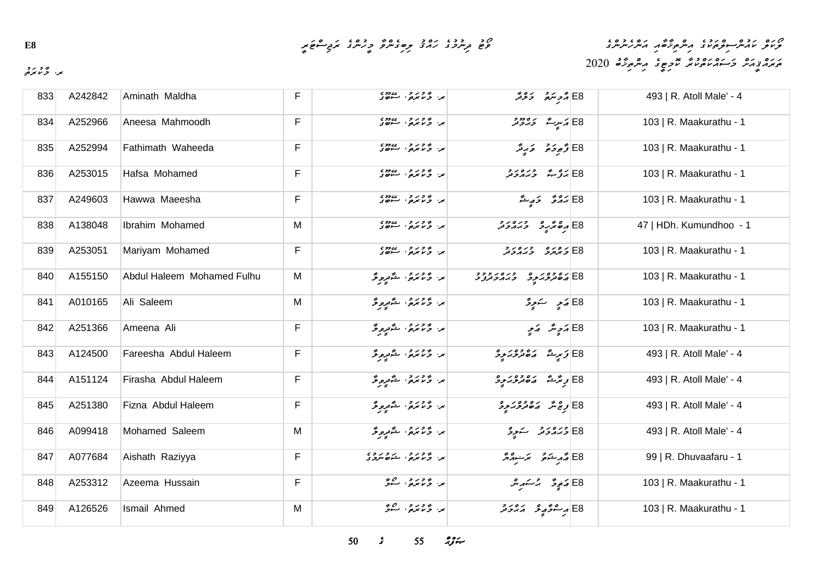*sCw7q7s5w7m< o<n9nOoAw7o< sCq;mAwBoEw7q<m; wBm;vB* م من المرة المرة المرة المرجع المرجع في المركبة 2020<br>مجم*د المريض المربوط المربع المرجع في المراجع المركبة* 

| 833 | A242842 | Aminath Maldha             | F | بر و در د.<br>بر ژن <i>ا</i> نده شوه د                                                                     | E8 أَمُّ <i>جِسَعُوا حَ</i> فَرَمُّدُ              | 493   R. Atoll Male' - 4 |
|-----|---------|----------------------------|---|------------------------------------------------------------------------------------------------------------|----------------------------------------------------|--------------------------|
| 834 | A252966 | Aneesa Mahmoodh            | F | ו בניב, הוכר<br>מי בטמפי <del>יי</del> סב                                                                  | E8 كەسرىسى كەمدى تەر                               | 103   R. Maakurathu - 1  |
| 835 | A252994 | Fathimath Waheeda          | F | پر و در د<br>بر و د بره است                                                                                | E8 زَّجِرَة مَ يَرْتَر                             | 103   R. Maakurathu - 1  |
| 836 | A253015 | Hafsa Mohamed              | F | ו ברגר המדה<br>מי קטמקי היים ב                                                                             | E8 ئەۋىبە مەمەدىر                                  | 103   R. Maakurathu - 1  |
| 837 | A249603 | Hawwa Maeesha              | F | $\frac{1}{2}$                                                                                              | E8] يَرْدُوَّ - وَرِيْدًا                          | 103   R. Maakurathu - 1  |
| 838 | A138048 | Ibrahim Mohamed            | M | ו ברגר בוכר<br>מי קטמ <sub>ו</sub> ם ו                                                                     | E8 رەئزىر دىرورو                                   | 47   HDh. Kumundhoo - 1  |
| 839 | A253051 | Mariyam Mohamed            | F | بر و در د<br>بر و مردم سرح د                                                                               | E8 كەنگەر قەرەر د                                  | 103   R. Maakurathu - 1  |
| 840 | A155150 | Abdul Haleem Mohamed Fulhu | M | پر د ۱۶ پره شگوره د گ                                                                                      |                                                    | 103   R. Maakurathu - 1  |
| 841 | A010165 | Ali Saleem                 | M | ىن ئەدىرە، ئەترەپ                                                                                          | E8 کړ <i>و</i> شو <u>و</u>                         | 103   R. Maakurathu - 1  |
| 842 | A251366 | Ameena Ali                 | F | أين المحمد معرض المستقرح وتحر                                                                              | E8 ک <sup>ے</sup> چہ مگر ج                         | 103   R. Maakurathu - 1  |
| 843 | A124500 | Fareesha Abdul Haleem      | F | ىن ئۇلايمۇ، ئەھمىرە ئ                                                                                      | E8] ۇيرىنگ ھەمزى <i>رى</i> رىۋ                     | 493   R. Atoll Male' - 4 |
| 844 | A151124 | Firasha Abdul Haleem       | F | أين المجمع المتحقق المحمد والمحمدة المحمدة المحمدة والمحمدة المحمدة المحمدة والمحمدة المحمدة والمحمدة المح | E8 <i>وِ مَّ</i> رْ شَدَّ مَ <i>ەقرۇرَ بِ</i> وِدْ | 493   R. Atoll Male' - 4 |
| 845 | A251380 | Fizna Abdul Haleem         | F | ىن ئۇلايمۇ، ئەھمەمۇرى                                                                                      | E8 دِ مِي سَرَ مِي مِي مِي دِ وِ                   | 493   R. Atoll Male' - 4 |
| 846 | A099418 | Mohamed Saleem             | M | ىن ئەدىرە، شەرەپ                                                                                           | E8] 3 <i>522 \$ سَنَوِ</i> دْ                      | 493   R. Atoll Male' - 4 |
| 847 | A077684 | Aishath Raziyya            | F | بر ورد و روه<br>بر گانگهای شوه مروی                                                                        | E8 مُرمِسْمَةً مَرْسُورْشَ                         | 99   R. Dhuvaafaru - 1   |
| 848 | A253312 | Azeema Hussain             | F | ىر. ئۇرىرى بەر                                                                                             | E8 كەنب <sub>و</sub> گە جاسكىرىش                   | 103   R. Maakurathu - 1  |
| 849 | A126526 | Ismail Ahmed               | M | بر ورده می                                                                                                 | E8 <sub>م</sub> ر مۇھ <sub>م</sub> ۇ كەردىر        | 103   R. Maakurathu - 1  |

 $50$  *s*  $55$  *n***<sub>y</sub>** $\leq$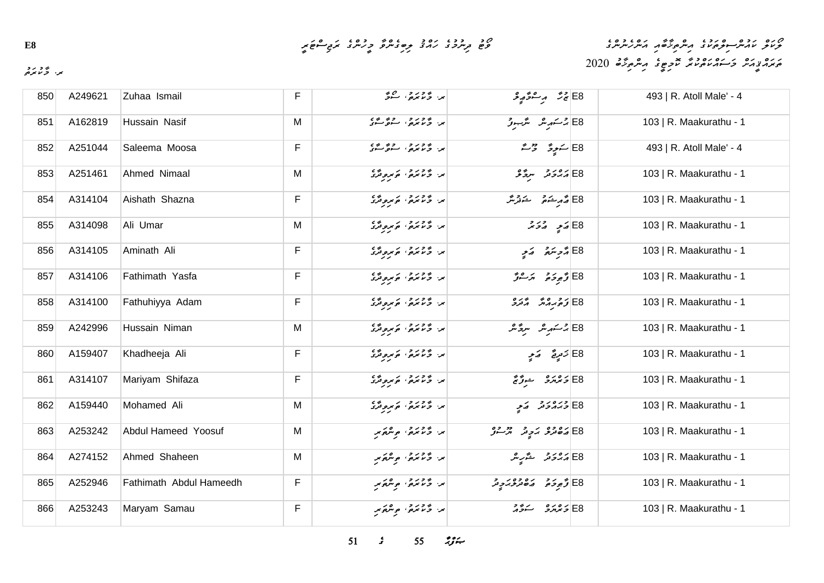*sCw7q7s5w7m< o<n9nOoAw7o< sCq;mAwBoEw7q<m; wBm;vB* م من المرة المرة المرة المرجع المرجع في المركبة 2020<br>مجم*د المريض المربوط المربع المرجع في المراجع المركبة* 

| 850 | A249621 | Zuhaa Ismail            | F            | ىر. ئۇ ئەنزەتى، سەنز  | E8] جُرَّ – مِرْ مُتَوَّمٍ ثَرَ   | 493   R. Atoll Male' - 4 |
|-----|---------|-------------------------|--------------|-----------------------|-----------------------------------|--------------------------|
| 851 | A162819 | Hussain Nasif           | M            | ىن ئەدىرو، سوڭ ئەي    | E8 پرستمبر مگرسوژ                 | 103   R. Maakurathu - 1  |
| 852 | A251044 | Saleema Moosa           | F            | ىن ئۇ دىرە بەر ئەرەپ  | E8 سَمِرة مَ حَمْدً               | 493   R. Atoll Male' - 4 |
| 853 | A251461 | Ahmed Nimaal            | M            | بر و و د و نمبره می   | E8 <i>مُمْدُوَمْ بِبِرْنَةْ</i>   | 103   R. Maakurathu - 1  |
| 854 | A314104 | Aishath Shazna          | $\mathsf{F}$ | بر و و د و مرومرد     | E8 م <i>ەرشەق شەنۇ</i> نگر        | 103   R. Maakurathu - 1  |
| 855 | A314098 | Ali Umar                | M            | بر و درد کرده         | E8 كەم ئەم ئەرەبىر                | 103   R. Maakurathu - 1  |
| 856 | A314105 | Aminath Ali             | $\mathsf F$  | بر و و د و مرومرد     | E8 مُجرِسَمُ مَعِ                 | 103   R. Maakurathu - 1  |
| 857 | A314106 | Fathimath Yasfa         | $\mathsf F$  | بر و دره نمورون       | E8 زُ <sub>جو</sub> حَ جو مرَے رُ | 103   R. Maakurathu - 1  |
| 858 | A314100 | Fathuhiyya Adam         | F            | بر و و د و نمبره می   | E8 زەپەر ئەرە                     | 103   R. Maakurathu - 1  |
| 859 | A242996 | Hussain Niman           | M            | بر و و د و مربر و د و | E8 بُرْسَم مِنْ سِرْحَمْد         | 103   R. Maakurathu - 1  |
| 860 | A159407 | Khadheeja Ali           | F            | بر و دره نمورون       | E8 كَتَمِيعٌ – مَرَمٍّ –          | 103   R. Maakurathu - 1  |
| 861 | A314107 | Mariyam Shifaza         | $\mathsf{F}$ | بر و و د و مربر و د و | E8 كۆچر <i>دۇ</i> ھو <i>ڙئ</i>    | 103   R. Maakurathu - 1  |
| 862 | A159440 | Mohamed Ali             | M            | بر و دره نمورون       | E8 <i>وَبَهُ وَبَعْ</i> سَمَعِ    | 103   R. Maakurathu - 1  |
| 863 | A253242 | Abdul Hameed Yoosuf     | M            | بن وبالمرض وبنهوس     | E8 בڭ ھرى بەر قىر مەر دە          | 103   R. Maakurathu - 1  |
| 864 | A274152 | Ahmed Shaheen           | M            | بن وبالمرض وبنهوس     | E8 كەبرى ئىق سىگە يەشىر           | 103   R. Maakurathu - 1  |
| 865 | A252946 | Fathimath Abdul Hameedh | F            | بر ورود و هم          | E8 رُجوحَة مُصْرَفَرْمَدِيْرَ     | 103   R. Maakurathu - 1  |
| 866 | A253243 | Maryam Samau            | F            | من كالأمروج المحاسبي  | $332$ $393$ $E8$                  | 103   R. Maakurathu - 1  |

 $51$  *s*  $55$   $234$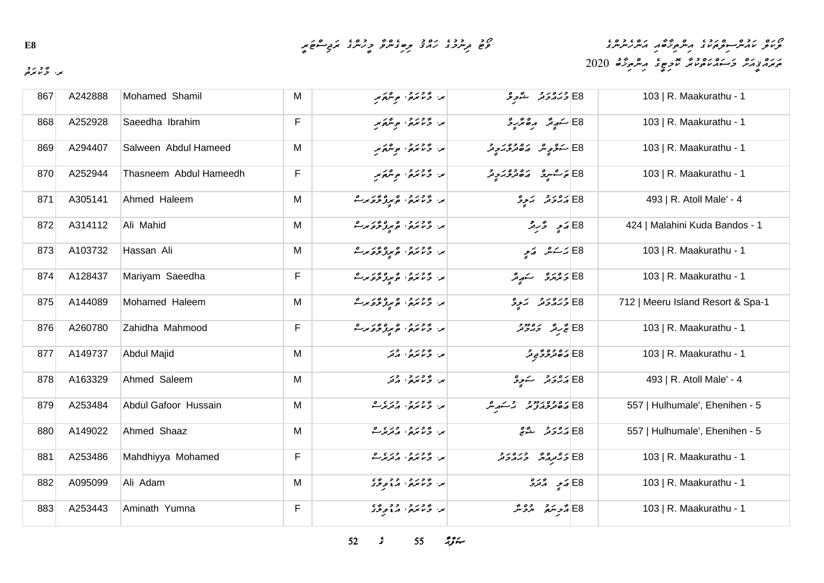*sCw7q7s5w7m< o<n9nOoAw7o< sCq;mAwBoEw7q<m; wBm;vB* م من المرة المرة المرة المرجع المرجع في المركبة 2020<br>مجم*د المريض المربوط المربع المرجع في المراجع المركبة* 

| 867 | A242888 | Mohamed Shamil         | M            | بر گريز په موسيق بر                               | E8] 3 <i>5223</i> متموفر                  | 103   R. Maakurathu - 1           |
|-----|---------|------------------------|--------------|---------------------------------------------------|-------------------------------------------|-----------------------------------|
| 868 | A252928 | Saeedha Ibrahim        | $\mathsf{F}$ | من كالأمروج ومنهوم                                | E8] ڪَھپاڻ او ھائڙيا 3                    | 103   R. Maakurathu - 1           |
| 869 | A294407 | Salween Abdul Hameed   | M            | من كالأمروج المحاسبي                              | E8] ڪرمو په محمد محمد محمد جو محمد ج      | 103   R. Maakurathu - 1           |
| 870 | A252944 | Thasneem Abdul Hameedh | $\mathsf F$  | بر ورو وهر                                        | E8 كۆسىسى ھەھەر ئەرەر قىر                 | 103   R. Maakurathu - 1           |
| 871 | A305141 | Ahmed Haleem           | M            | بر به وروبه وروبر در در با                        | E8   كەندى كەلىرى بىر كەلىرى ئاس          | 493   R. Atoll Male' - 4          |
| 872 | A314112 | Ali Mahid              | M            | ىر، ئەرەرە، ئەرەۋە ئەر                            | E8 <i>جَمِي</i> وَرِيْرُ                  | 424   Malahini Kuda Bandos - 1    |
| 873 | A103732 | Hassan Ali             | M            | ىن ئەممىرى ئەيرى ئۆتەرگ                           | E8  پرسته که <i>چ</i>                     | 103   R. Maakurathu - 1           |
| 874 | A128437 | Mariyam Saeedha        | F            | بر به در در ه بروتونوبر به                        | E8] <i>وَ بُرْہُرُوْ کُمَ مِی</i> ٹَرُ    | 103   R. Maakurathu - 1           |
| 875 | A144089 | Mohamed Haleem         | M            | بر به در ده و وور و<br>بر تر ما برو و بروترو بر ب | E8] 322,3% برَمٍ وَ                       | 712   Meeru Island Resort & Spa-1 |
| 876 | A260780 | Zahidha Mahmood        | F            | بر به در ده وروبر ده.<br>بر کاناندها میتوانگرفتان | E8 تج برقر كەردىر                         | 103   R. Maakurathu - 1           |
| 877 | A149737 | Abdul Majid            | M            | پر په ۱۶۷۶ ور.<br>بر زمانوي ارتز                  | E8 كەھ تىرىجى تو تىر<br>18 كەھ تىرىجى تىر | 103   R. Maakurathu - 1           |
| 878 | A163329 | Ahmed Saleem           | M            | پر و ورو، وړ                                      | E8] <i>גَ بُدُوَ</i> تَرُ سَمَوِرُ        | 493   R. Atoll Male' - 4          |
| 879 | A253484 | Abdul Gafoor Hussain   | M            | بر په درو وري ه                                   | E8 مەھىر جەمز بور بور بىر بىر             | 557   Hulhumale', Ehenihen - 5    |
| 880 | A149022 | Ahmed Shaaz            | M            | ىن ئۇ ئەرەپ بەترىكەت                              | E8 كەنە ئەققى ئىس ئىققا ئى                | 557   Hulhumale', Ehenihen - 5    |
| 881 | A253486 | Mahdhiyya Mohamed      | F            | بر په دره وری ه                                   | E8 <i>525 وه 25 دور</i> و                 | 103   R. Maakurathu - 1           |
| 882 | A095099 | Ali Adam               | M            | بر کارگاه دو ده                                   | E8 كەبىر م <i>ەترى</i>                    | 103   R. Maakurathu - 1           |
| 883 | A253443 | Aminath Yumna          | F            | بر په ۱۶۶۶ ورځ دی                                 | E8 أَمُّ حِسَمَةٌ مَرْحَسَّ               | 103   R. Maakurathu - 1           |

 $52$  *s*  $55$  *n***<sub>y</sub>** $\leq$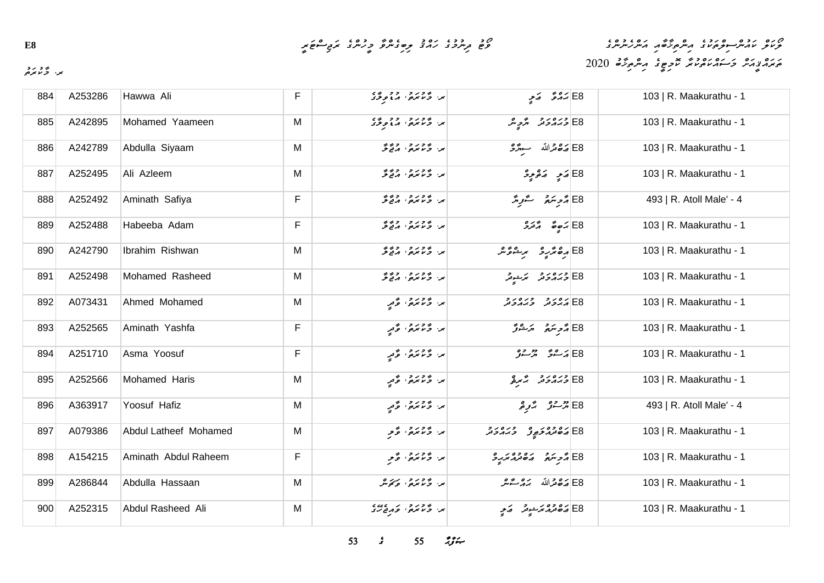*sCw7q7s5w7m< o<n9nOoAw7o< sCq;mAwBoEw7q<m; wBm;vB* م من المرة المرة المرة المرجع المرجع في المركبة 2020<br>مجم*د المريض المربوط المربع المرجع في المراجع المركبة* 

| 884 | A253286 | Hawwa Ali             | F            | بر گرم بره دو کرد                        | E8 كەبۇ كەي <sub>ج</sub>                         | 103   R. Maakurathu - 1  |
|-----|---------|-----------------------|--------------|------------------------------------------|--------------------------------------------------|--------------------------|
| 885 | A242895 | Mohamed Yaameen       | M            | بر و دره دد وی                           | E8] <i>ۇنەمگەنى مگو</i> نگر                      | 103   R. Maakurathu - 1  |
| 886 | A242789 | Abdulla Siyaam        | M            | ىن كەردىق دەپ                            | E8 كَەھْتَراللە س <i>ەرگە</i>                    | 103   R. Maakurathu - 1  |
| 887 | A252495 | Ali Azleem            | M            | ىن كەررە، دەپ                            | E8 <i>مَرْمٍ مَوْمِرْدُ</i>                      | 103   R. Maakurathu - 1  |
| 888 | A252492 | Aminath Safiya        | $\mathsf{F}$ | بر به ورو، وه به<br>بر او د بره الرقابل  | E8 مُرْحِسَمُ مُسْتَرِمُّ                        | 493   R. Atoll Male' - 4 |
| 889 | A252488 | Habeeba Adam          | F            | بر، 1995، 1997<br>بر، 1995، مانح         |                                                  | 103   R. Maakurathu - 1  |
| 890 | A242790 | Ibrahim Rishwan       | M            | ىن كەمەم بەر بەلگەنگە                    | E8 <sub>م</sub> ەنگرى <sub>د</sub> ۇ بىي ئىگەنگە | 103   R. Maakurathu - 1  |
| 891 | A252498 | Mohamed Rasheed       | M            | بر به ورو او وي.<br>بر او دانترهي اړه کې | E8 <i>وُبُرُوُدُو تَرَ</i> حُومُرُ –             | 103   R. Maakurathu - 1  |
| 892 | A073431 | Ahmed Mohamed         | M            | بر ورود ور                               | E8 ג׳כ כג' כג'                                   | 103   R. Maakurathu - 1  |
| 893 | A252565 | Aminath Yashfa        | F            | ىن ئۇم تورى ئۇم                          | E8 أَمَّ <i>جِسَعَةَ</i> مَشْرَقَّ               | 103   R. Maakurathu - 1  |
| 894 | A251710 | Asma Yoosuf           | $\mathsf F$  | بر به ورو به تور                         | E8   جر کشور میشتر                               | 103   R. Maakurathu - 1  |
| 895 | A252566 | Mohamed Haris         | M            | ىن ئۇم تورى ئۇم                          | E8 3223 كرمر مركز برقمر                          | 103   R. Maakurathu - 1  |
| 896 | A363917 | Yoosuf Hafiz          | M            | بر ورود ور                               | E8 تېر قىم ئە ئېرى <i>م</i> ى                    | 493   R. Atoll Male' - 4 |
| 897 | A079386 | Abdul Latheef Mohamed | M            | بر وردو و                                | E8 בטינג צופר 25,000                             | 103   R. Maakurathu - 1  |
| 898 | A154215 | Aminath Abdul Raheem  | $\mathsf F$  | برا وممترها المجمع                       | E8 مُجرِسَمَ مُصْرِمْ مَرْسِرَةِ                 | 103   R. Maakurathu - 1  |
| 899 | A286844 | Abdulla Hassaan       | M            | بر کا درد کرد گر                         | E8 كەھەرللە بەرگە مەسىر                          | 103   R. Maakurathu - 1  |
| 900 | A252315 | Abdul Rasheed Ali     | M            | بر و در و .<br>بر و ما برو ، و د و ر د   | E8 בەقىرە ترىشوتر ھەمچە                          | 103   R. Maakurathu - 1  |

 $53$   $5$   $55$   $59$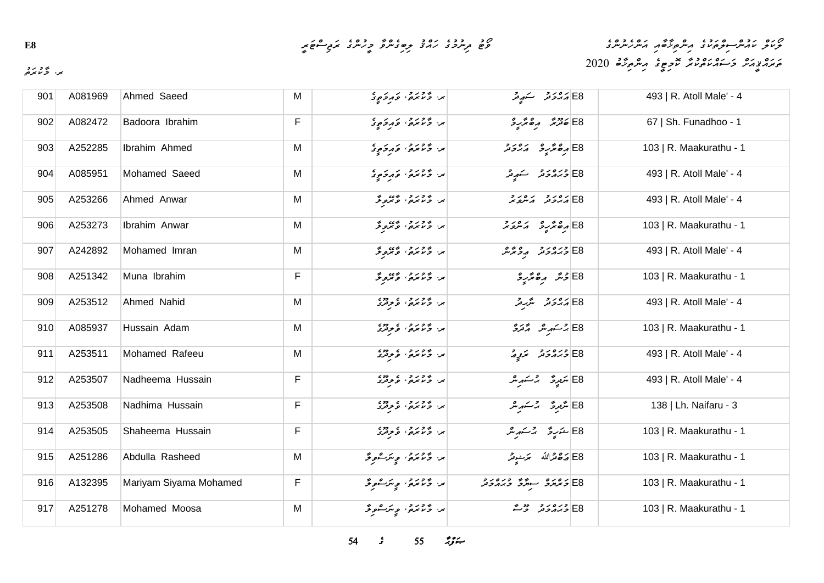*sCw7q7s5w7m< o<n9nOoAw7o< sCq;mAwBoEw7q<m; wBm;vB* م من المرة المرة المرة المرجع المرجع في المركبة 2020<br>مجم*د المريض المربوط المربع المرجع في المراجع المركبة* 

| 901 | A081969 | Ahmed Saeed            | M           | بر وروده ورومو                           | E8] رَبَّرْدَ مَرَ سَمَّ رِسَّرَ          | 493   R. Atoll Male' - 4 |
|-----|---------|------------------------|-------------|------------------------------------------|-------------------------------------------|--------------------------|
| 902 | A082472 | Badoora Ibrahim        | F           | من وحامرها المركزة                       | E8 <i>ھُترنگ م</i> ِنھُتربِ5              | 67   Sh. Funadhoo - 1    |
| 903 | A252285 | Ibrahim Ahmed          | M           | من كالأمرى كالمركزي                      | E8 مەھەر بەر مەردىر                       | 103   R. Maakurathu - 1  |
| 904 | A085951 | Mohamed Saeed          | M           | من كالمردم كالمركزم                      | E8] 3323 كەمپەتر                          | 493   R. Atoll Male' - 4 |
| 905 | A253266 | Ahmed Anwar            | M           | بر ورد وي و                              | E8 <i>הככת התפת</i>                       | 493   R. Atoll Male' - 4 |
| 906 | A253273 | Ibrahim Anwar          | M           | بر ورد ده به                             | E8 مەھەر بەر مەسىمە                       | 103   R. Maakurathu - 1  |
| 907 | A242892 | Mohamed Imran          | M           | ىن كەررە ئەسىم ئەسىم ئە                  | E8 ديرو در و مرهن                         | 493   R. Atoll Male' - 4 |
| 908 | A251342 | Muna Ibrahim           | F           | بر ورد دن و                              | E8   جَسَّر ب <i>ہ مُحَبِّدِ</i>          | 103   R. Maakurathu - 1  |
| 909 | A253512 | Ahmed Nahid            | M           | بر و در د د ده.<br>بر و ما برو ، و د ترد | E8   كەش <sup>ى</sup> كەر سەر سەر سىر بىر | 493   R. Atoll Male' - 4 |
| 910 | A085937 | Hussain Adam           | M           | بر و درو د ده.<br>بر و ما برو و دیرد     | E8 پر <i>شہر شہر محمد ب</i>               | 103   R. Maakurathu - 1  |
| 911 | A253511 | Mohamed Rafeeu         | M           | بر و در د د ده<br>بر و ما برو ، و د ترد  | E8] <i>وبروبرو بروٍ ۾</i>                 | 493   R. Atoll Male' - 4 |
| 912 | A253507 | Nadheema Hussain       | $\mathsf F$ | بر و در د د ده<br>بر و ما برو ، و د ترد  | E8] سَمِرِدَّ 2 كَسَمَ مِسْ               | 493   R. Atoll Male' - 4 |
| 913 | A253508 | Nadhima Hussain        | $\mathsf F$ | بر و در د د ده د د                       | E8 مُّتِيرةً 2 مُسَمَّدٍ مُّر             | 138   Lh. Naifaru - 3    |
| 914 | A253505 | Shaheema Hussain       | F           | بر و درو د ده.<br>بر و ما برو و دیرد     | E8] ڪرپر گر جي سکوپ شر                    | 103   R. Maakurathu - 1  |
| 915 | A251286 | Abdulla Rasheed        | M           | بر به درد و پرکونځ                       | E8 كەھەراللە كە <u>ش</u> وتر              | 103   R. Maakurathu - 1  |
| 916 | A132395 | Mariyam Siyama Mohamed | F           | بر د درد و پرسور                         | E8 وبمرمرو سومرو وبرورو                   | 103   R. Maakurathu - 1  |
| 917 | A251278 | Mohamed Moosa          | M           | بر و درد و برگرون                        | E8 كەبەر بەر بۇرىگە                       | 103   R. Maakurathu - 1  |

 $54$  *s*  $55$  *z*  $294$